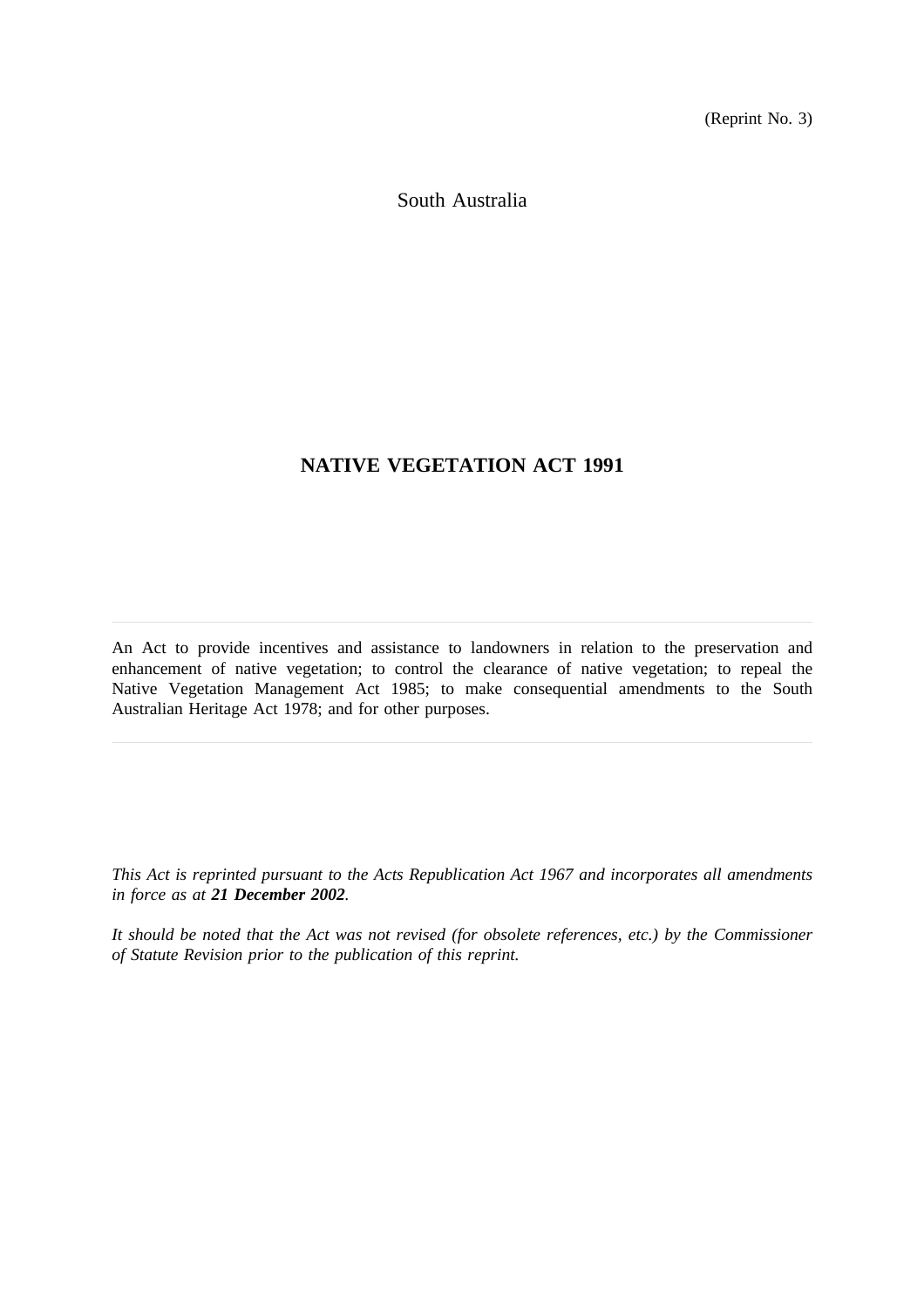(Reprint No. 3)

South Australia

# **NATIVE VEGETATION ACT 1991**

An Act to provide incentives and assistance to landowners in relation to the preservation and enhancement of native vegetation; to control the clearance of native vegetation; to repeal the Native Vegetation Management Act 1985; to make consequential amendments to the South Australian Heritage Act 1978; and for other purposes.

*This Act is reprinted pursuant to the Acts Republication Act 1967 and incorporates all amendments in force as at 21 December 2002.*

*It should be noted that the Act was not revised (for obsolete references, etc.) by the Commissioner of Statute Revision prior to the publication of this reprint.*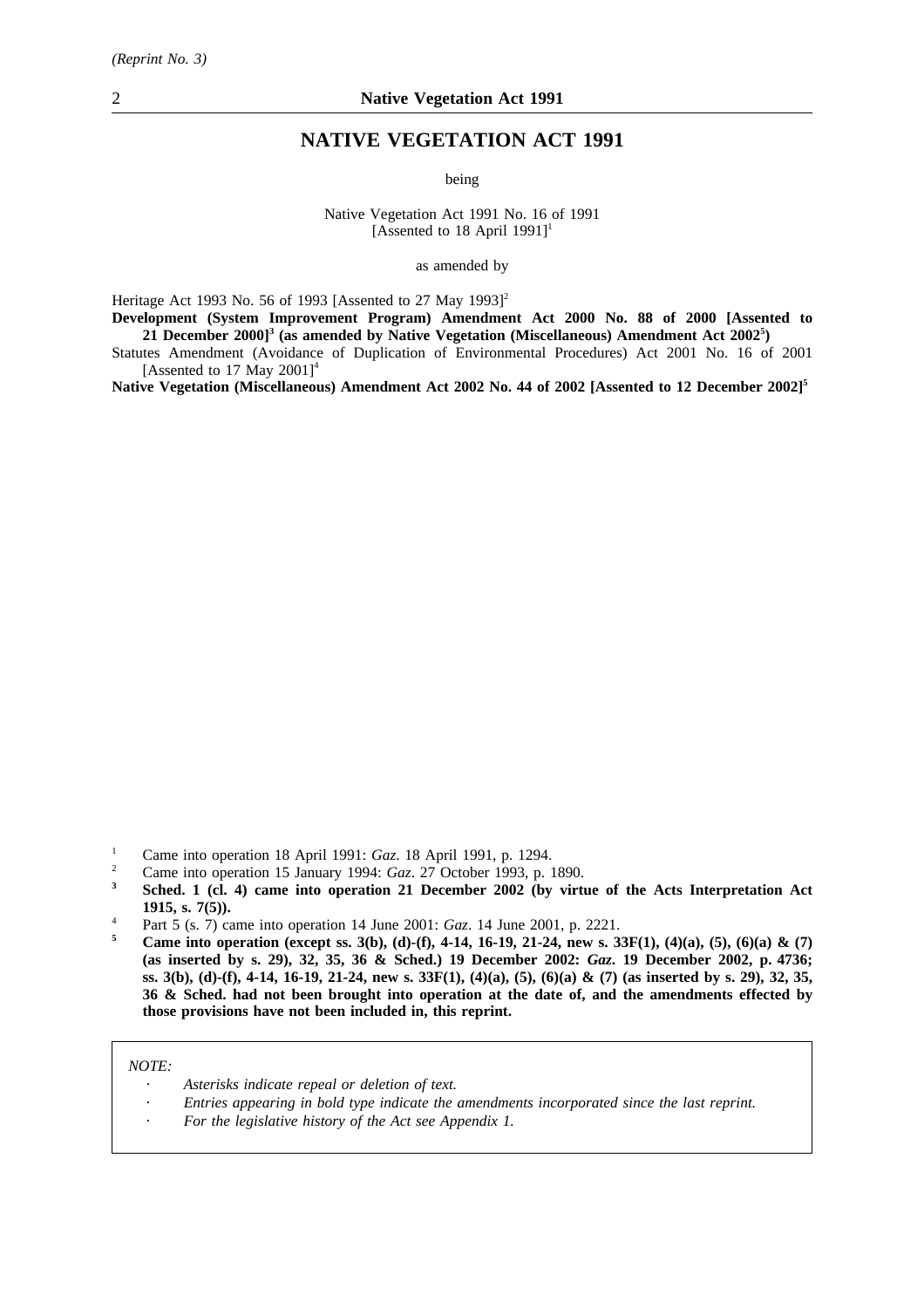## **NATIVE VEGETATION ACT 1991**

being

Native Vegetation Act 1991 No. 16 of 1991 [Assented to 18 April 1991]<sup>1</sup>

as amended by

Heritage Act 1993 No. 56 of 1993 [Assented to 27 May 1993]<sup>2</sup>

**Development (System Improvement Program) Amendment Act 2000 No. 88 of 2000 [Assented to 21 December 2000]3 (as amended by Native Vegetation (Miscellaneous) Amendment Act 20025 )**

Statutes Amendment (Avoidance of Duplication of Environmental Procedures) Act 2001 No. 16 of 2001 [Assented to 17 May  $2001$ ]<sup>4</sup>

**Native Vegetation (Miscellaneous) Amendment Act 2002 No. 44 of 2002 [Assented to 12 December 2002]5**

- <sup>1</sup> Came into operation 18 April 1991: *Gaz*. 18 April 1991, p. 1294.
- <sup>2</sup> Came into operation 15 January 1994:  $Gaz$ . 27 October 1993, p. 1890.
- **<sup>3</sup> Sched. 1 (cl. 4) came into operation 21 December 2002 (by virtue of the Acts Interpretation Act 1915, s. 7(5)).**
- <sup>4</sup> Part 5 (s. 7) came into operation 14 June 2001: *Gaz*. 14 June 2001, p. 2221.
- **<sup>5</sup> Came into operation (except ss. 3(b), (d)-(f), 4-14, 16-19, 21-24, new s. 33F(1), (4)(a), (5), (6)(a) & (7) (as inserted by s. 29), 32, 35, 36 & Sched.) 19 December 2002:** *Gaz***. 19 December 2002, p. 4736; ss. 3(b), (d)-(f), 4-14, 16-19, 21-24, new s. 33F(1), (4)(a), (5), (6)(a) & (7) (as inserted by s. 29), 32, 35, 36 & Sched. had not been brought into operation at the date of, and the amendments effected by those provisions have not been included in, this reprint.**

### *NOTE:*

- *Asterisks indicate repeal or deletion of text.*
- *Entries appearing in bold type indicate the amendments incorporated since the last reprint.*
- *For the legislative history of the Act see Appendix 1.*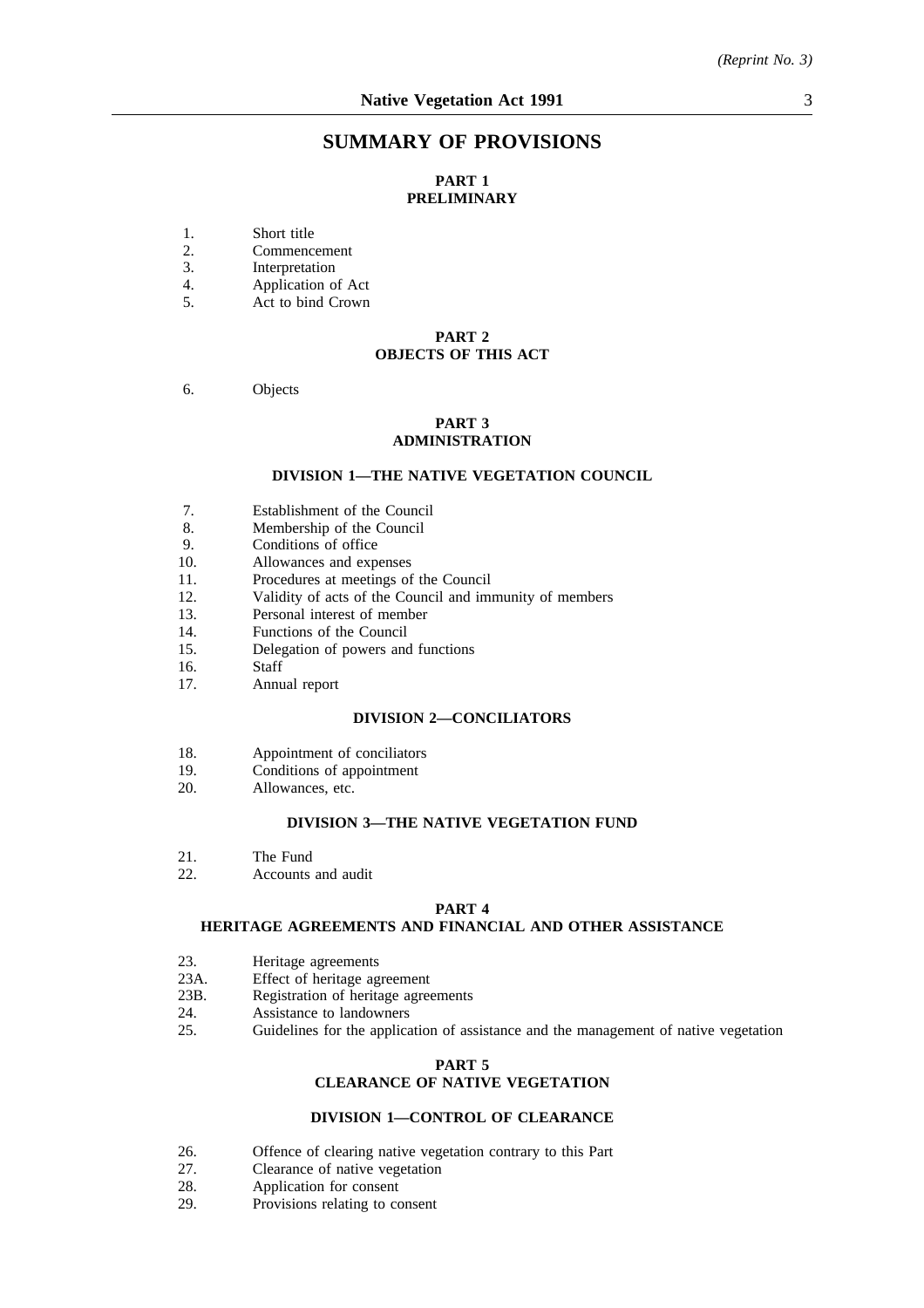## **SUMMARY OF PROVISIONS**

## **PART 1 PRELIMINARY**

- 1. Short title<br>2. Commence
- 2. Commencement<br>3. Interpretation
- 3. Interpretation<br>4. Application of
- 4. Application of Act<br>5. Act to bind Crown
- Act to bind Crown

### **PART 2 OBJECTS OF THIS ACT**

### 6. Objects

## **PART 3 ADMINISTRATION**

### **DIVISION 1—THE NATIVE VEGETATION COUNCIL**

- 7. Establishment of the Council
- 8. Membership of the Council
- 9. Conditions of office
- 10. Allowances and expenses
- 11. Procedures at meetings of the Council
- 12. Validity of acts of the Council and immunity of members
- 13. Personal interest of member
- 14. Functions of the Council
- 15. Delegation of powers and functions
- 16. Staff
- 17. Annual report

#### **DIVISION 2—CONCILIATORS**

- 18. Appointment of conciliators
- 19. Conditions of appointment
- 20. Allowances, etc.

### **DIVISION 3—THE NATIVE VEGETATION FUND**

- 21. The Fund<br>22. Accounts
- Accounts and audit

### **PART 4**

## **HERITAGE AGREEMENTS AND FINANCIAL AND OTHER ASSISTANCE**

- 23. Heritage agreements
- 23A. Effect of heritage agreement<br>23B. Registration of heritage agree
- 23B. Registration of heritage agreements<br>24. Assistance to landowners
- 24. Assistance to landowners<br>25. Guidelines for the applica
- Guidelines for the application of assistance and the management of native vegetation

# **PART 5**

## **CLEARANCE OF NATIVE VEGETATION**

## **DIVISION 1—CONTROL OF CLEARANCE**

- 26. Offence of clearing native vegetation contrary to this Part 27.
- 27. Clearance of native vegetation<br>28. Application for consent
- 28. Application for consent<br>29. Provisions relating to co
- Provisions relating to consent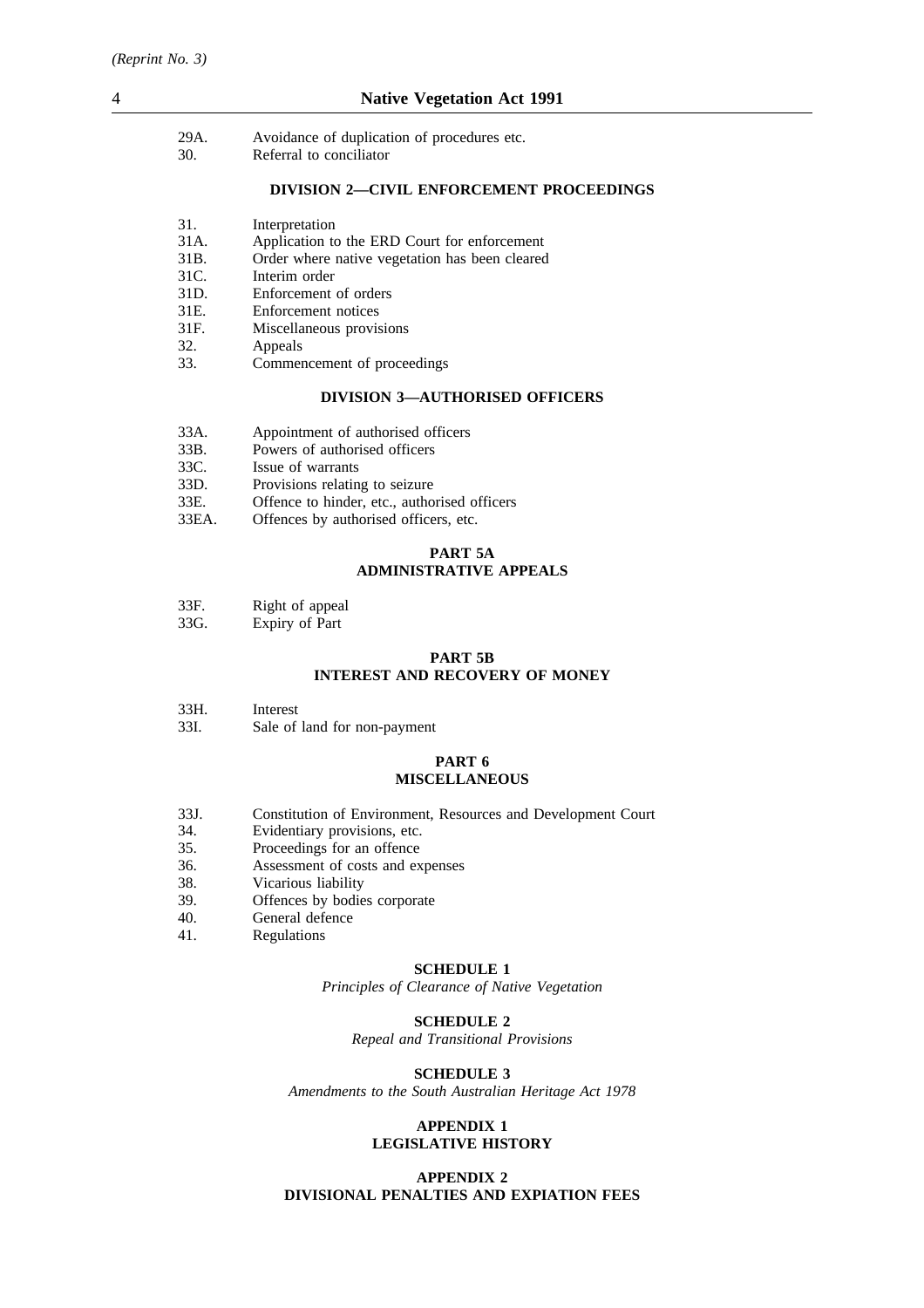| 29A. | Avoidance of duplication of procedures etc. |
|------|---------------------------------------------|
| 30.  | Referral to conciliator                     |

### **DIVISION 2—CIVIL ENFORCEMENT PROCEEDINGS**

- 31. Interpretation
- 31A. Application to the ERD Court for enforcement
- 31B. Order where native vegetation has been cleared
- 31C. Interim order
- 31D. Enforcement of orders
- 31E. Enforcement notices
- 31F. Miscellaneous provisions
- 32. Appeals
- 33. Commencement of proceedings

## **DIVISION 3—AUTHORISED OFFICERS**

- 33A. Appointment of authorised officers<br>33B. Powers of authorised officers 33B. Powers of authorised officers<br>33C. Issue of warrants
- 33C. Issue of warrants<br>33D. Provisions relatin
- 
- 33D. Provisions relating to seizure<br>33E. Offence to hinder, etc., autho 33E. Offence to hinder, etc., authorised officers<br>33EA. Offences by authorised officers, etc.
- Offences by authorised officers, etc.

## **PART 5A ADMINISTRATIVE APPEALS**

33G. Expiry of Part

### **PART 5B INTEREST AND RECOVERY OF MONEY**

- 33H. Interest
- 33I. Sale of land for non-payment

## **PART 6 MISCELLANEOUS**

- 33J. Constitution of Environment, Resources and Development Court
- 34. Evidentiary provisions, etc.
- 35. Proceedings for an offence
- 36. Assessment of costs and expenses
- 38. Vicarious liability<br>39 Offences by bodie
- 39. Offences by bodies corporate<br>40. General defence
- 40. General defence<br>41. Regulations
- **Regulations**

### **SCHEDULE 1**

*Principles of Clearance of Native Vegetation*

### **SCHEDULE 2**

*Repeal and Transitional Provisions*

### **SCHEDULE 3**

*Amendments to the South Australian Heritage Act 1978*

### **APPENDIX 1 LEGISLATIVE HISTORY**

### **APPENDIX 2 DIVISIONAL PENALTIES AND EXPIATION FEES**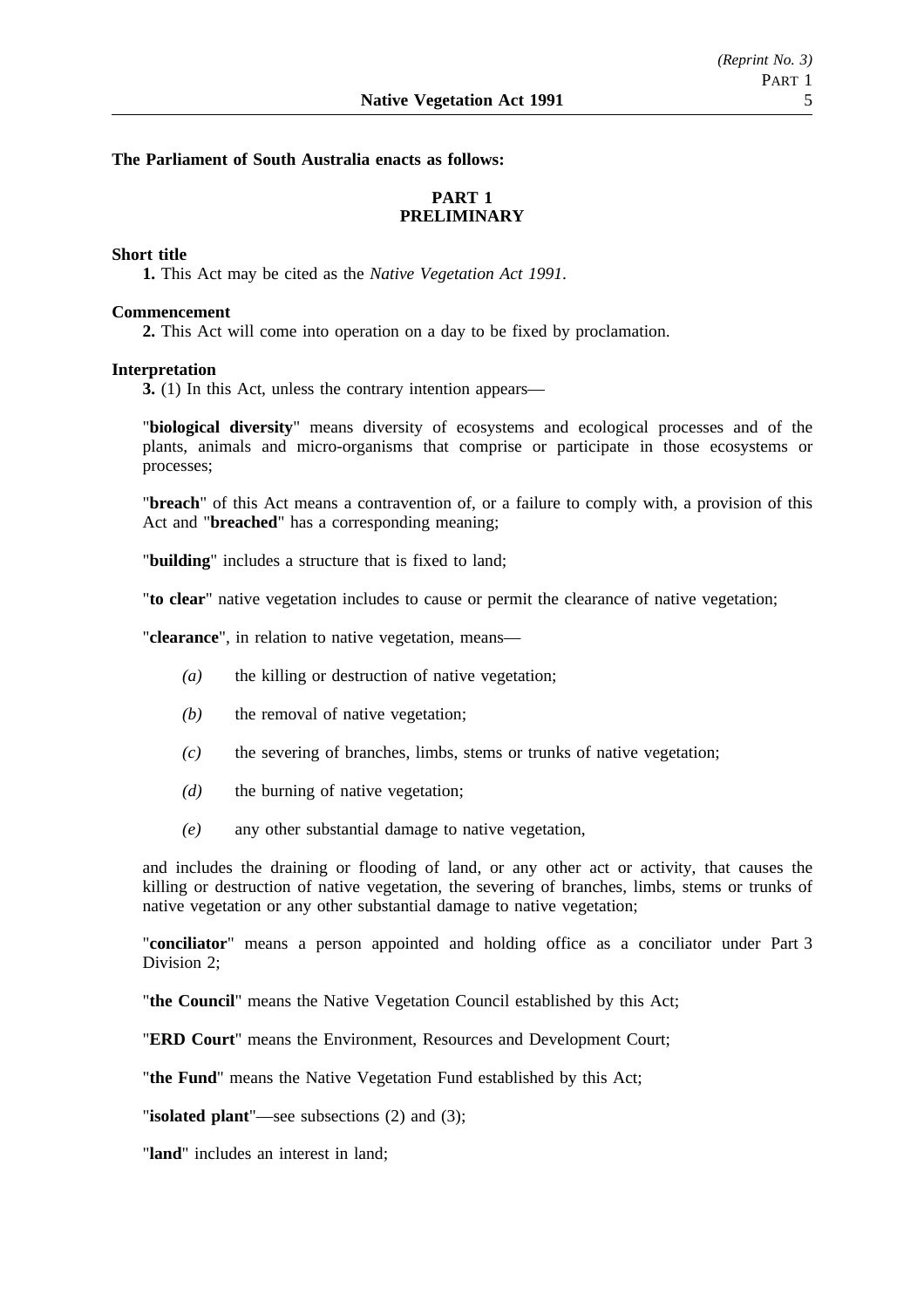## **The Parliament of South Australia enacts as follows:**

## **PART 1 PRELIMINARY**

## **Short title**

**1.** This Act may be cited as the *Native Vegetation Act 1991*.

## **Commencement**

**2.** This Act will come into operation on a day to be fixed by proclamation.

## **Interpretation**

**3.** (1) In this Act, unless the contrary intention appears—

"**biological diversity**" means diversity of ecosystems and ecological processes and of the plants, animals and micro-organisms that comprise or participate in those ecosystems or processes;

"**breach**" of this Act means a contravention of, or a failure to comply with, a provision of this Act and "**breached**" has a corresponding meaning;

"**building**" includes a structure that is fixed to land;

"**to clear**" native vegetation includes to cause or permit the clearance of native vegetation;

"**clearance**", in relation to native vegetation, means—

- *(a)* the killing or destruction of native vegetation;
- *(b)* the removal of native vegetation;
- *(c)* the severing of branches, limbs, stems or trunks of native vegetation;
- *(d)* the burning of native vegetation;
- *(e)* any other substantial damage to native vegetation,

and includes the draining or flooding of land, or any other act or activity, that causes the killing or destruction of native vegetation, the severing of branches, limbs, stems or trunks of native vegetation or any other substantial damage to native vegetation;

"**conciliator**" means a person appointed and holding office as a conciliator under Part 3 Division 2;

"**the Council**" means the Native Vegetation Council established by this Act;

"**ERD Court**" means the Environment, Resources and Development Court;

"**the Fund**" means the Native Vegetation Fund established by this Act;

"**isolated plant**"—see subsections (2) and (3);

"**land**" includes an interest in land;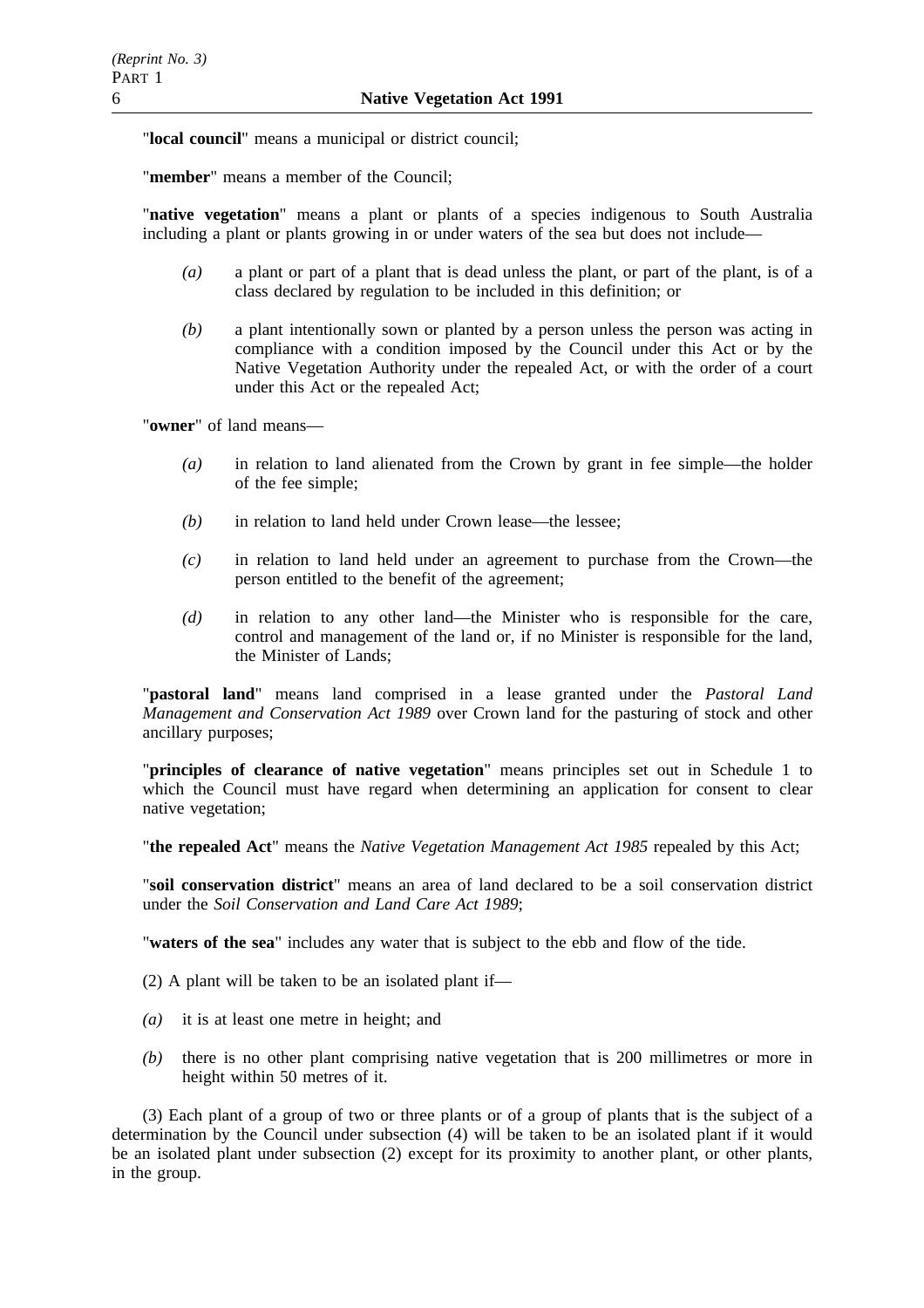"**local council**" means a municipal or district council;

"**member**" means a member of the Council;

"**native vegetation**" means a plant or plants of a species indigenous to South Australia including a plant or plants growing in or under waters of the sea but does not include—

- *(a)* a plant or part of a plant that is dead unless the plant, or part of the plant, is of a class declared by regulation to be included in this definition; or
- *(b)* a plant intentionally sown or planted by a person unless the person was acting in compliance with a condition imposed by the Council under this Act or by the Native Vegetation Authority under the repealed Act, or with the order of a court under this Act or the repealed Act;

"**owner**" of land means—

- *(a)* in relation to land alienated from the Crown by grant in fee simple—the holder of the fee simple;
- *(b)* in relation to land held under Crown lease—the lessee;
- *(c)* in relation to land held under an agreement to purchase from the Crown—the person entitled to the benefit of the agreement;
- *(d)* in relation to any other land—the Minister who is responsible for the care, control and management of the land or, if no Minister is responsible for the land, the Minister of Lands;

"**pastoral land**" means land comprised in a lease granted under the *Pastoral Land Management and Conservation Act 1989* over Crown land for the pasturing of stock and other ancillary purposes;

"**principles of clearance of native vegetation**" means principles set out in Schedule 1 to which the Council must have regard when determining an application for consent to clear native vegetation;

"**the repealed Act**" means the *Native Vegetation Management Act 1985* repealed by this Act;

"**soil conservation district**" means an area of land declared to be a soil conservation district under the *Soil Conservation and Land Care Act 1989*;

"**waters of the sea**" includes any water that is subject to the ebb and flow of the tide.

- (2) A plant will be taken to be an isolated plant if—
- *(a)* it is at least one metre in height; and
- *(b)* there is no other plant comprising native vegetation that is 200 millimetres or more in height within 50 metres of it.

(3) Each plant of a group of two or three plants or of a group of plants that is the subject of a determination by the Council under subsection (4) will be taken to be an isolated plant if it would be an isolated plant under subsection (2) except for its proximity to another plant, or other plants, in the group.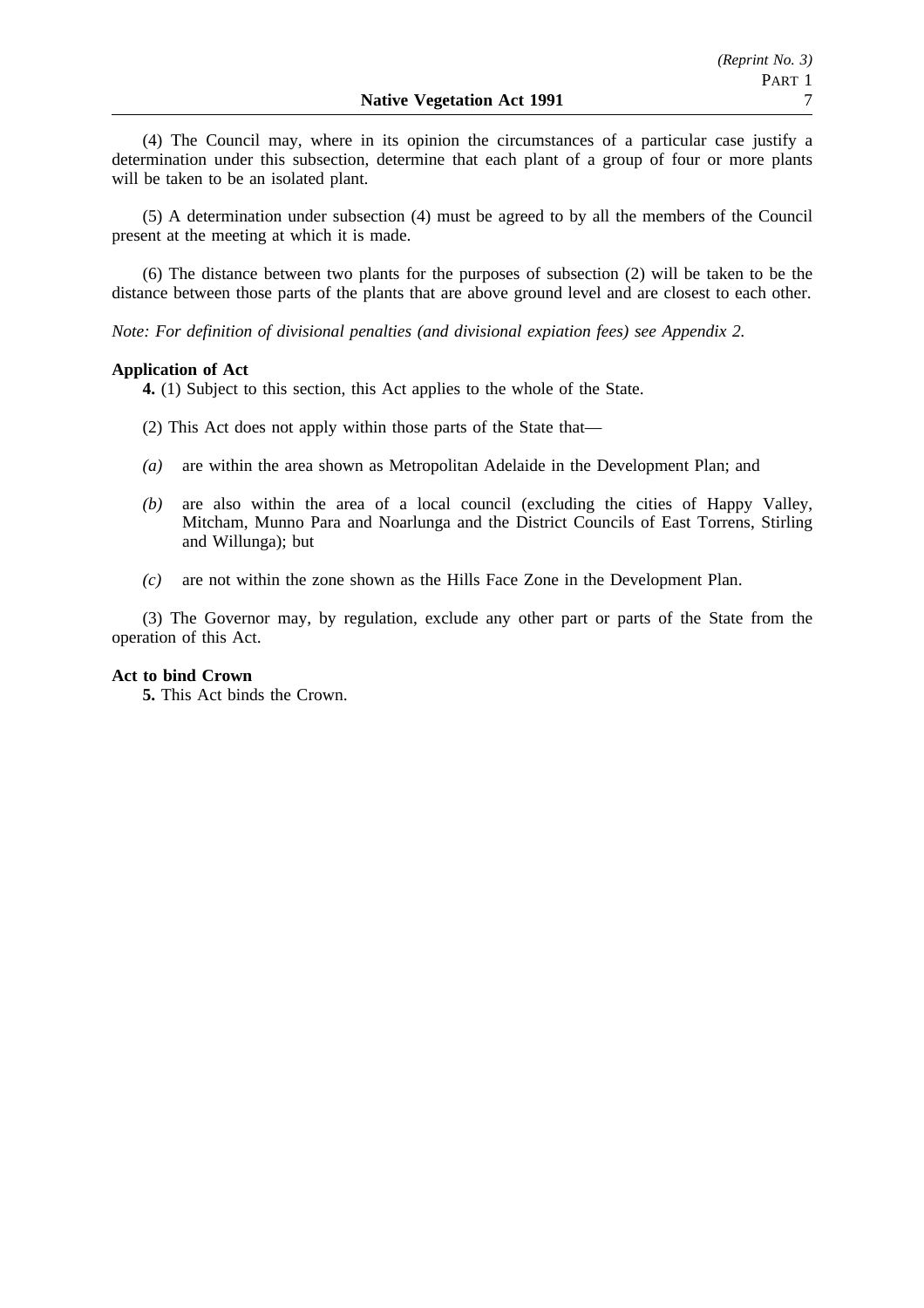(4) The Council may, where in its opinion the circumstances of a particular case justify a determination under this subsection, determine that each plant of a group of four or more plants will be taken to be an isolated plant.

(5) A determination under subsection (4) must be agreed to by all the members of the Council present at the meeting at which it is made.

(6) The distance between two plants for the purposes of subsection (2) will be taken to be the distance between those parts of the plants that are above ground level and are closest to each other.

*Note: For definition of divisional penalties (and divisional expiation fees) see Appendix 2.*

## **Application of Act**

**4.** (1) Subject to this section, this Act applies to the whole of the State.

- (2) This Act does not apply within those parts of the State that—
- *(a)* are within the area shown as Metropolitan Adelaide in the Development Plan; and
- *(b)* are also within the area of a local council (excluding the cities of Happy Valley, Mitcham, Munno Para and Noarlunga and the District Councils of East Torrens, Stirling and Willunga); but
- *(c)* are not within the zone shown as the Hills Face Zone in the Development Plan.

(3) The Governor may, by regulation, exclude any other part or parts of the State from the operation of this Act.

### **Act to bind Crown**

**5.** This Act binds the Crown.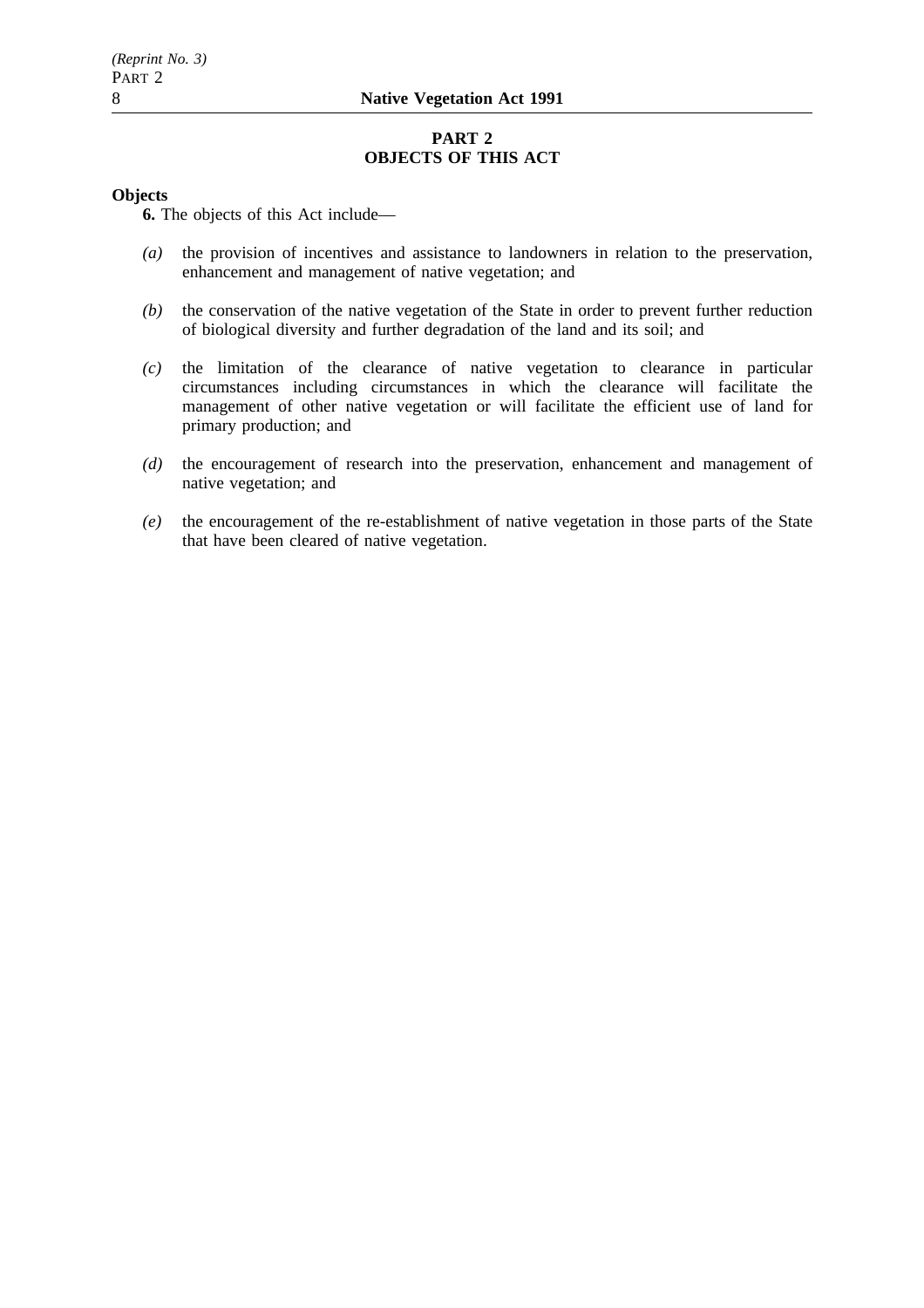## **PART 2 OBJECTS OF THIS ACT**

## **Objects**

**6.** The objects of this Act include—

- *(a)* the provision of incentives and assistance to landowners in relation to the preservation, enhancement and management of native vegetation; and
- *(b)* the conservation of the native vegetation of the State in order to prevent further reduction of biological diversity and further degradation of the land and its soil; and
- *(c)* the limitation of the clearance of native vegetation to clearance in particular circumstances including circumstances in which the clearance will facilitate the management of other native vegetation or will facilitate the efficient use of land for primary production; and
- *(d)* the encouragement of research into the preservation, enhancement and management of native vegetation; and
- *(e)* the encouragement of the re-establishment of native vegetation in those parts of the State that have been cleared of native vegetation.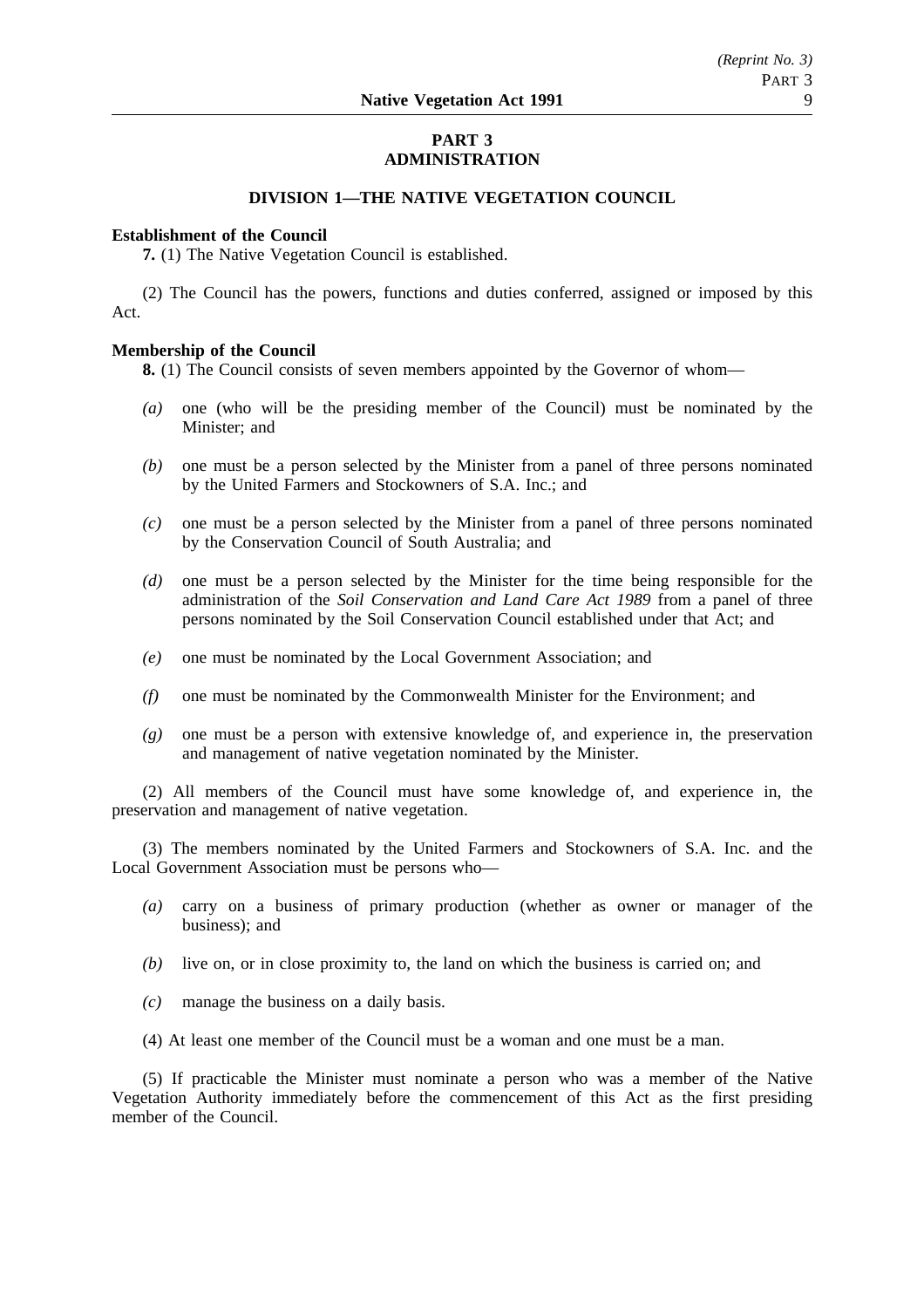## **PART 3 ADMINISTRATION**

## **DIVISION 1—THE NATIVE VEGETATION COUNCIL**

### **Establishment of the Council**

**7.** (1) The Native Vegetation Council is established.

(2) The Council has the powers, functions and duties conferred, assigned or imposed by this Act.

## **Membership of the Council**

**8.** (1) The Council consists of seven members appointed by the Governor of whom—

- *(a)* one (who will be the presiding member of the Council) must be nominated by the Minister; and
- *(b)* one must be a person selected by the Minister from a panel of three persons nominated by the United Farmers and Stockowners of S.A. Inc.; and
- *(c)* one must be a person selected by the Minister from a panel of three persons nominated by the Conservation Council of South Australia; and
- *(d)* one must be a person selected by the Minister for the time being responsible for the administration of the *Soil Conservation and Land Care Act 1989* from a panel of three persons nominated by the Soil Conservation Council established under that Act; and
- *(e)* one must be nominated by the Local Government Association; and
- *(f)* one must be nominated by the Commonwealth Minister for the Environment; and
- *(g)* one must be a person with extensive knowledge of, and experience in, the preservation and management of native vegetation nominated by the Minister.

(2) All members of the Council must have some knowledge of, and experience in, the preservation and management of native vegetation.

(3) The members nominated by the United Farmers and Stockowners of S.A. Inc. and the Local Government Association must be persons who—

- *(a)* carry on a business of primary production (whether as owner or manager of the business); and
- *(b)* live on, or in close proximity to, the land on which the business is carried on; and
- *(c)* manage the business on a daily basis.
- (4) At least one member of the Council must be a woman and one must be a man.

(5) If practicable the Minister must nominate a person who was a member of the Native Vegetation Authority immediately before the commencement of this Act as the first presiding member of the Council.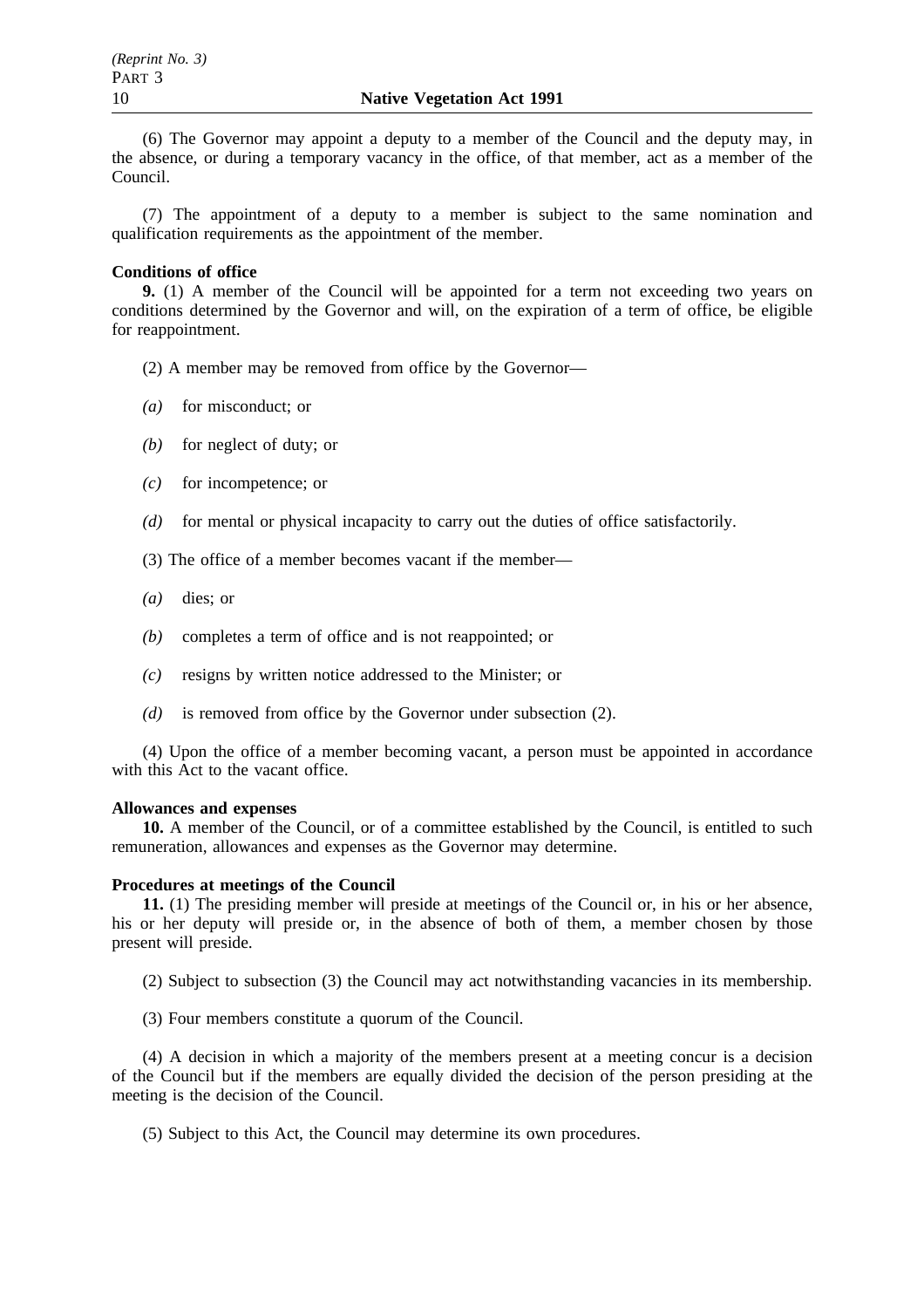(6) The Governor may appoint a deputy to a member of the Council and the deputy may, in the absence, or during a temporary vacancy in the office, of that member, act as a member of the Council.

(7) The appointment of a deputy to a member is subject to the same nomination and qualification requirements as the appointment of the member.

## **Conditions of office**

**9.** (1) A member of the Council will be appointed for a term not exceeding two years on conditions determined by the Governor and will, on the expiration of a term of office, be eligible for reappointment.

- (2) A member may be removed from office by the Governor—
- *(a)* for misconduct; or
- *(b)* for neglect of duty; or
- *(c)* for incompetence; or
- *(d)* for mental or physical incapacity to carry out the duties of office satisfactorily.
- (3) The office of a member becomes vacant if the member—
- *(a)* dies; or
- *(b)* completes a term of office and is not reappointed; or
- *(c)* resigns by written notice addressed to the Minister; or
- *(d)* is removed from office by the Governor under subsection (2).

(4) Upon the office of a member becoming vacant, a person must be appointed in accordance with this Act to the vacant office.

## **Allowances and expenses**

**10.** A member of the Council, or of a committee established by the Council, is entitled to such remuneration, allowances and expenses as the Governor may determine.

### **Procedures at meetings of the Council**

**11.** (1) The presiding member will preside at meetings of the Council or, in his or her absence, his or her deputy will preside or, in the absence of both of them, a member chosen by those present will preside.

(2) Subject to subsection (3) the Council may act notwithstanding vacancies in its membership.

(3) Four members constitute a quorum of the Council.

(4) A decision in which a majority of the members present at a meeting concur is a decision of the Council but if the members are equally divided the decision of the person presiding at the meeting is the decision of the Council.

(5) Subject to this Act, the Council may determine its own procedures.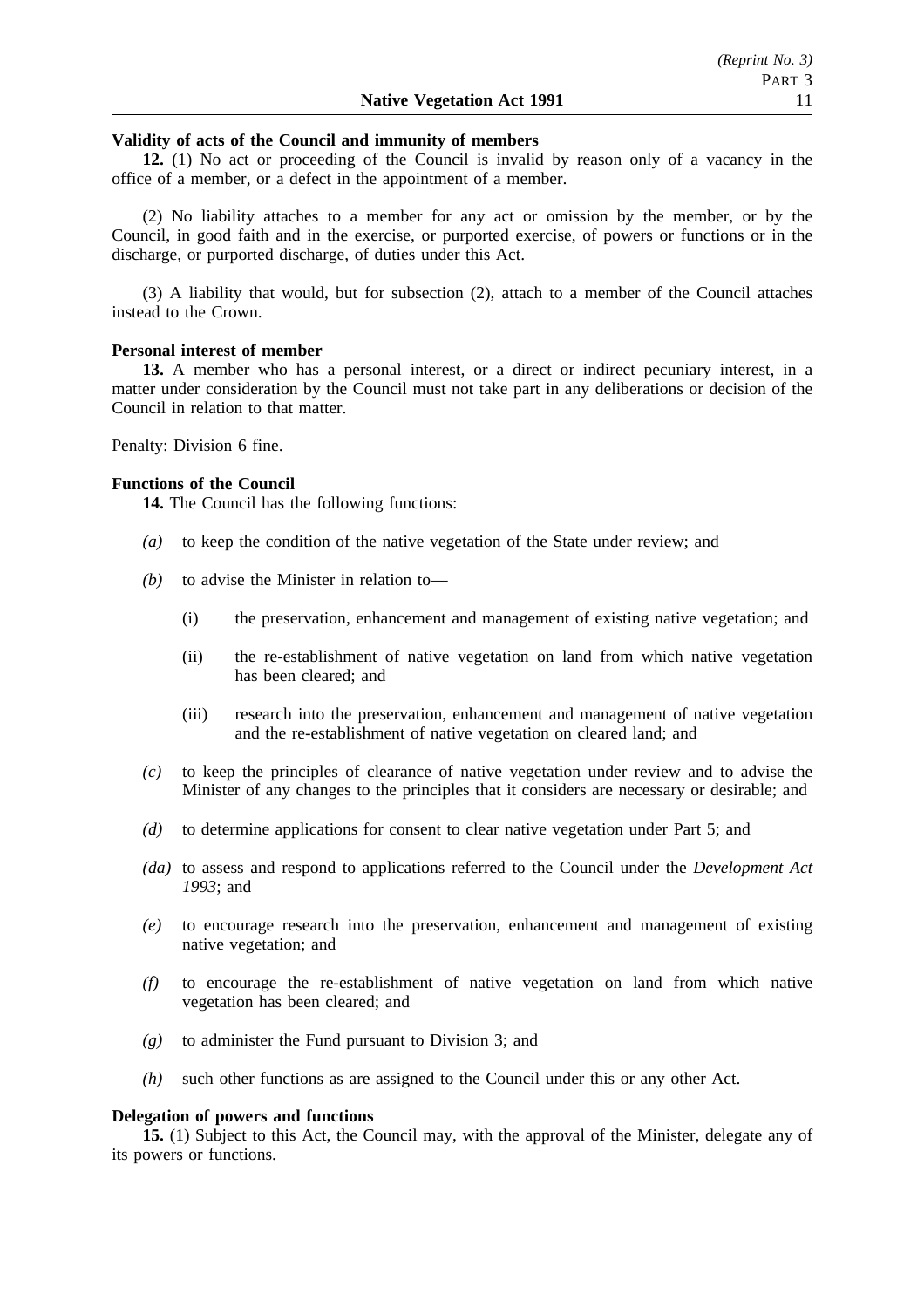## **Validity of acts of the Council and immunity of members**

**12.** (1) No act or proceeding of the Council is invalid by reason only of a vacancy in the office of a member, or a defect in the appointment of a member.

(2) No liability attaches to a member for any act or omission by the member, or by the Council, in good faith and in the exercise, or purported exercise, of powers or functions or in the discharge, or purported discharge, of duties under this Act.

(3) A liability that would, but for subsection (2), attach to a member of the Council attaches instead to the Crown.

## **Personal interest of member**

13. A member who has a personal interest, or a direct or indirect pecuniary interest, in a matter under consideration by the Council must not take part in any deliberations or decision of the Council in relation to that matter.

Penalty: Division 6 fine.

## **Functions of the Council**

**14.** The Council has the following functions:

- *(a)* to keep the condition of the native vegetation of the State under review; and
- *(b)* to advise the Minister in relation to—
	- (i) the preservation, enhancement and management of existing native vegetation; and
	- (ii) the re-establishment of native vegetation on land from which native vegetation has been cleared; and
	- (iii) research into the preservation, enhancement and management of native vegetation and the re-establishment of native vegetation on cleared land; and
- *(c)* to keep the principles of clearance of native vegetation under review and to advise the Minister of any changes to the principles that it considers are necessary or desirable; and
- *(d)* to determine applications for consent to clear native vegetation under Part 5; and
- *(da)* to assess and respond to applications referred to the Council under the *Development Act 1993*; and
- *(e)* to encourage research into the preservation, enhancement and management of existing native vegetation; and
- *(f)* to encourage the re-establishment of native vegetation on land from which native vegetation has been cleared; and
- *(g)* to administer the Fund pursuant to Division 3; and
- *(h)* such other functions as are assigned to the Council under this or any other Act.

## **Delegation of powers and functions**

**15.** (1) Subject to this Act, the Council may, with the approval of the Minister, delegate any of its powers or functions.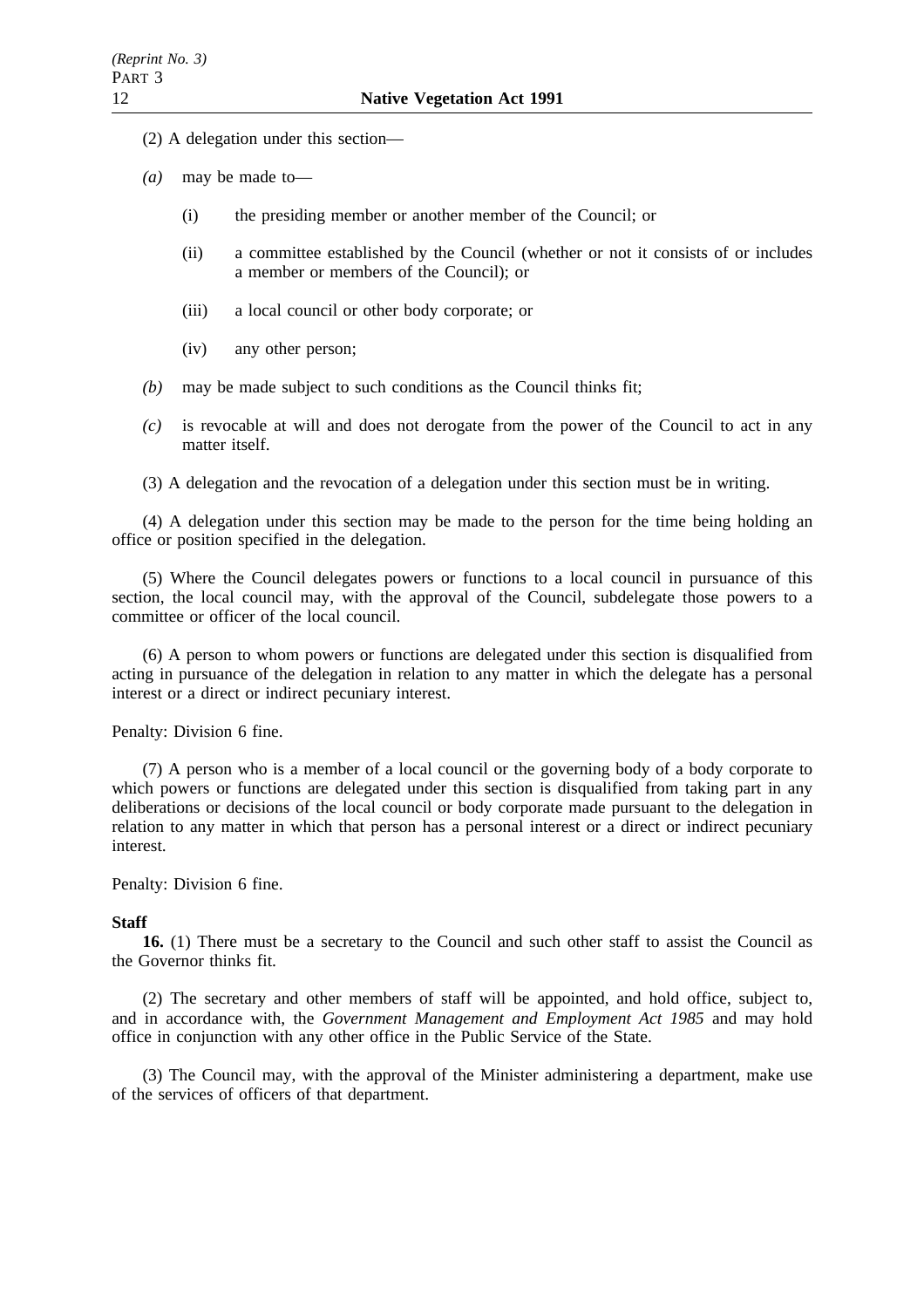- (2) A delegation under this section—
- *(a)* may be made to—
	- (i) the presiding member or another member of the Council; or
	- (ii) a committee established by the Council (whether or not it consists of or includes a member or members of the Council); or
	- (iii) a local council or other body corporate; or
	- (iv) any other person;
- *(b)* may be made subject to such conditions as the Council thinks fit;
- *(c)* is revocable at will and does not derogate from the power of the Council to act in any matter itself.
- (3) A delegation and the revocation of a delegation under this section must be in writing.

(4) A delegation under this section may be made to the person for the time being holding an office or position specified in the delegation.

(5) Where the Council delegates powers or functions to a local council in pursuance of this section, the local council may, with the approval of the Council, subdelegate those powers to a committee or officer of the local council.

(6) A person to whom powers or functions are delegated under this section is disqualified from acting in pursuance of the delegation in relation to any matter in which the delegate has a personal interest or a direct or indirect pecuniary interest.

Penalty: Division 6 fine.

(7) A person who is a member of a local council or the governing body of a body corporate to which powers or functions are delegated under this section is disqualified from taking part in any deliberations or decisions of the local council or body corporate made pursuant to the delegation in relation to any matter in which that person has a personal interest or a direct or indirect pecuniary interest.

### Penalty: Division 6 fine.

### **Staff**

**16.** (1) There must be a secretary to the Council and such other staff to assist the Council as the Governor thinks fit.

(2) The secretary and other members of staff will be appointed, and hold office, subject to, and in accordance with, the *Government Management and Employment Act 1985* and may hold office in conjunction with any other office in the Public Service of the State.

(3) The Council may, with the approval of the Minister administering a department, make use of the services of officers of that department.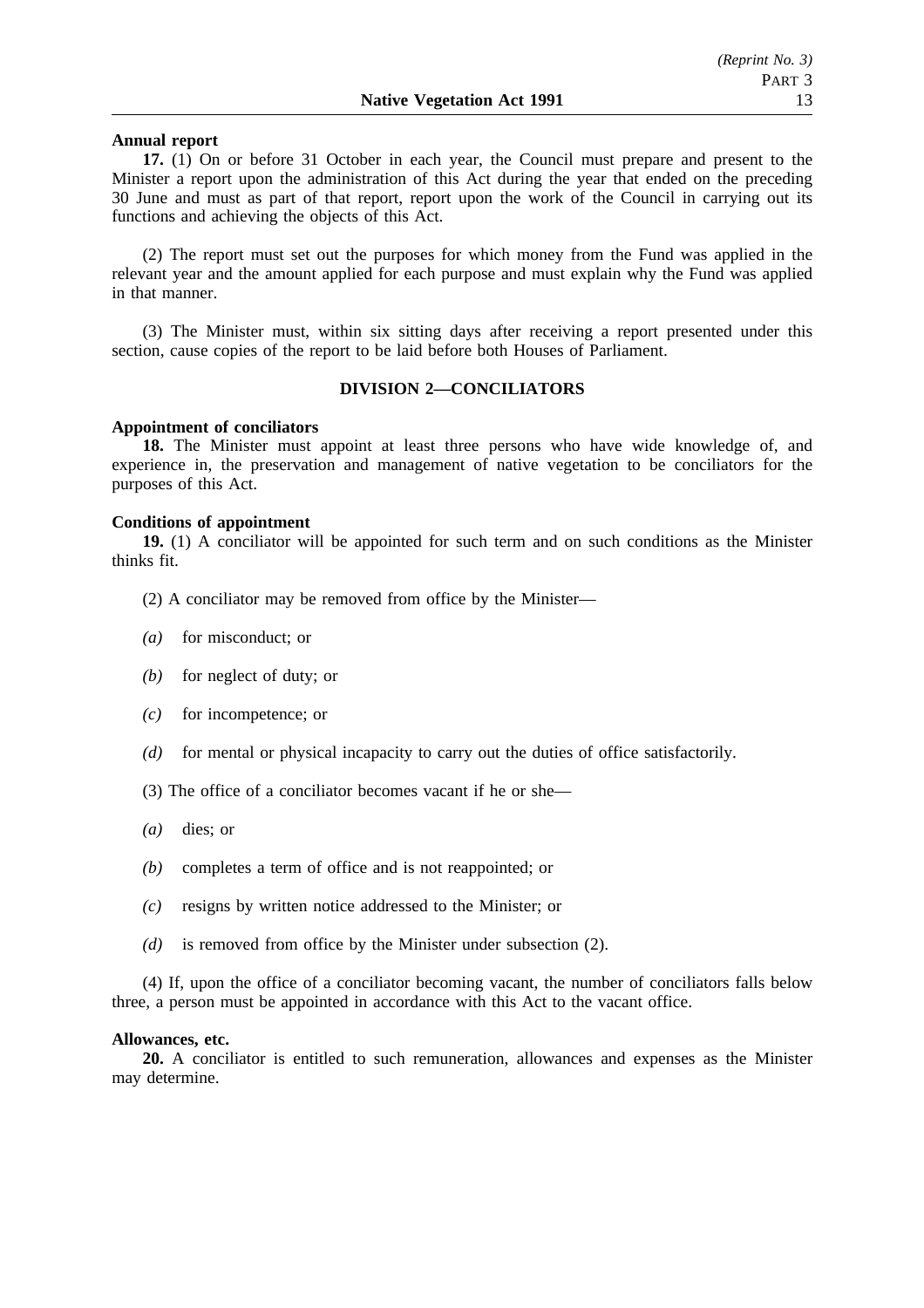## **Annual report**

**17.** (1) On or before 31 October in each year, the Council must prepare and present to the Minister a report upon the administration of this Act during the year that ended on the preceding 30 June and must as part of that report, report upon the work of the Council in carrying out its functions and achieving the objects of this Act.

(2) The report must set out the purposes for which money from the Fund was applied in the relevant year and the amount applied for each purpose and must explain why the Fund was applied in that manner.

(3) The Minister must, within six sitting days after receiving a report presented under this section, cause copies of the report to be laid before both Houses of Parliament.

## **DIVISION 2—CONCILIATORS**

## **Appointment of conciliators**

**18.** The Minister must appoint at least three persons who have wide knowledge of, and experience in, the preservation and management of native vegetation to be conciliators for the purposes of this Act.

### **Conditions of appointment**

**19.** (1) A conciliator will be appointed for such term and on such conditions as the Minister thinks fit.

(2) A conciliator may be removed from office by the Minister—

- *(a)* for misconduct; or
- *(b)* for neglect of duty; or
- *(c)* for incompetence; or
- *(d)* for mental or physical incapacity to carry out the duties of office satisfactorily.
- (3) The office of a conciliator becomes vacant if he or she—
- *(a)* dies; or
- *(b)* completes a term of office and is not reappointed; or
- *(c)* resigns by written notice addressed to the Minister; or
- *(d)* is removed from office by the Minister under subsection (2).

(4) If, upon the office of a conciliator becoming vacant, the number of conciliators falls below three, a person must be appointed in accordance with this Act to the vacant office.

### **Allowances, etc.**

**20.** A conciliator is entitled to such remuneration, allowances and expenses as the Minister may determine.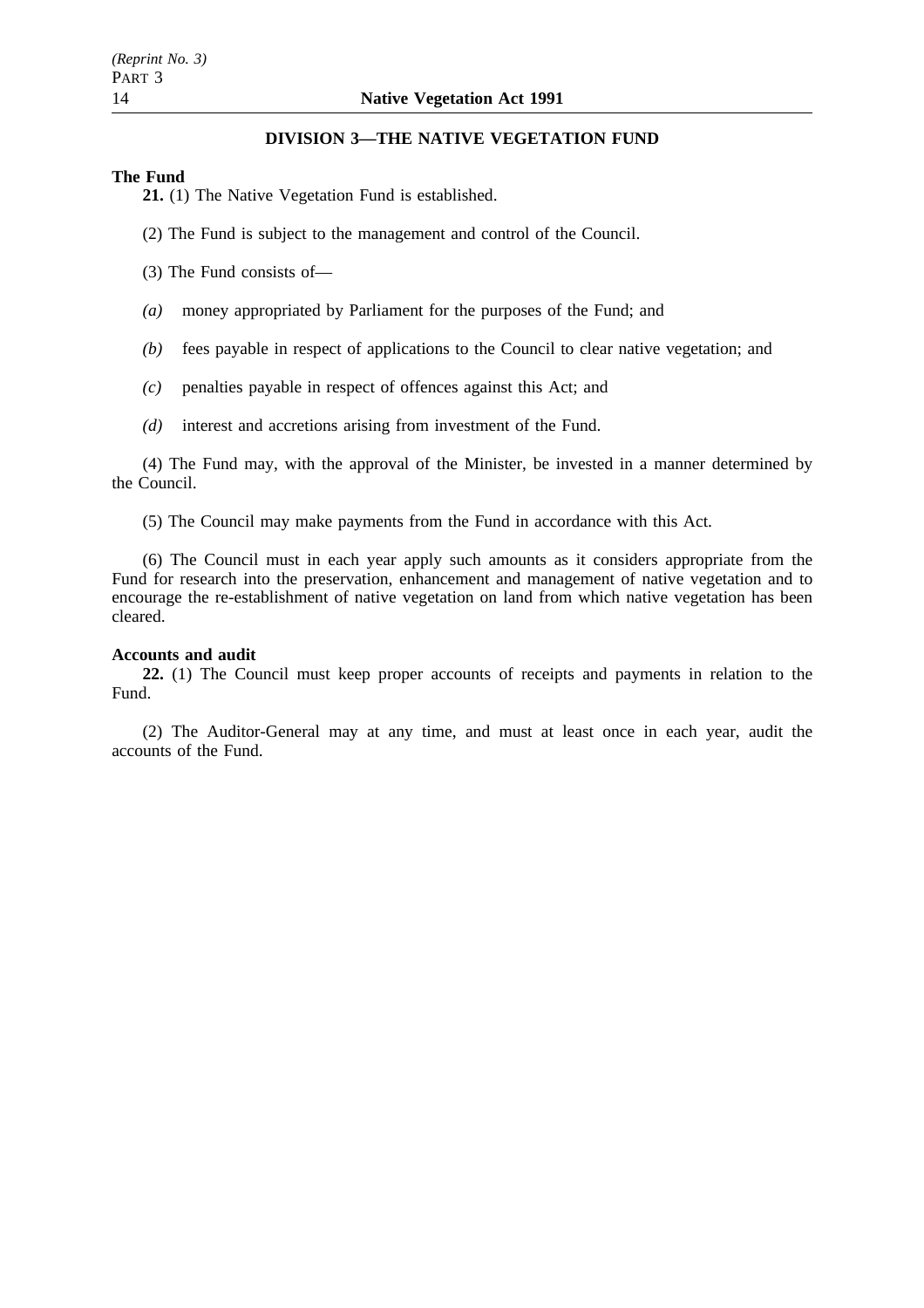## **DIVISION 3—THE NATIVE VEGETATION FUND**

## **The Fund**

**21.** (1) The Native Vegetation Fund is established.

- (2) The Fund is subject to the management and control of the Council.
- (3) The Fund consists of—
- *(a)* money appropriated by Parliament for the purposes of the Fund; and
- *(b)* fees payable in respect of applications to the Council to clear native vegetation; and
- *(c)* penalties payable in respect of offences against this Act; and
- *(d)* interest and accretions arising from investment of the Fund.

(4) The Fund may, with the approval of the Minister, be invested in a manner determined by the Council.

(5) The Council may make payments from the Fund in accordance with this Act.

(6) The Council must in each year apply such amounts as it considers appropriate from the Fund for research into the preservation, enhancement and management of native vegetation and to encourage the re-establishment of native vegetation on land from which native vegetation has been cleared.

## **Accounts and audit**

**22.** (1) The Council must keep proper accounts of receipts and payments in relation to the Fund.

(2) The Auditor-General may at any time, and must at least once in each year, audit the accounts of the Fund.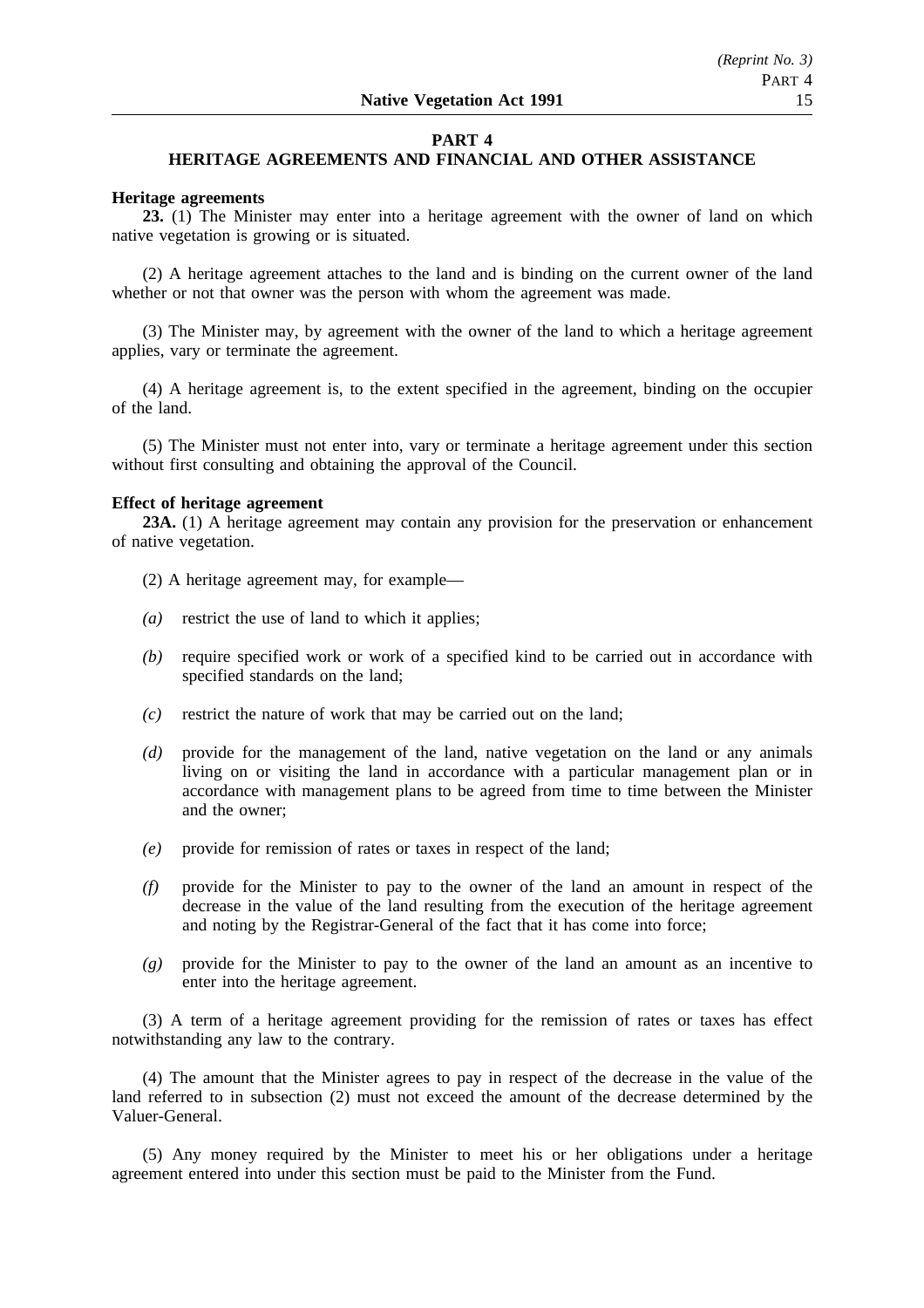## **PART 4**

## **HERITAGE AGREEMENTS AND FINANCIAL AND OTHER ASSISTANCE**

### **Heritage agreements**

**23.** (1) The Minister may enter into a heritage agreement with the owner of land on which native vegetation is growing or is situated.

(2) A heritage agreement attaches to the land and is binding on the current owner of the land whether or not that owner was the person with whom the agreement was made.

(3) The Minister may, by agreement with the owner of the land to which a heritage agreement applies, vary or terminate the agreement.

(4) A heritage agreement is, to the extent specified in the agreement, binding on the occupier of the land.

(5) The Minister must not enter into, vary or terminate a heritage agreement under this section without first consulting and obtaining the approval of the Council.

## **Effect of heritage agreement**

**23A.** (1) A heritage agreement may contain any provision for the preservation or enhancement of native vegetation.

- (2) A heritage agreement may, for example—
- *(a)* restrict the use of land to which it applies;
- *(b)* require specified work or work of a specified kind to be carried out in accordance with specified standards on the land;
- *(c)* restrict the nature of work that may be carried out on the land;
- *(d)* provide for the management of the land, native vegetation on the land or any animals living on or visiting the land in accordance with a particular management plan or in accordance with management plans to be agreed from time to time between the Minister and the owner;
- *(e)* provide for remission of rates or taxes in respect of the land;
- *(f)* provide for the Minister to pay to the owner of the land an amount in respect of the decrease in the value of the land resulting from the execution of the heritage agreement and noting by the Registrar-General of the fact that it has come into force;
- *(g)* provide for the Minister to pay to the owner of the land an amount as an incentive to enter into the heritage agreement.

(3) A term of a heritage agreement providing for the remission of rates or taxes has effect notwithstanding any law to the contrary.

(4) The amount that the Minister agrees to pay in respect of the decrease in the value of the land referred to in subsection (2) must not exceed the amount of the decrease determined by the Valuer-General.

(5) Any money required by the Minister to meet his or her obligations under a heritage agreement entered into under this section must be paid to the Minister from the Fund.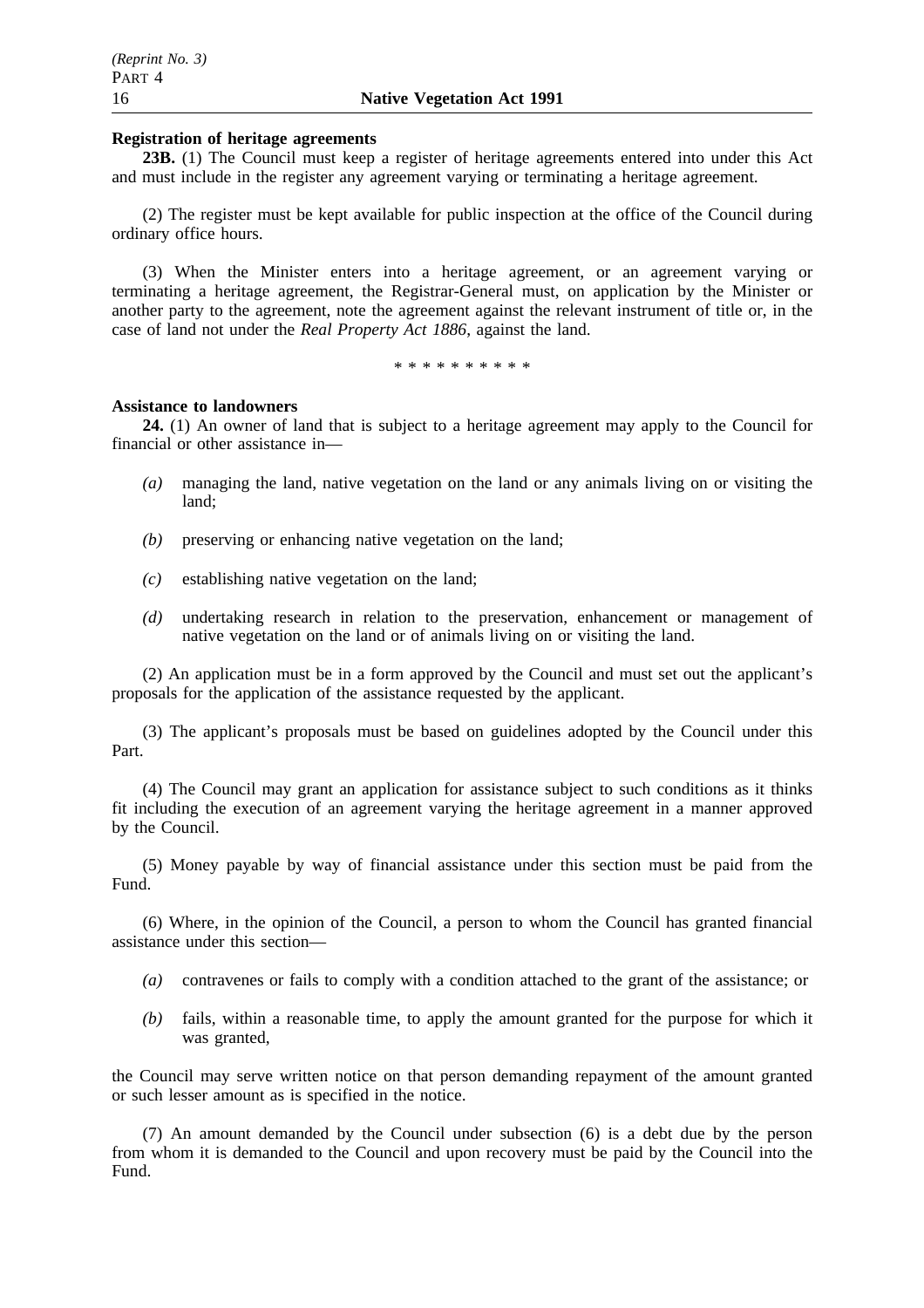## **Registration of heritage agreements**

**23B.** (1) The Council must keep a register of heritage agreements entered into under this Act and must include in the register any agreement varying or terminating a heritage agreement.

(2) The register must be kept available for public inspection at the office of the Council during ordinary office hours.

(3) When the Minister enters into a heritage agreement, or an agreement varying or terminating a heritage agreement, the Registrar-General must, on application by the Minister or another party to the agreement, note the agreement against the relevant instrument of title or, in the case of land not under the *Real Property Act 1886*, against the land.

\*\*\*\*\*\*\*\*\*\*

### **Assistance to landowners**

**24.** (1) An owner of land that is subject to a heritage agreement may apply to the Council for financial or other assistance in—

- *(a)* managing the land, native vegetation on the land or any animals living on or visiting the land;
- *(b)* preserving or enhancing native vegetation on the land;
- *(c)* establishing native vegetation on the land;
- *(d)* undertaking research in relation to the preservation, enhancement or management of native vegetation on the land or of animals living on or visiting the land.

(2) An application must be in a form approved by the Council and must set out the applicant's proposals for the application of the assistance requested by the applicant.

(3) The applicant's proposals must be based on guidelines adopted by the Council under this Part.

(4) The Council may grant an application for assistance subject to such conditions as it thinks fit including the execution of an agreement varying the heritage agreement in a manner approved by the Council.

(5) Money payable by way of financial assistance under this section must be paid from the Fund.

(6) Where, in the opinion of the Council, a person to whom the Council has granted financial assistance under this section—

- *(a)* contravenes or fails to comply with a condition attached to the grant of the assistance; or
- *(b)* fails, within a reasonable time, to apply the amount granted for the purpose for which it was granted,

the Council may serve written notice on that person demanding repayment of the amount granted or such lesser amount as is specified in the notice.

(7) An amount demanded by the Council under subsection (6) is a debt due by the person from whom it is demanded to the Council and upon recovery must be paid by the Council into the Fund.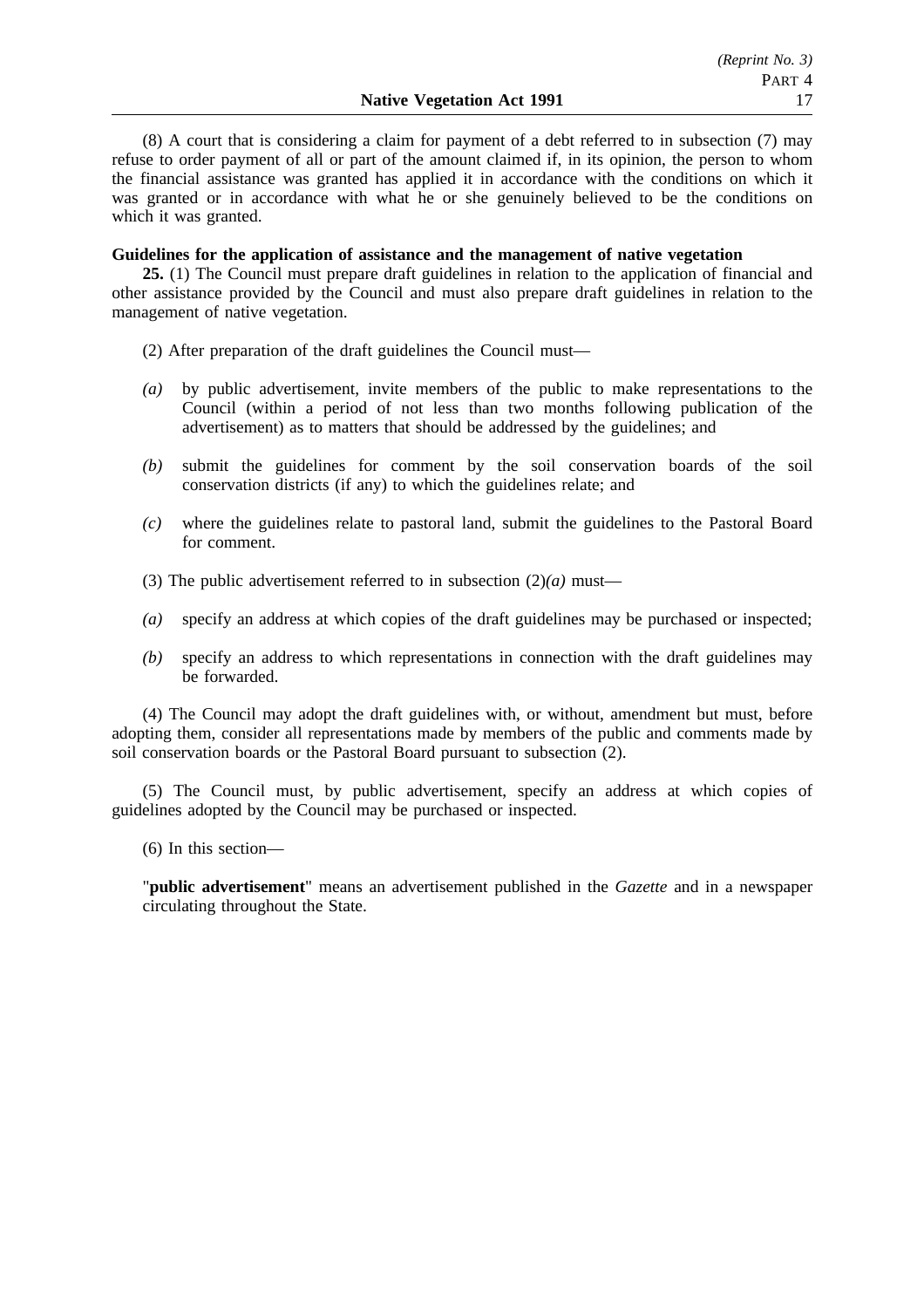(8) A court that is considering a claim for payment of a debt referred to in subsection (7) may refuse to order payment of all or part of the amount claimed if, in its opinion, the person to whom the financial assistance was granted has applied it in accordance with the conditions on which it was granted or in accordance with what he or she genuinely believed to be the conditions on which it was granted.

## **Guidelines for the application of assistance and the management of native vegetation**

**25.** (1) The Council must prepare draft guidelines in relation to the application of financial and other assistance provided by the Council and must also prepare draft guidelines in relation to the management of native vegetation.

(2) After preparation of the draft guidelines the Council must—

- *(a)* by public advertisement, invite members of the public to make representations to the Council (within a period of not less than two months following publication of the advertisement) as to matters that should be addressed by the guidelines; and
- *(b)* submit the guidelines for comment by the soil conservation boards of the soil conservation districts (if any) to which the guidelines relate; and
- *(c)* where the guidelines relate to pastoral land, submit the guidelines to the Pastoral Board for comment.
- (3) The public advertisement referred to in subsection  $(2)(a)$  must—
- *(a)* specify an address at which copies of the draft guidelines may be purchased or inspected;
- *(b)* specify an address to which representations in connection with the draft guidelines may be forwarded.

(4) The Council may adopt the draft guidelines with, or without, amendment but must, before adopting them, consider all representations made by members of the public and comments made by soil conservation boards or the Pastoral Board pursuant to subsection (2).

(5) The Council must, by public advertisement, specify an address at which copies of guidelines adopted by the Council may be purchased or inspected.

(6) In this section—

"**public advertisement**" means an advertisement published in the *Gazette* and in a newspaper circulating throughout the State.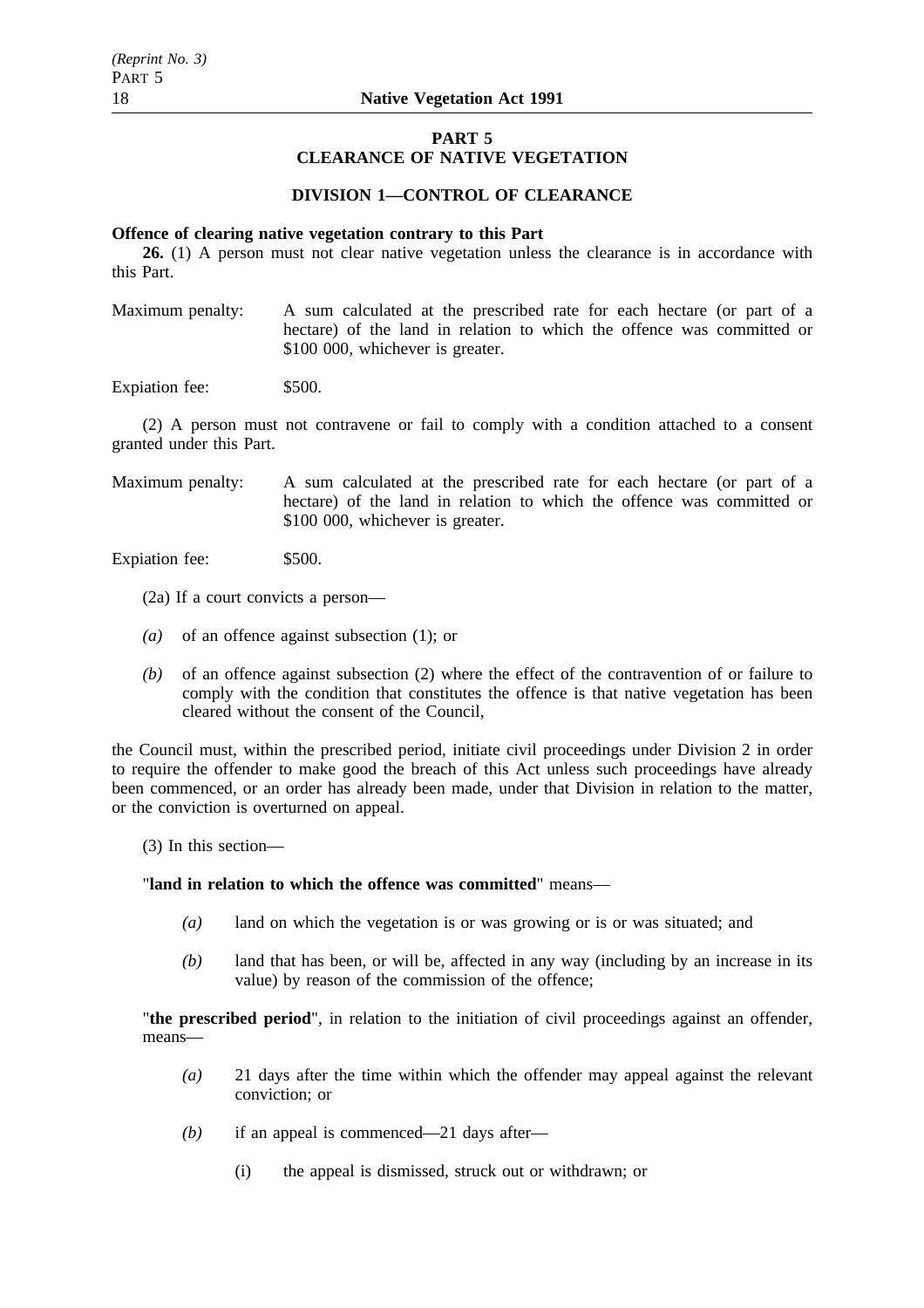# **PART 5**

# **CLEARANCE OF NATIVE VEGETATION**

## **DIVISION 1—CONTROL OF CLEARANCE**

## **Offence of clearing native vegetation contrary to this Part**

**26.** (1) A person must not clear native vegetation unless the clearance is in accordance with this Part.

Maximum penalty: A sum calculated at the prescribed rate for each hectare (or part of a hectare) of the land in relation to which the offence was committed or \$100 000, whichever is greater.

Expiation fee: \$500.

(2) A person must not contravene or fail to comply with a condition attached to a consent granted under this Part.

Maximum penalty: A sum calculated at the prescribed rate for each hectare (or part of a hectare) of the land in relation to which the offence was committed or \$100 000, whichever is greater.

Expiation fee: \$500.

- (2a) If a court convicts a person—
- *(a)* of an offence against subsection (1); or
- *(b)* of an offence against subsection (2) where the effect of the contravention of or failure to comply with the condition that constitutes the offence is that native vegetation has been cleared without the consent of the Council,

the Council must, within the prescribed period, initiate civil proceedings under Division 2 in order to require the offender to make good the breach of this Act unless such proceedings have already been commenced, or an order has already been made, under that Division in relation to the matter, or the conviction is overturned on appeal.

(3) In this section—

## "**land in relation to which the offence was committed**" means—

- *(a)* land on which the vegetation is or was growing or is or was situated; and
- *(b)* land that has been, or will be, affected in any way (including by an increase in its value) by reason of the commission of the offence;

"**the prescribed period**", in relation to the initiation of civil proceedings against an offender, means—

- *(a)* 21 days after the time within which the offender may appeal against the relevant conviction; or
- *(b)* if an appeal is commenced—21 days after—
	- (i) the appeal is dismissed, struck out or withdrawn; or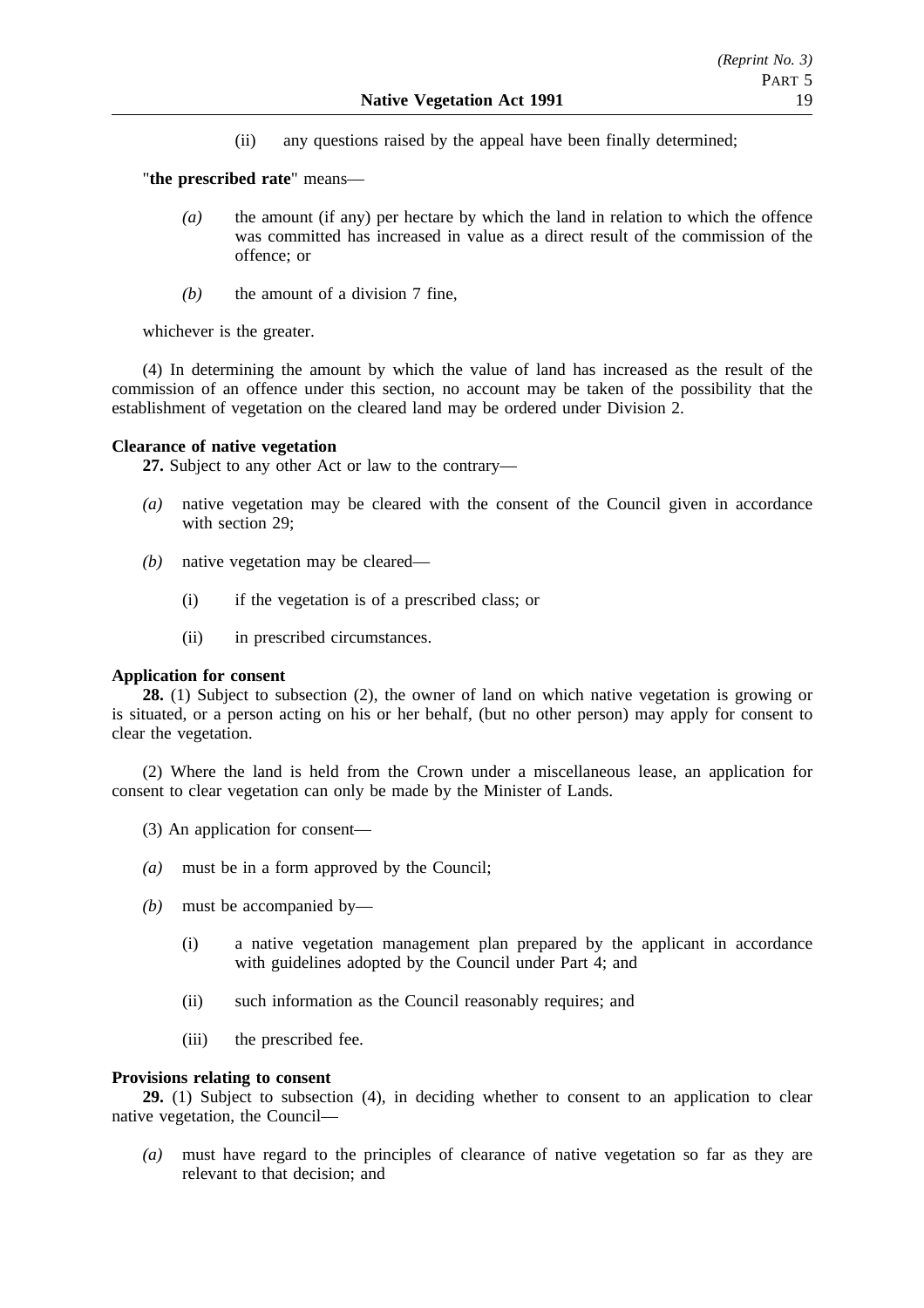(ii) any questions raised by the appeal have been finally determined;

"**the prescribed rate**" means—

- *(a)* the amount (if any) per hectare by which the land in relation to which the offence was committed has increased in value as a direct result of the commission of the offence; or
- *(b)* the amount of a division 7 fine,

whichever is the greater.

(4) In determining the amount by which the value of land has increased as the result of the commission of an offence under this section, no account may be taken of the possibility that the establishment of vegetation on the cleared land may be ordered under Division 2.

### **Clearance of native vegetation**

**27.** Subject to any other Act or law to the contrary—

- *(a)* native vegetation may be cleared with the consent of the Council given in accordance with section 29:
- *(b)* native vegetation may be cleared—
	- (i) if the vegetation is of a prescribed class; or
	- (ii) in prescribed circumstances.

## **Application for consent**

**28.** (1) Subject to subsection (2), the owner of land on which native vegetation is growing or is situated, or a person acting on his or her behalf, (but no other person) may apply for consent to clear the vegetation.

(2) Where the land is held from the Crown under a miscellaneous lease, an application for consent to clear vegetation can only be made by the Minister of Lands.

- (3) An application for consent—
- *(a)* must be in a form approved by the Council;
- *(b)* must be accompanied by—
	- (i) a native vegetation management plan prepared by the applicant in accordance with guidelines adopted by the Council under Part 4; and
	- (ii) such information as the Council reasonably requires; and
	- (iii) the prescribed fee.

## **Provisions relating to consent**

**29.** (1) Subject to subsection (4), in deciding whether to consent to an application to clear native vegetation, the Council—

*(a)* must have regard to the principles of clearance of native vegetation so far as they are relevant to that decision; and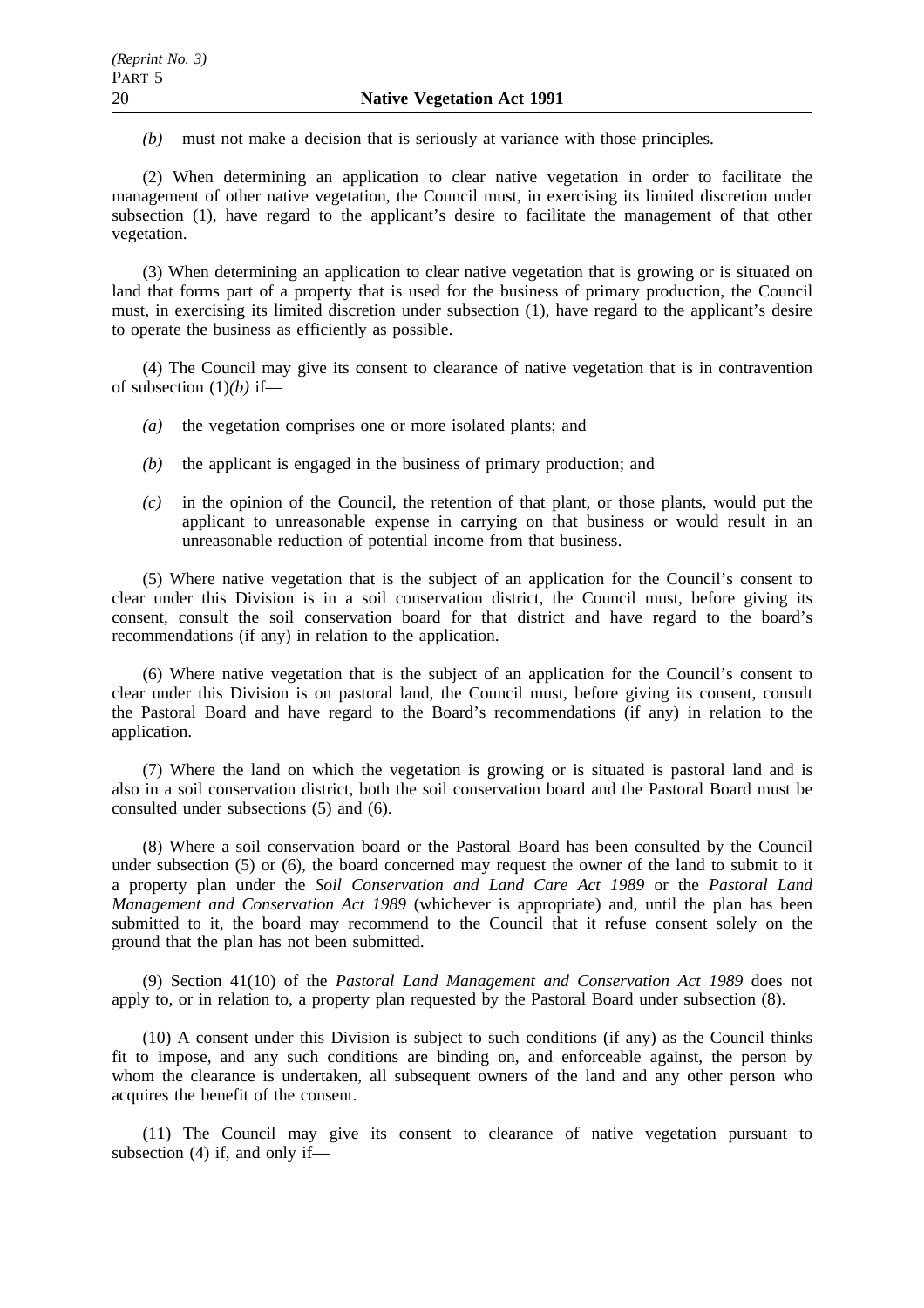*(b)* must not make a decision that is seriously at variance with those principles.

(2) When determining an application to clear native vegetation in order to facilitate the management of other native vegetation, the Council must, in exercising its limited discretion under subsection (1), have regard to the applicant's desire to facilitate the management of that other vegetation.

(3) When determining an application to clear native vegetation that is growing or is situated on land that forms part of a property that is used for the business of primary production, the Council must, in exercising its limited discretion under subsection (1), have regard to the applicant's desire to operate the business as efficiently as possible.

(4) The Council may give its consent to clearance of native vegetation that is in contravention of subsection (1)*(b)* if—

- *(a)* the vegetation comprises one or more isolated plants; and
- *(b)* the applicant is engaged in the business of primary production; and
- *(c)* in the opinion of the Council, the retention of that plant, or those plants, would put the applicant to unreasonable expense in carrying on that business or would result in an unreasonable reduction of potential income from that business.

(5) Where native vegetation that is the subject of an application for the Council's consent to clear under this Division is in a soil conservation district, the Council must, before giving its consent, consult the soil conservation board for that district and have regard to the board's recommendations (if any) in relation to the application.

(6) Where native vegetation that is the subject of an application for the Council's consent to clear under this Division is on pastoral land, the Council must, before giving its consent, consult the Pastoral Board and have regard to the Board's recommendations (if any) in relation to the application.

(7) Where the land on which the vegetation is growing or is situated is pastoral land and is also in a soil conservation district, both the soil conservation board and the Pastoral Board must be consulted under subsections (5) and (6).

(8) Where a soil conservation board or the Pastoral Board has been consulted by the Council under subsection (5) or (6), the board concerned may request the owner of the land to submit to it a property plan under the *Soil Conservation and Land Care Act 1989* or the *Pastoral Land Management and Conservation Act 1989* (whichever is appropriate) and, until the plan has been submitted to it, the board may recommend to the Council that it refuse consent solely on the ground that the plan has not been submitted.

(9) Section 41(10) of the *Pastoral Land Management and Conservation Act 1989* does not apply to, or in relation to, a property plan requested by the Pastoral Board under subsection (8).

(10) A consent under this Division is subject to such conditions (if any) as the Council thinks fit to impose, and any such conditions are binding on, and enforceable against, the person by whom the clearance is undertaken, all subsequent owners of the land and any other person who acquires the benefit of the consent.

(11) The Council may give its consent to clearance of native vegetation pursuant to subsection  $(4)$  if, and only if—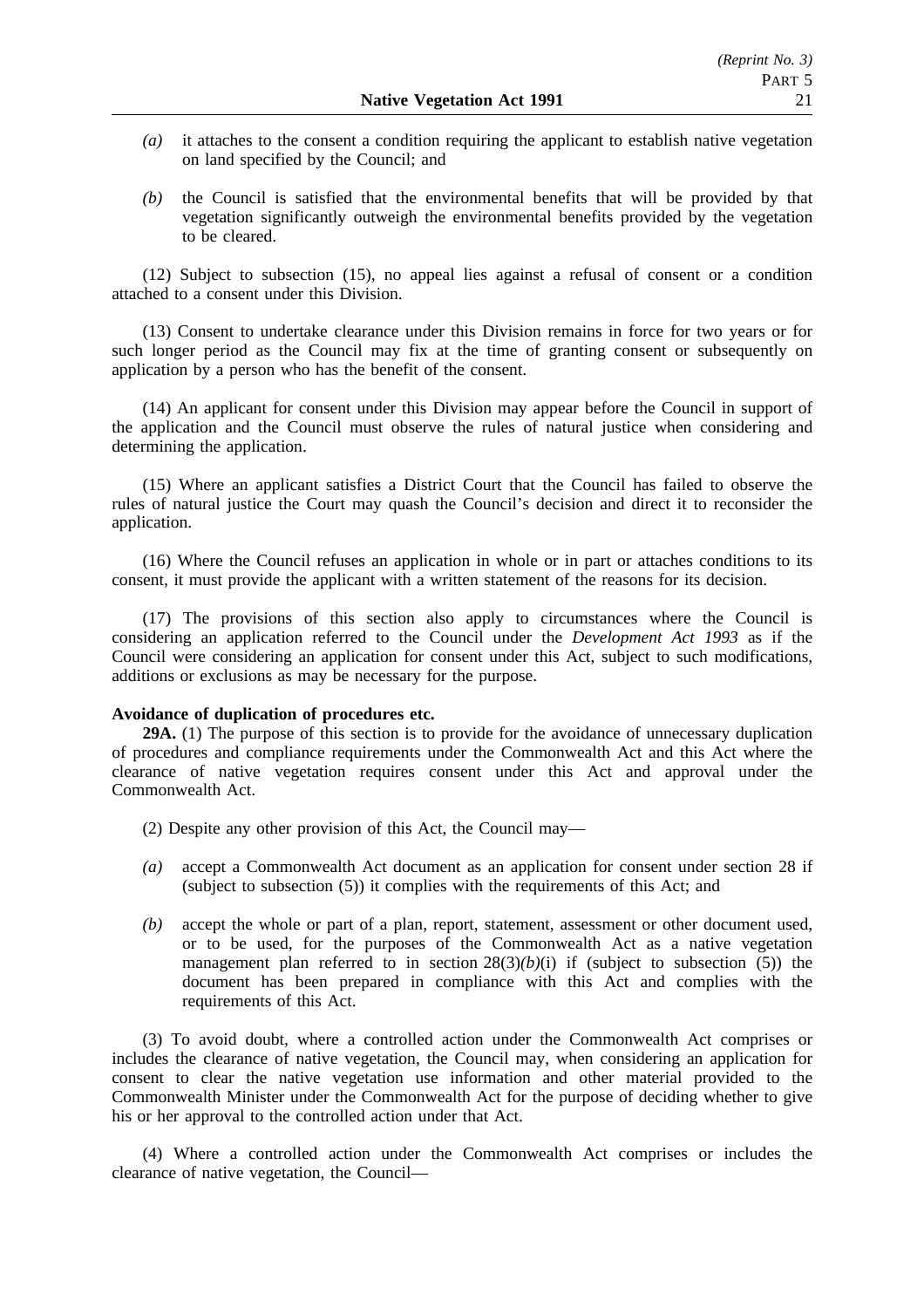- *(a)* it attaches to the consent a condition requiring the applicant to establish native vegetation on land specified by the Council; and
- *(b)* the Council is satisfied that the environmental benefits that will be provided by that vegetation significantly outweigh the environmental benefits provided by the vegetation to be cleared.

(12) Subject to subsection (15), no appeal lies against a refusal of consent or a condition attached to a consent under this Division.

(13) Consent to undertake clearance under this Division remains in force for two years or for such longer period as the Council may fix at the time of granting consent or subsequently on application by a person who has the benefit of the consent.

(14) An applicant for consent under this Division may appear before the Council in support of the application and the Council must observe the rules of natural justice when considering and determining the application.

(15) Where an applicant satisfies a District Court that the Council has failed to observe the rules of natural justice the Court may quash the Council's decision and direct it to reconsider the application.

(16) Where the Council refuses an application in whole or in part or attaches conditions to its consent, it must provide the applicant with a written statement of the reasons for its decision.

(17) The provisions of this section also apply to circumstances where the Council is considering an application referred to the Council under the *Development Act 1993* as if the Council were considering an application for consent under this Act, subject to such modifications, additions or exclusions as may be necessary for the purpose.

## **Avoidance of duplication of procedures etc.**

**29A.** (1) The purpose of this section is to provide for the avoidance of unnecessary duplication of procedures and compliance requirements under the Commonwealth Act and this Act where the clearance of native vegetation requires consent under this Act and approval under the Commonwealth Act.

(2) Despite any other provision of this Act, the Council may—

- *(a)* accept a Commonwealth Act document as an application for consent under section 28 if (subject to subsection (5)) it complies with the requirements of this Act; and
- *(b)* accept the whole or part of a plan, report, statement, assessment or other document used, or to be used, for the purposes of the Commonwealth Act as a native vegetation management plan referred to in section  $28(3)(b)(i)$  if (subject to subsection (5)) the document has been prepared in compliance with this Act and complies with the requirements of this Act.

(3) To avoid doubt, where a controlled action under the Commonwealth Act comprises or includes the clearance of native vegetation, the Council may, when considering an application for consent to clear the native vegetation use information and other material provided to the Commonwealth Minister under the Commonwealth Act for the purpose of deciding whether to give his or her approval to the controlled action under that Act.

(4) Where a controlled action under the Commonwealth Act comprises or includes the clearance of native vegetation, the Council—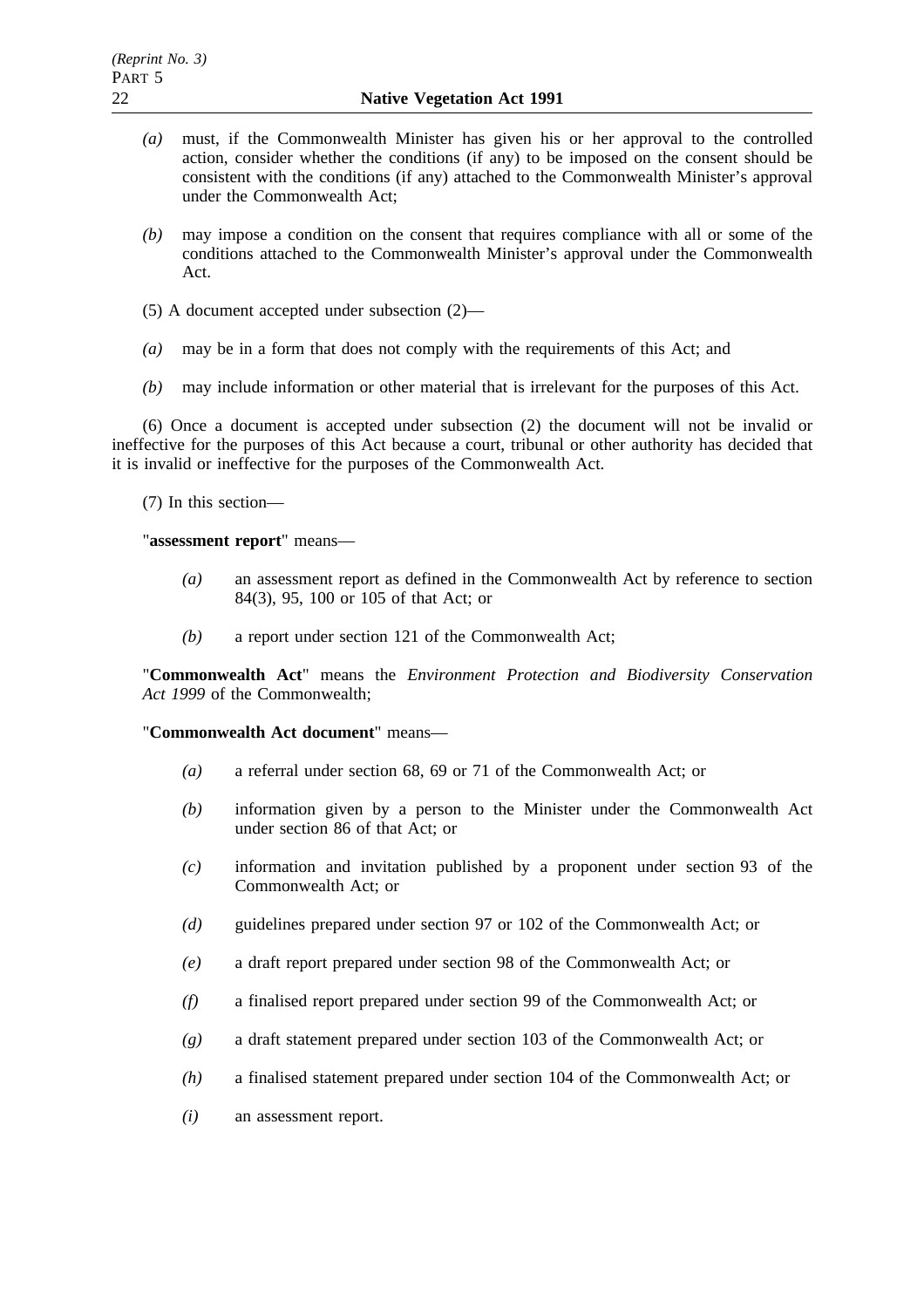- *(a)* must, if the Commonwealth Minister has given his or her approval to the controlled action, consider whether the conditions (if any) to be imposed on the consent should be consistent with the conditions (if any) attached to the Commonwealth Minister's approval under the Commonwealth Act;
- *(b)* may impose a condition on the consent that requires compliance with all or some of the conditions attached to the Commonwealth Minister's approval under the Commonwealth Act.
- (5) A document accepted under subsection (2)—
- *(a)* may be in a form that does not comply with the requirements of this Act; and
- *(b)* may include information or other material that is irrelevant for the purposes of this Act.

(6) Once a document is accepted under subsection (2) the document will not be invalid or ineffective for the purposes of this Act because a court, tribunal or other authority has decided that it is invalid or ineffective for the purposes of the Commonwealth Act.

(7) In this section—

"**assessment report**" means—

- *(a)* an assessment report as defined in the Commonwealth Act by reference to section 84(3), 95, 100 or 105 of that Act; or
- *(b)* a report under section 121 of the Commonwealth Act;

"**Commonwealth Act**" means the *Environment Protection and Biodiversity Conservation Act 1999* of the Commonwealth;

## "**Commonwealth Act document**" means—

- *(a)* a referral under section 68, 69 or 71 of the Commonwealth Act; or
- *(b)* information given by a person to the Minister under the Commonwealth Act under section 86 of that Act; or
- *(c)* information and invitation published by a proponent under section 93 of the Commonwealth Act; or
- *(d)* guidelines prepared under section 97 or 102 of the Commonwealth Act; or
- *(e)* a draft report prepared under section 98 of the Commonwealth Act; or
- *(f)* a finalised report prepared under section 99 of the Commonwealth Act; or
- *(g)* a draft statement prepared under section 103 of the Commonwealth Act; or
- *(h)* a finalised statement prepared under section 104 of the Commonwealth Act; or
- *(i)* an assessment report.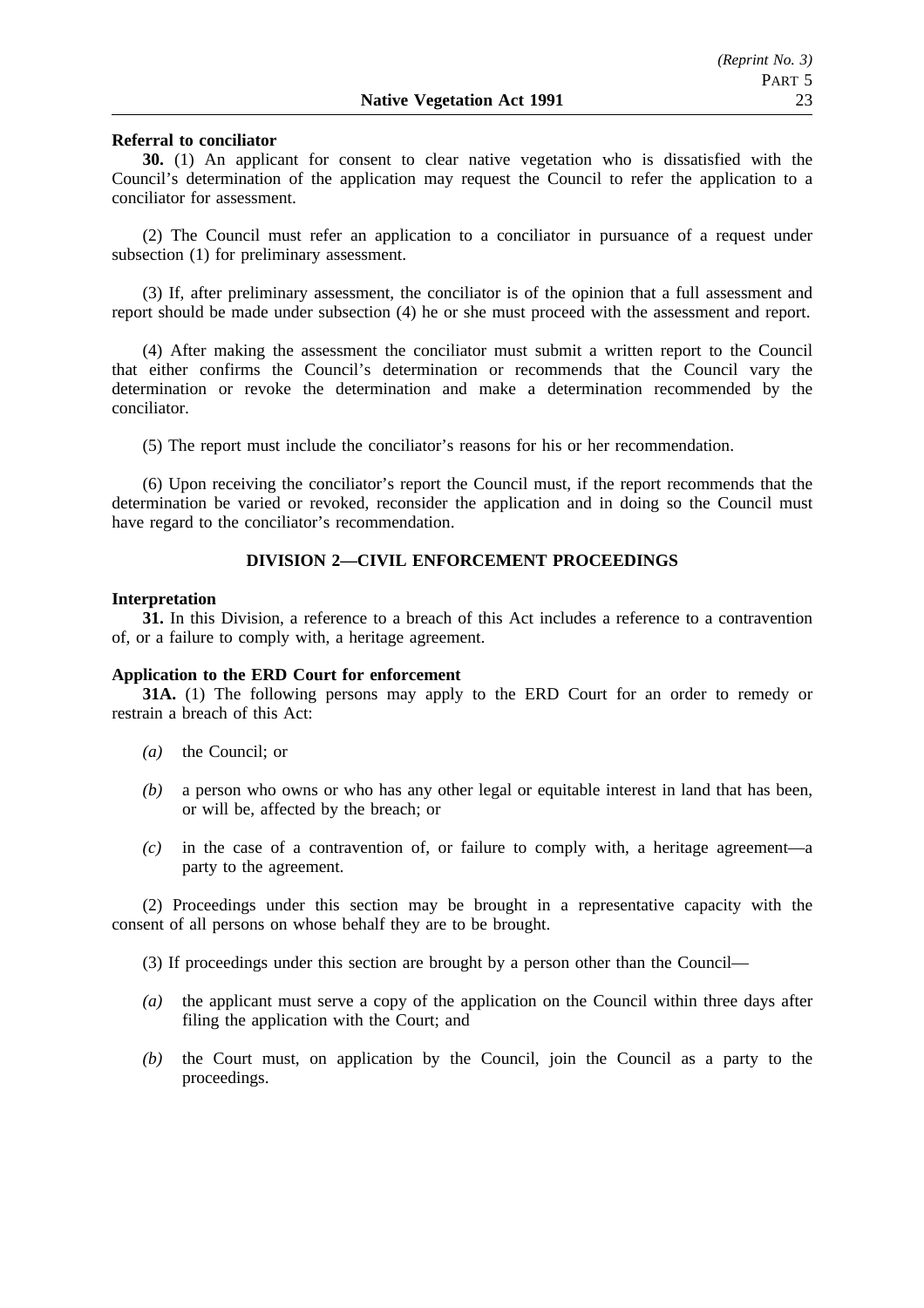## **Referral to conciliator**

**30.** (1) An applicant for consent to clear native vegetation who is dissatisfied with the Council's determination of the application may request the Council to refer the application to a conciliator for assessment.

(2) The Council must refer an application to a conciliator in pursuance of a request under subsection (1) for preliminary assessment.

(3) If, after preliminary assessment, the conciliator is of the opinion that a full assessment and report should be made under subsection (4) he or she must proceed with the assessment and report.

(4) After making the assessment the conciliator must submit a written report to the Council that either confirms the Council's determination or recommends that the Council vary the determination or revoke the determination and make a determination recommended by the conciliator.

(5) The report must include the conciliator's reasons for his or her recommendation.

(6) Upon receiving the conciliator's report the Council must, if the report recommends that the determination be varied or revoked, reconsider the application and in doing so the Council must have regard to the conciliator's recommendation.

## **DIVISION 2—CIVIL ENFORCEMENT PROCEEDINGS**

### **Interpretation**

**31.** In this Division, a reference to a breach of this Act includes a reference to a contravention of, or a failure to comply with, a heritage agreement.

### **Application to the ERD Court for enforcement**

**31A.** (1) The following persons may apply to the ERD Court for an order to remedy or restrain a breach of this Act:

- *(a)* the Council; or
- *(b)* a person who owns or who has any other legal or equitable interest in land that has been, or will be, affected by the breach; or
- *(c)* in the case of a contravention of, or failure to comply with, a heritage agreement—a party to the agreement.

(2) Proceedings under this section may be brought in a representative capacity with the consent of all persons on whose behalf they are to be brought.

(3) If proceedings under this section are brought by a person other than the Council—

- *(a)* the applicant must serve a copy of the application on the Council within three days after filing the application with the Court; and
- *(b)* the Court must, on application by the Council, join the Council as a party to the proceedings.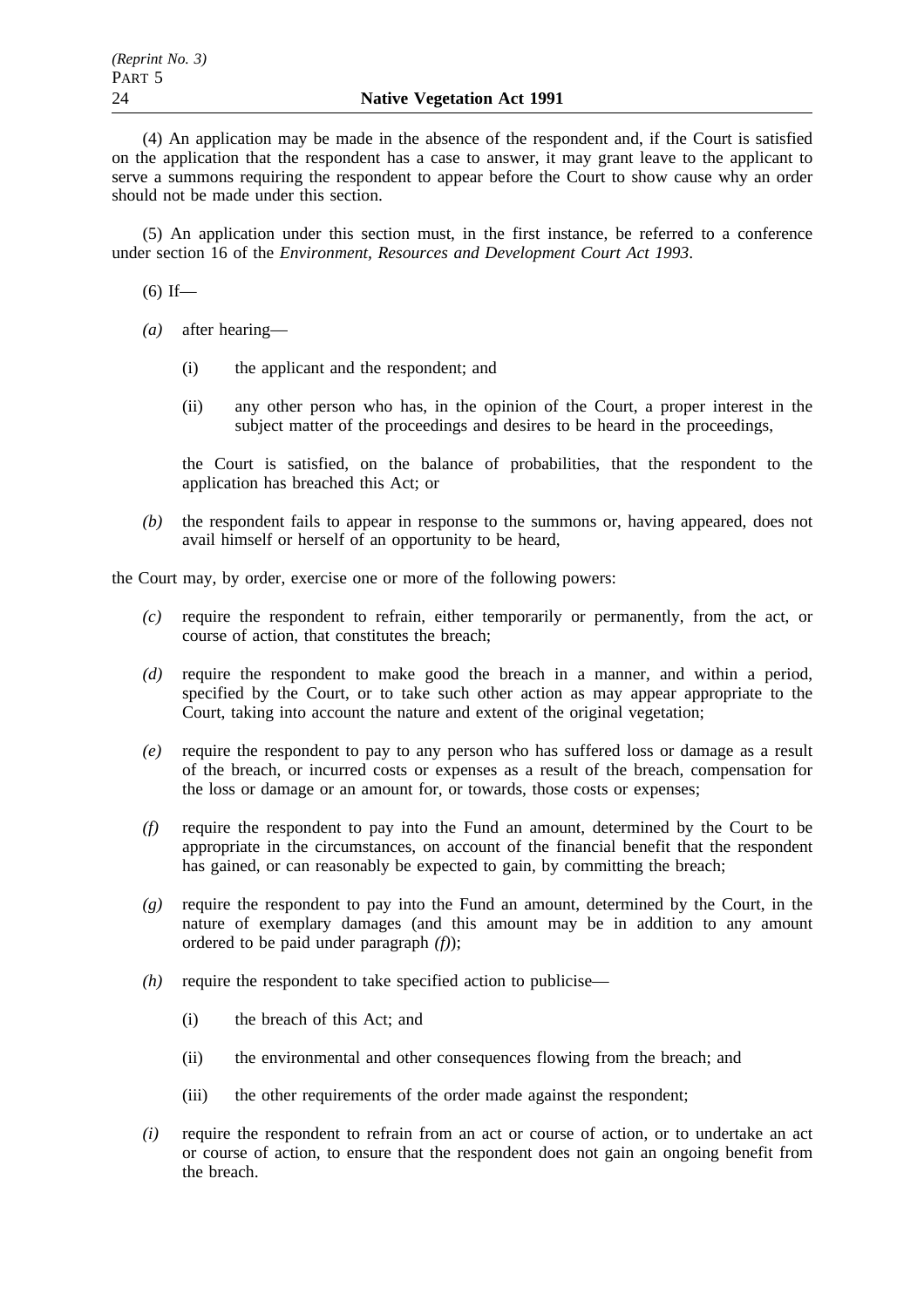(4) An application may be made in the absence of the respondent and, if the Court is satisfied on the application that the respondent has a case to answer, it may grant leave to the applicant to serve a summons requiring the respondent to appear before the Court to show cause why an order should not be made under this section.

(5) An application under this section must, in the first instance, be referred to a conference under section 16 of the *Environment, Resources and Development Court Act 1993*.

 $(6)$  If—

- *(a)* after hearing—
	- (i) the applicant and the respondent; and
	- (ii) any other person who has, in the opinion of the Court, a proper interest in the subject matter of the proceedings and desires to be heard in the proceedings,

the Court is satisfied, on the balance of probabilities, that the respondent to the application has breached this Act; or

*(b)* the respondent fails to appear in response to the summons or, having appeared, does not avail himself or herself of an opportunity to be heard,

the Court may, by order, exercise one or more of the following powers:

- *(c)* require the respondent to refrain, either temporarily or permanently, from the act, or course of action, that constitutes the breach;
- *(d)* require the respondent to make good the breach in a manner, and within a period, specified by the Court, or to take such other action as may appear appropriate to the Court, taking into account the nature and extent of the original vegetation;
- *(e)* require the respondent to pay to any person who has suffered loss or damage as a result of the breach, or incurred costs or expenses as a result of the breach, compensation for the loss or damage or an amount for, or towards, those costs or expenses;
- *(f)* require the respondent to pay into the Fund an amount, determined by the Court to be appropriate in the circumstances, on account of the financial benefit that the respondent has gained, or can reasonably be expected to gain, by committing the breach;
- *(g)* require the respondent to pay into the Fund an amount, determined by the Court, in the nature of exemplary damages (and this amount may be in addition to any amount ordered to be paid under paragraph *(f)*);
- *(h)* require the respondent to take specified action to publicise—
	- (i) the breach of this Act; and
	- (ii) the environmental and other consequences flowing from the breach; and
	- (iii) the other requirements of the order made against the respondent;
- *(i)* require the respondent to refrain from an act or course of action, or to undertake an act or course of action, to ensure that the respondent does not gain an ongoing benefit from the breach.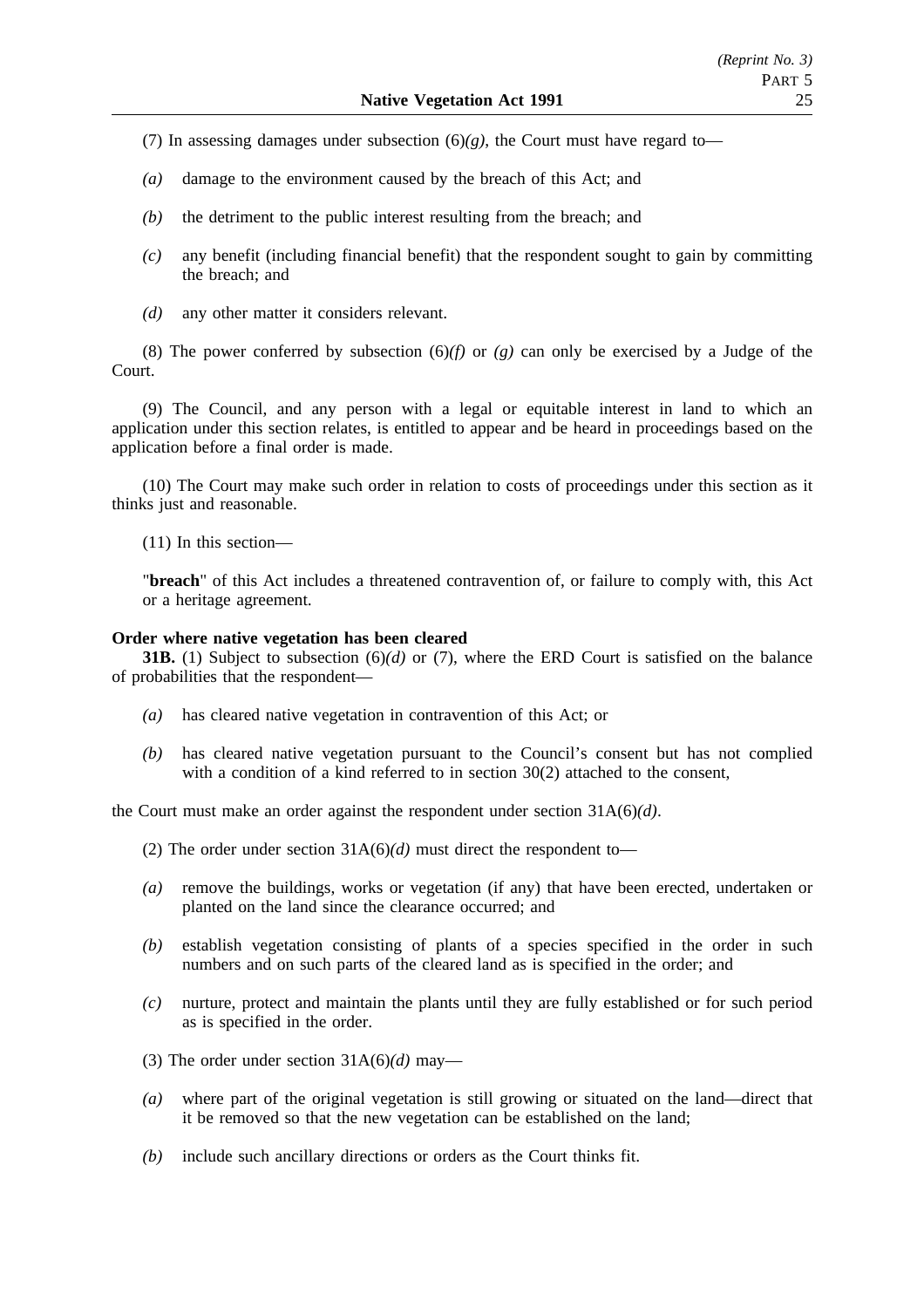- (7) In assessing damages under subsection  $(6)(g)$ , the Court must have regard to-
- *(a)* damage to the environment caused by the breach of this Act; and
- *(b)* the detriment to the public interest resulting from the breach; and
- *(c)* any benefit (including financial benefit) that the respondent sought to gain by committing the breach; and
- *(d)* any other matter it considers relevant.

(8) The power conferred by subsection (6)*(f)* or *(g)* can only be exercised by a Judge of the Court.

(9) The Council, and any person with a legal or equitable interest in land to which an application under this section relates, is entitled to appear and be heard in proceedings based on the application before a final order is made.

(10) The Court may make such order in relation to costs of proceedings under this section as it thinks just and reasonable.

(11) In this section—

"**breach**" of this Act includes a threatened contravention of, or failure to comply with, this Act or a heritage agreement.

## **Order where native vegetation has been cleared**

**31B.** (1) Subject to subsection (6)*(d)* or (7), where the ERD Court is satisfied on the balance of probabilities that the respondent—

- *(a)* has cleared native vegetation in contravention of this Act; or
- *(b)* has cleared native vegetation pursuant to the Council's consent but has not complied with a condition of a kind referred to in section 30(2) attached to the consent,

the Court must make an order against the respondent under section 31A(6)*(d)*.

- (2) The order under section 31A(6)*(d)* must direct the respondent to—
- *(a)* remove the buildings, works or vegetation (if any) that have been erected, undertaken or planted on the land since the clearance occurred; and
- *(b)* establish vegetation consisting of plants of a species specified in the order in such numbers and on such parts of the cleared land as is specified in the order; and
- *(c)* nurture, protect and maintain the plants until they are fully established or for such period as is specified in the order.
- (3) The order under section 31A(6)*(d)* may—
- *(a)* where part of the original vegetation is still growing or situated on the land—direct that it be removed so that the new vegetation can be established on the land;
- *(b)* include such ancillary directions or orders as the Court thinks fit.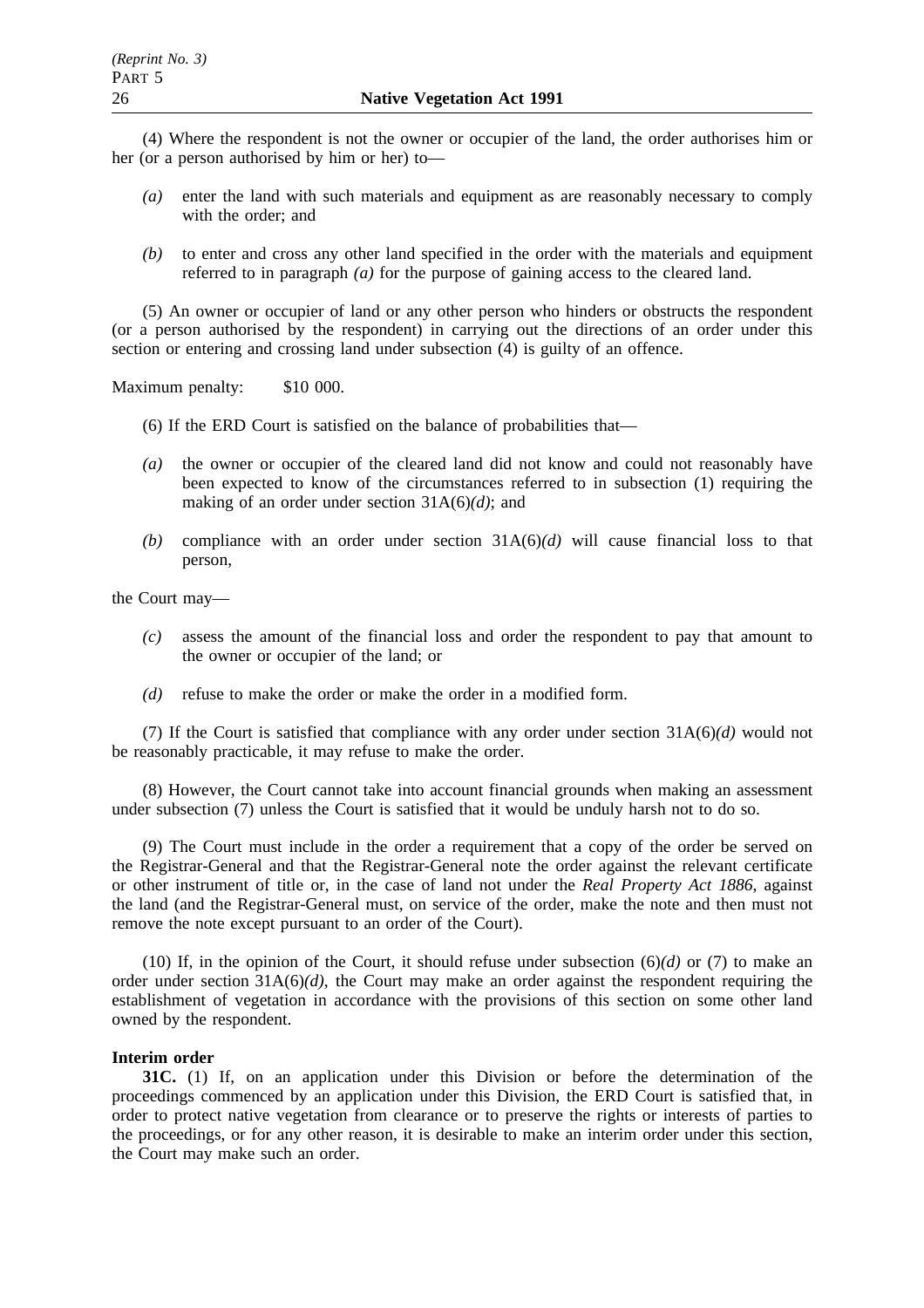(4) Where the respondent is not the owner or occupier of the land, the order authorises him or her (or a person authorised by him or her) to—

- *(a)* enter the land with such materials and equipment as are reasonably necessary to comply with the order; and
- *(b)* to enter and cross any other land specified in the order with the materials and equipment referred to in paragraph *(a)* for the purpose of gaining access to the cleared land.

(5) An owner or occupier of land or any other person who hinders or obstructs the respondent (or a person authorised by the respondent) in carrying out the directions of an order under this section or entering and crossing land under subsection (4) is guilty of an offence.

Maximum penalty: \$10 000.

- (6) If the ERD Court is satisfied on the balance of probabilities that—
- *(a)* the owner or occupier of the cleared land did not know and could not reasonably have been expected to know of the circumstances referred to in subsection (1) requiring the making of an order under section 31A(6)*(d)*; and
- (b) compliance with an order under section  $31A(6)(d)$  will cause financial loss to that person,

the Court may—

- *(c)* assess the amount of the financial loss and order the respondent to pay that amount to the owner or occupier of the land; or
- *(d)* refuse to make the order or make the order in a modified form.

(7) If the Court is satisfied that compliance with any order under section 31A(6)*(d)* would not be reasonably practicable, it may refuse to make the order.

(8) However, the Court cannot take into account financial grounds when making an assessment under subsection (7) unless the Court is satisfied that it would be unduly harsh not to do so.

(9) The Court must include in the order a requirement that a copy of the order be served on the Registrar-General and that the Registrar-General note the order against the relevant certificate or other instrument of title or, in the case of land not under the *Real Property Act 1886*, against the land (and the Registrar-General must, on service of the order, make the note and then must not remove the note except pursuant to an order of the Court).

(10) If, in the opinion of the Court, it should refuse under subsection (6)*(d)* or (7) to make an order under section  $31A(6)/d$ , the Court may make an order against the respondent requiring the establishment of vegetation in accordance with the provisions of this section on some other land owned by the respondent.

## **Interim order**

**31C.** (1) If, on an application under this Division or before the determination of the proceedings commenced by an application under this Division, the ERD Court is satisfied that, in order to protect native vegetation from clearance or to preserve the rights or interests of parties to the proceedings, or for any other reason, it is desirable to make an interim order under this section, the Court may make such an order.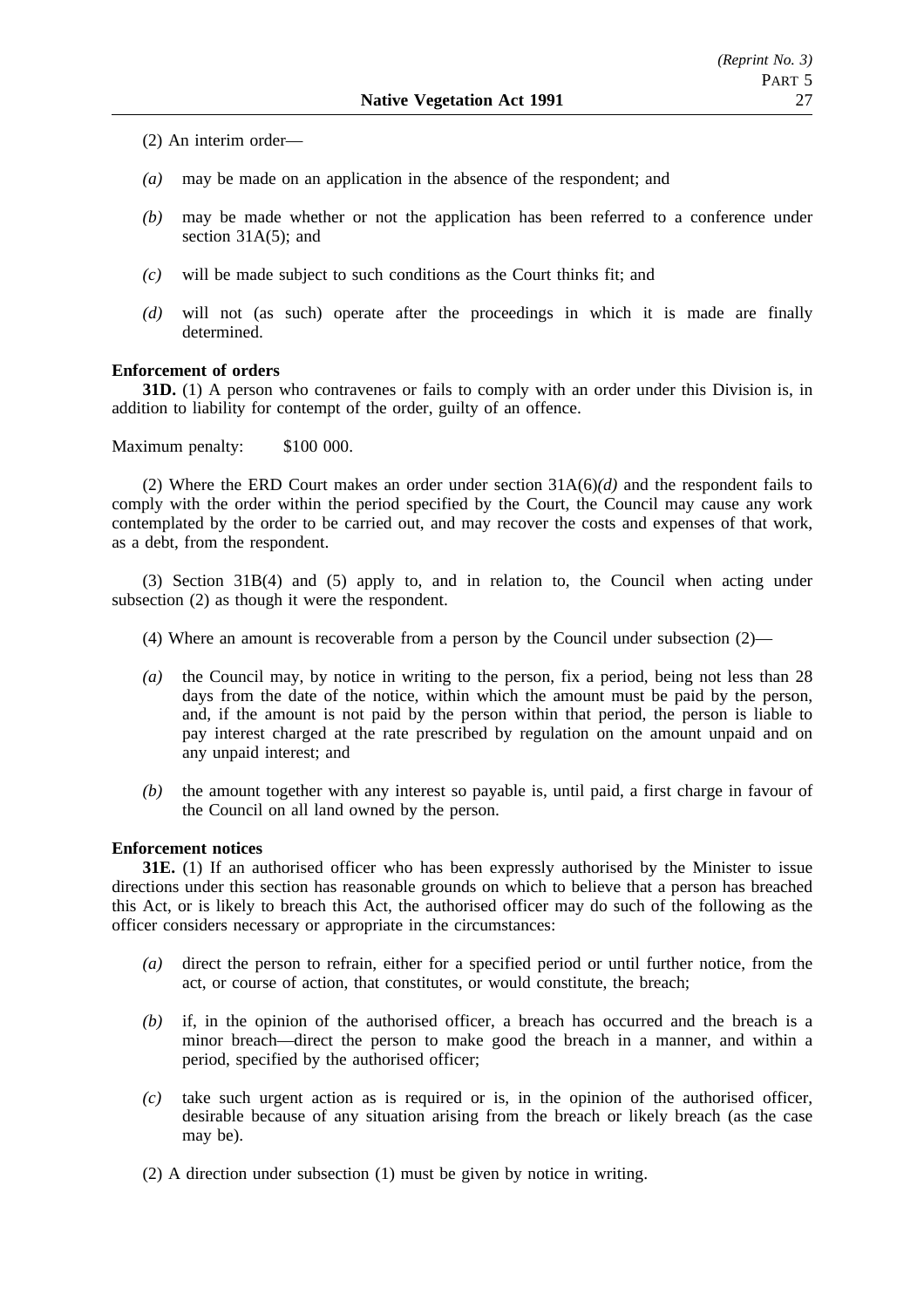(2) An interim order—

- *(a)* may be made on an application in the absence of the respondent; and
- *(b)* may be made whether or not the application has been referred to a conference under section 31A(5); and
- *(c)* will be made subject to such conditions as the Court thinks fit; and
- *(d)* will not (as such) operate after the proceedings in which it is made are finally determined.

## **Enforcement of orders**

**31D.** (1) A person who contravenes or fails to comply with an order under this Division is, in addition to liability for contempt of the order, guilty of an offence.

Maximum penalty: \$100 000.

(2) Where the ERD Court makes an order under section 31A(6)*(d)* and the respondent fails to comply with the order within the period specified by the Court, the Council may cause any work contemplated by the order to be carried out, and may recover the costs and expenses of that work, as a debt, from the respondent.

(3) Section 31B(4) and (5) apply to, and in relation to, the Council when acting under subsection (2) as though it were the respondent.

- (4) Where an amount is recoverable from a person by the Council under subsection (2)—
- *(a)* the Council may, by notice in writing to the person, fix a period, being not less than 28 days from the date of the notice, within which the amount must be paid by the person, and, if the amount is not paid by the person within that period, the person is liable to pay interest charged at the rate prescribed by regulation on the amount unpaid and on any unpaid interest; and
- *(b)* the amount together with any interest so payable is, until paid, a first charge in favour of the Council on all land owned by the person.

## **Enforcement notices**

**31E.** (1) If an authorised officer who has been expressly authorised by the Minister to issue directions under this section has reasonable grounds on which to believe that a person has breached this Act, or is likely to breach this Act, the authorised officer may do such of the following as the officer considers necessary or appropriate in the circumstances:

- *(a)* direct the person to refrain, either for a specified period or until further notice, from the act, or course of action, that constitutes, or would constitute, the breach;
- *(b)* if, in the opinion of the authorised officer, a breach has occurred and the breach is a minor breach—direct the person to make good the breach in a manner, and within a period, specified by the authorised officer;
- *(c)* take such urgent action as is required or is, in the opinion of the authorised officer, desirable because of any situation arising from the breach or likely breach (as the case may be).
- (2) A direction under subsection (1) must be given by notice in writing.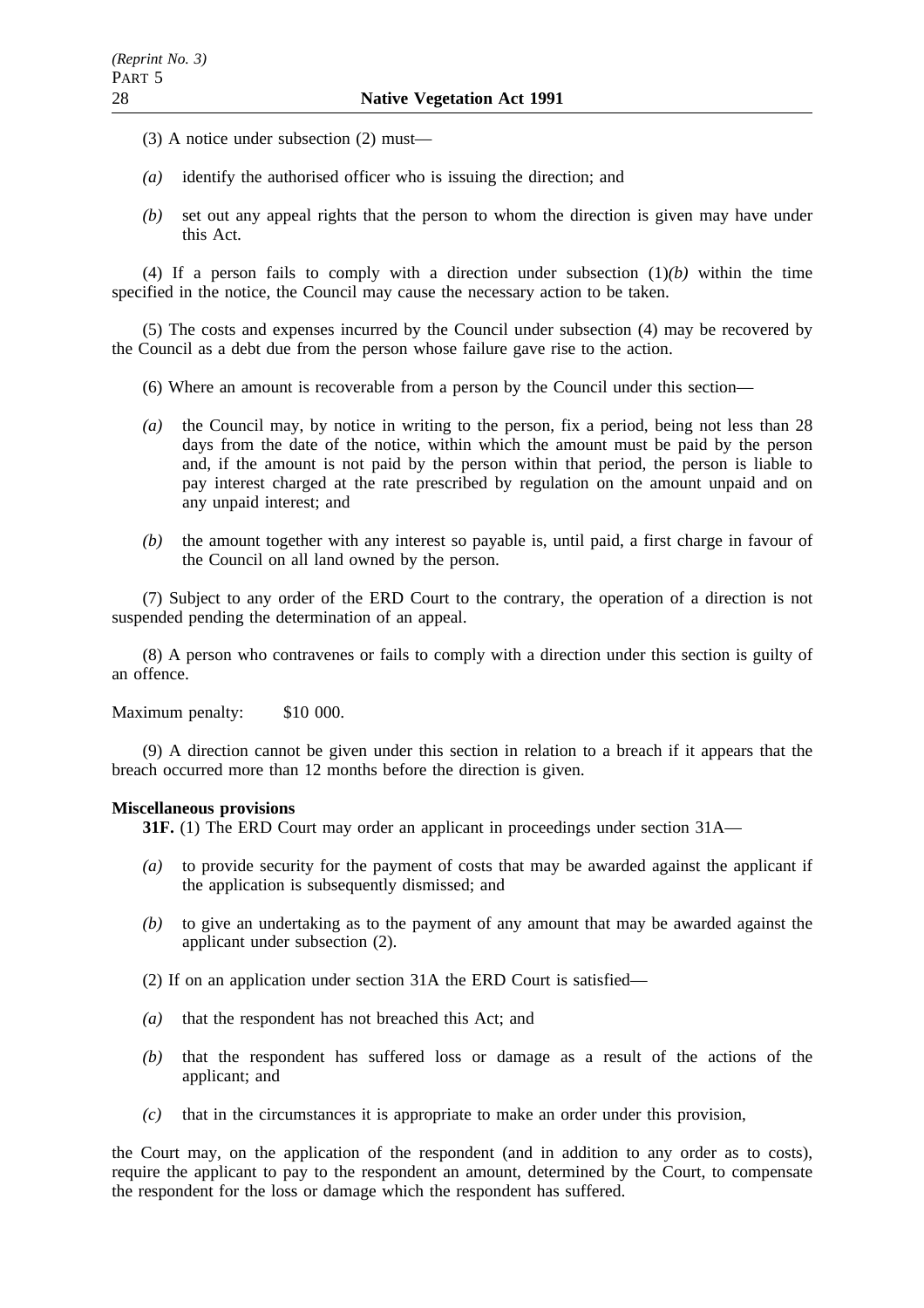- (3) A notice under subsection (2) must—
- *(a)* identify the authorised officer who is issuing the direction; and
- *(b)* set out any appeal rights that the person to whom the direction is given may have under this Act.

(4) If a person fails to comply with a direction under subsection  $(1)(b)$  within the time specified in the notice, the Council may cause the necessary action to be taken.

(5) The costs and expenses incurred by the Council under subsection (4) may be recovered by the Council as a debt due from the person whose failure gave rise to the action.

- (6) Where an amount is recoverable from a person by the Council under this section—
- *(a)* the Council may, by notice in writing to the person, fix a period, being not less than 28 days from the date of the notice, within which the amount must be paid by the person and, if the amount is not paid by the person within that period, the person is liable to pay interest charged at the rate prescribed by regulation on the amount unpaid and on any unpaid interest; and
- *(b)* the amount together with any interest so payable is, until paid, a first charge in favour of the Council on all land owned by the person.

(7) Subject to any order of the ERD Court to the contrary, the operation of a direction is not suspended pending the determination of an appeal.

(8) A person who contravenes or fails to comply with a direction under this section is guilty of an offence.

Maximum penalty: \$10 000.

(9) A direction cannot be given under this section in relation to a breach if it appears that the breach occurred more than 12 months before the direction is given.

## **Miscellaneous provisions**

**31F.** (1) The ERD Court may order an applicant in proceedings under section 31A—

- *(a)* to provide security for the payment of costs that may be awarded against the applicant if the application is subsequently dismissed; and
- *(b)* to give an undertaking as to the payment of any amount that may be awarded against the applicant under subsection (2).
- (2) If on an application under section 31A the ERD Court is satisfied—
- *(a)* that the respondent has not breached this Act; and
- *(b)* that the respondent has suffered loss or damage as a result of the actions of the applicant; and
- *(c)* that in the circumstances it is appropriate to make an order under this provision,

the Court may, on the application of the respondent (and in addition to any order as to costs), require the applicant to pay to the respondent an amount, determined by the Court, to compensate the respondent for the loss or damage which the respondent has suffered.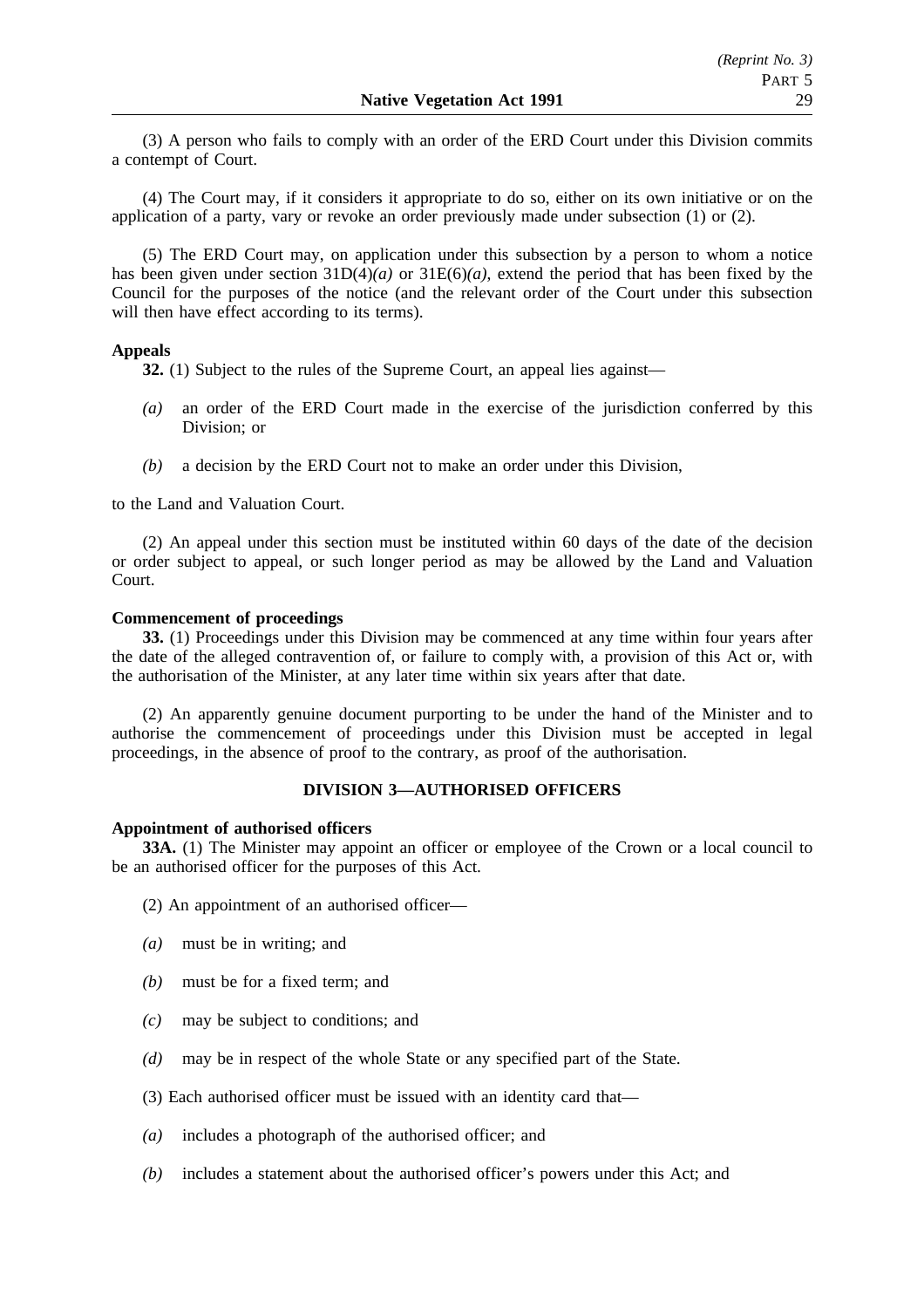(3) A person who fails to comply with an order of the ERD Court under this Division commits a contempt of Court.

(4) The Court may, if it considers it appropriate to do so, either on its own initiative or on the application of a party, vary or revoke an order previously made under subsection (1) or (2).

(5) The ERD Court may, on application under this subsection by a person to whom a notice has been given under section 31D(4)*(a)* or 31E(6)*(a)*, extend the period that has been fixed by the Council for the purposes of the notice (and the relevant order of the Court under this subsection will then have effect according to its terms).

## **Appeals**

**32.** (1) Subject to the rules of the Supreme Court, an appeal lies against—

- *(a)* an order of the ERD Court made in the exercise of the jurisdiction conferred by this Division; or
- *(b)* a decision by the ERD Court not to make an order under this Division,

to the Land and Valuation Court.

(2) An appeal under this section must be instituted within 60 days of the date of the decision or order subject to appeal, or such longer period as may be allowed by the Land and Valuation Court.

### **Commencement of proceedings**

**33.** (1) Proceedings under this Division may be commenced at any time within four years after the date of the alleged contravention of, or failure to comply with, a provision of this Act or, with the authorisation of the Minister, at any later time within six years after that date.

(2) An apparently genuine document purporting to be under the hand of the Minister and to authorise the commencement of proceedings under this Division must be accepted in legal proceedings, in the absence of proof to the contrary, as proof of the authorisation.

## **DIVISION 3—AUTHORISED OFFICERS**

### **Appointment of authorised officers**

**33A.** (1) The Minister may appoint an officer or employee of the Crown or a local council to be an authorised officer for the purposes of this Act.

- (2) An appointment of an authorised officer—
- *(a)* must be in writing; and
- *(b)* must be for a fixed term; and
- *(c)* may be subject to conditions; and
- *(d)* may be in respect of the whole State or any specified part of the State.
- (3) Each authorised officer must be issued with an identity card that—
- *(a)* includes a photograph of the authorised officer; and
- *(b)* includes a statement about the authorised officer's powers under this Act; and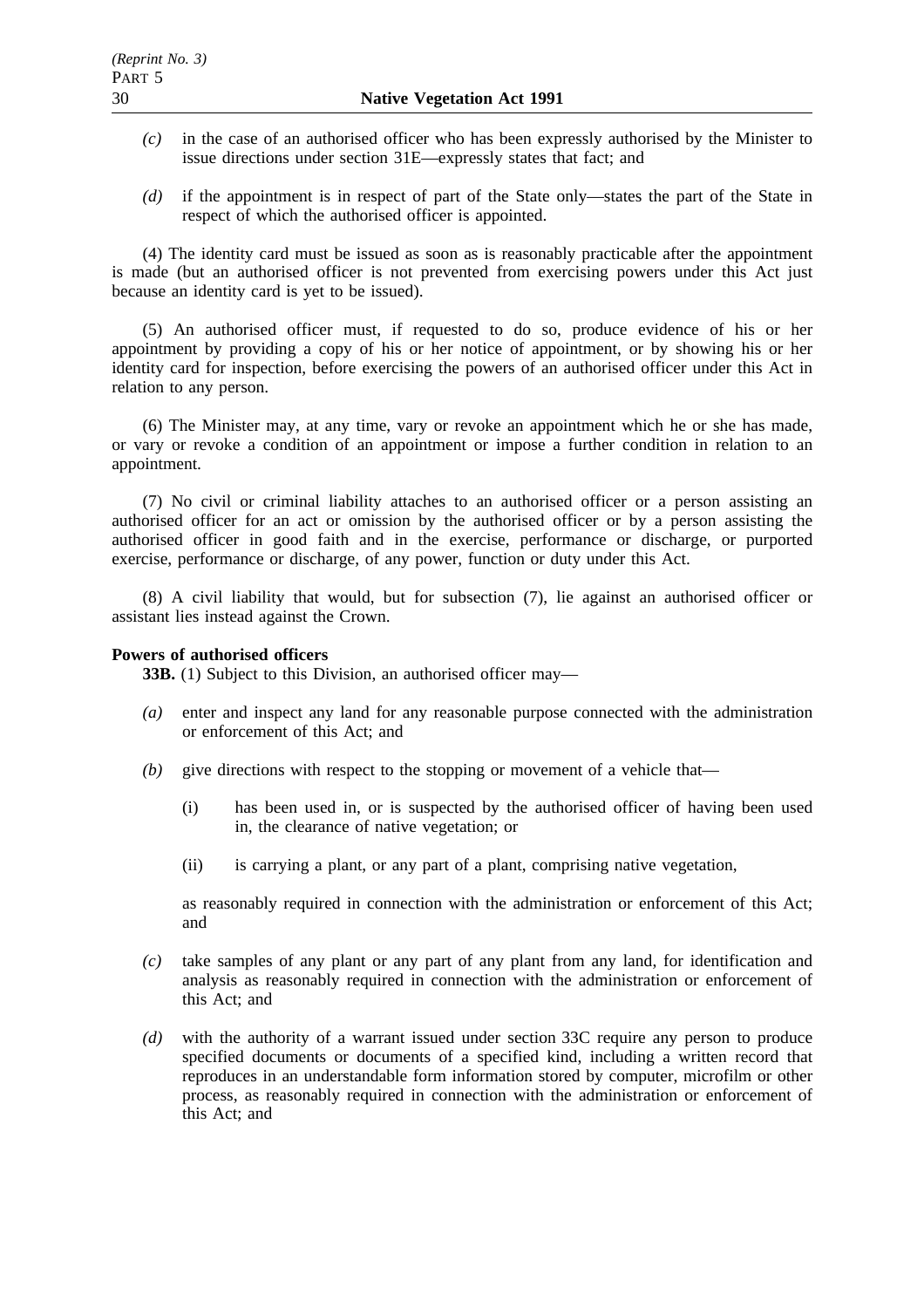- *(c)* in the case of an authorised officer who has been expressly authorised by the Minister to issue directions under section 31E—expressly states that fact; and
- *(d)* if the appointment is in respect of part of the State only—states the part of the State in respect of which the authorised officer is appointed.

(4) The identity card must be issued as soon as is reasonably practicable after the appointment is made (but an authorised officer is not prevented from exercising powers under this Act just because an identity card is yet to be issued).

(5) An authorised officer must, if requested to do so, produce evidence of his or her appointment by providing a copy of his or her notice of appointment, or by showing his or her identity card for inspection, before exercising the powers of an authorised officer under this Act in relation to any person.

(6) The Minister may, at any time, vary or revoke an appointment which he or she has made, or vary or revoke a condition of an appointment or impose a further condition in relation to an appointment.

(7) No civil or criminal liability attaches to an authorised officer or a person assisting an authorised officer for an act or omission by the authorised officer or by a person assisting the authorised officer in good faith and in the exercise, performance or discharge, or purported exercise, performance or discharge, of any power, function or duty under this Act.

(8) A civil liability that would, but for subsection (7), lie against an authorised officer or assistant lies instead against the Crown.

## **Powers of authorised officers**

**33B.** (1) Subject to this Division, an authorised officer may—

- *(a)* enter and inspect any land for any reasonable purpose connected with the administration or enforcement of this Act; and
- *(b)* give directions with respect to the stopping or movement of a vehicle that—
	- (i) has been used in, or is suspected by the authorised officer of having been used in, the clearance of native vegetation; or
	- (ii) is carrying a plant, or any part of a plant, comprising native vegetation,

as reasonably required in connection with the administration or enforcement of this Act; and

- *(c)* take samples of any plant or any part of any plant from any land, for identification and analysis as reasonably required in connection with the administration or enforcement of this Act; and
- *(d)* with the authority of a warrant issued under section 33C require any person to produce specified documents or documents of a specified kind, including a written record that reproduces in an understandable form information stored by computer, microfilm or other process, as reasonably required in connection with the administration or enforcement of this Act; and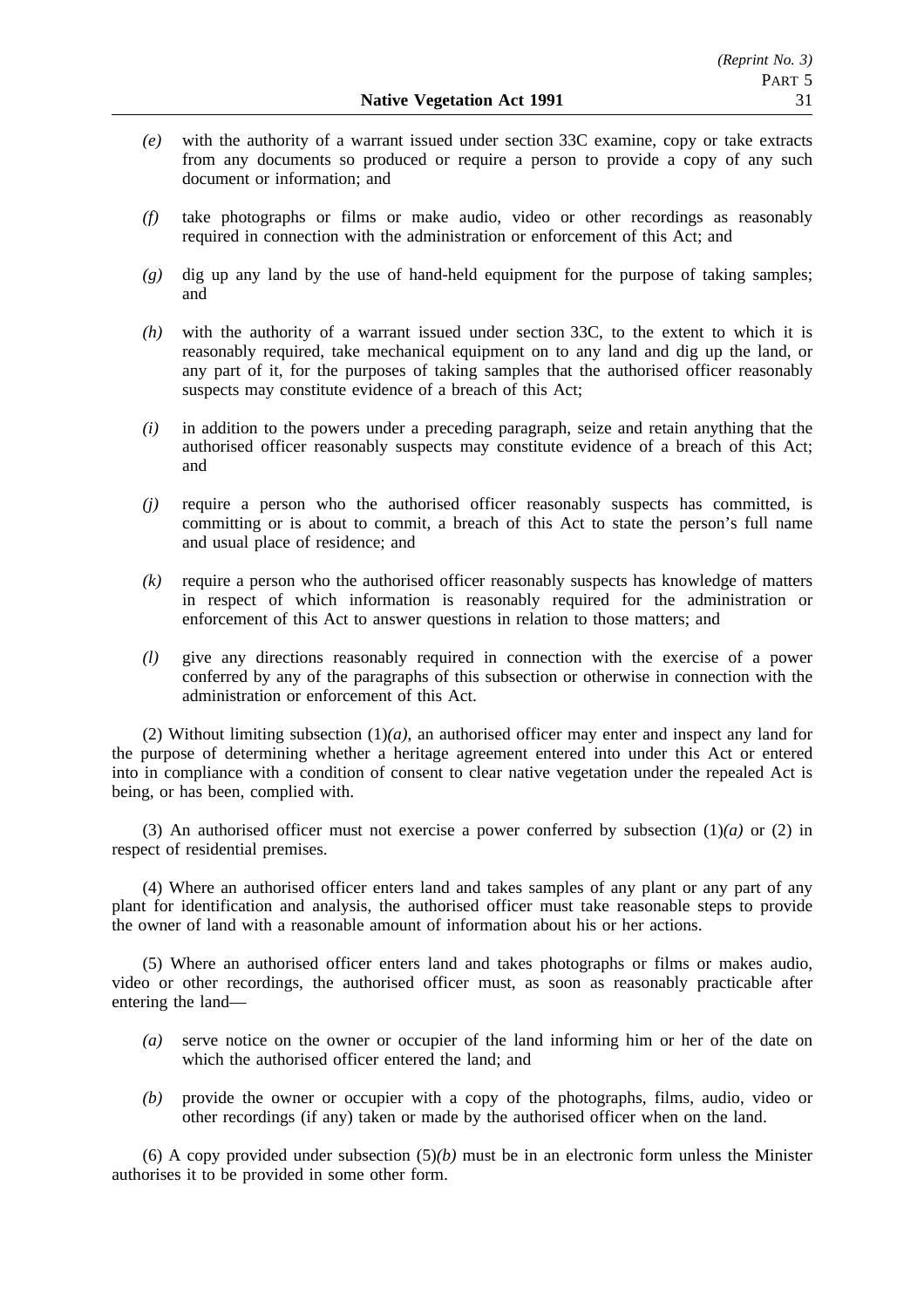- *(e)* with the authority of a warrant issued under section 33C examine, copy or take extracts from any documents so produced or require a person to provide a copy of any such document or information; and
- *(f)* take photographs or films or make audio, video or other recordings as reasonably required in connection with the administration or enforcement of this Act; and
- *(g)* dig up any land by the use of hand-held equipment for the purpose of taking samples; and
- *(h)* with the authority of a warrant issued under section 33C, to the extent to which it is reasonably required, take mechanical equipment on to any land and dig up the land, or any part of it, for the purposes of taking samples that the authorised officer reasonably suspects may constitute evidence of a breach of this Act;
- *(i)* in addition to the powers under a preceding paragraph, seize and retain anything that the authorised officer reasonably suspects may constitute evidence of a breach of this Act; and
- *(j)* require a person who the authorised officer reasonably suspects has committed, is committing or is about to commit, a breach of this Act to state the person's full name and usual place of residence; and
- *(k)* require a person who the authorised officer reasonably suspects has knowledge of matters in respect of which information is reasonably required for the administration or enforcement of this Act to answer questions in relation to those matters; and
- *(l)* give any directions reasonably required in connection with the exercise of a power conferred by any of the paragraphs of this subsection or otherwise in connection with the administration or enforcement of this Act.

(2) Without limiting subsection (1)*(a)*, an authorised officer may enter and inspect any land for the purpose of determining whether a heritage agreement entered into under this Act or entered into in compliance with a condition of consent to clear native vegetation under the repealed Act is being, or has been, complied with.

(3) An authorised officer must not exercise a power conferred by subsection  $(1)(a)$  or  $(2)$  in respect of residential premises.

(4) Where an authorised officer enters land and takes samples of any plant or any part of any plant for identification and analysis, the authorised officer must take reasonable steps to provide the owner of land with a reasonable amount of information about his or her actions.

(5) Where an authorised officer enters land and takes photographs or films or makes audio, video or other recordings, the authorised officer must, as soon as reasonably practicable after entering the land—

- *(a)* serve notice on the owner or occupier of the land informing him or her of the date on which the authorised officer entered the land; and
- *(b)* provide the owner or occupier with a copy of the photographs, films, audio, video or other recordings (if any) taken or made by the authorised officer when on the land.

(6) A copy provided under subsection  $(5)(b)$  must be in an electronic form unless the Minister authorises it to be provided in some other form.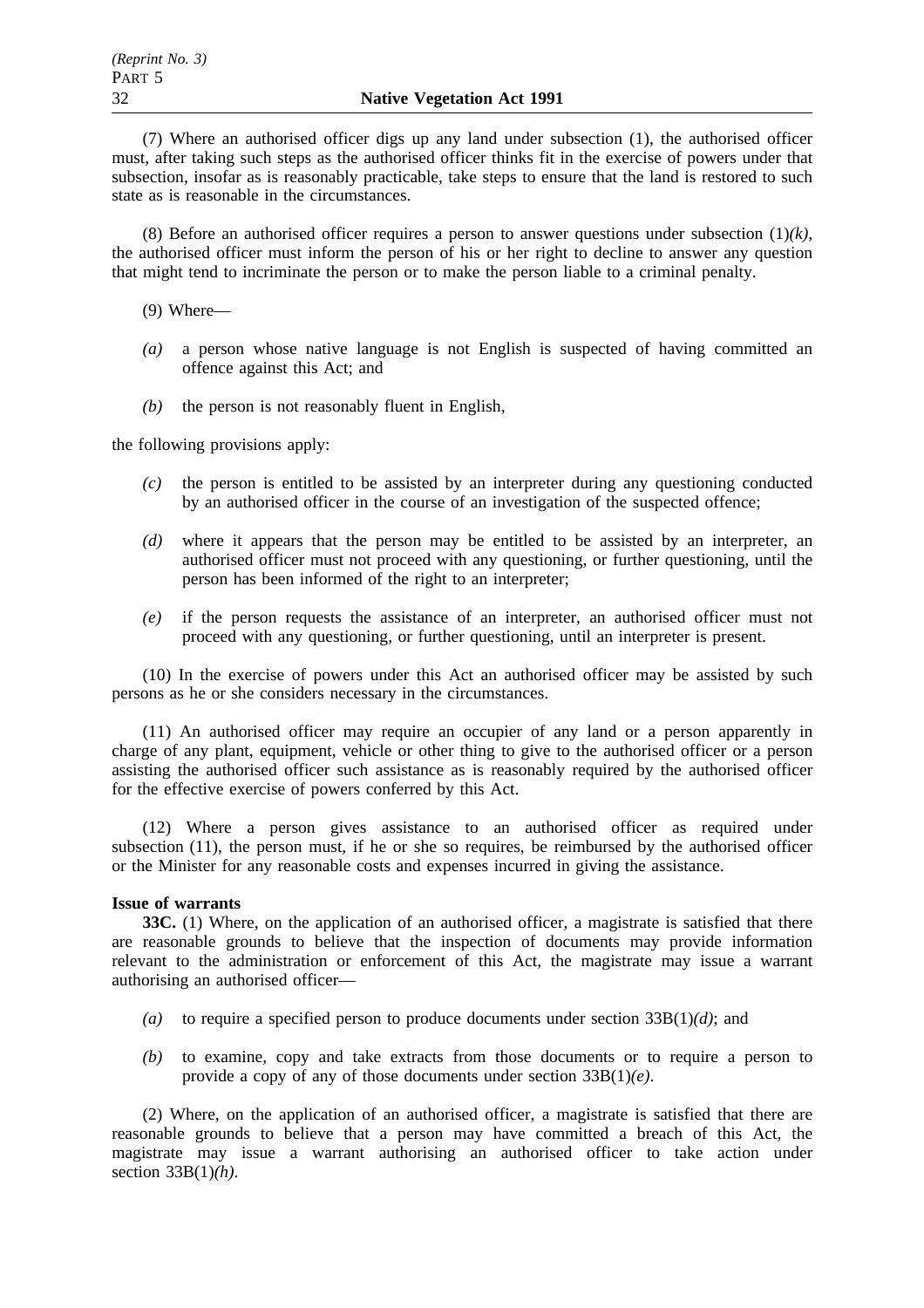(7) Where an authorised officer digs up any land under subsection (1), the authorised officer must, after taking such steps as the authorised officer thinks fit in the exercise of powers under that subsection, insofar as is reasonably practicable, take steps to ensure that the land is restored to such state as is reasonable in the circumstances.

(8) Before an authorised officer requires a person to answer questions under subsection (1)*(k)*, the authorised officer must inform the person of his or her right to decline to answer any question that might tend to incriminate the person or to make the person liable to a criminal penalty.

(9) Where—

- *(a)* a person whose native language is not English is suspected of having committed an offence against this Act; and
- *(b)* the person is not reasonably fluent in English,

the following provisions apply:

- *(c)* the person is entitled to be assisted by an interpreter during any questioning conducted by an authorised officer in the course of an investigation of the suspected offence;
- *(d)* where it appears that the person may be entitled to be assisted by an interpreter, an authorised officer must not proceed with any questioning, or further questioning, until the person has been informed of the right to an interpreter;
- *(e)* if the person requests the assistance of an interpreter, an authorised officer must not proceed with any questioning, or further questioning, until an interpreter is present.

(10) In the exercise of powers under this Act an authorised officer may be assisted by such persons as he or she considers necessary in the circumstances.

(11) An authorised officer may require an occupier of any land or a person apparently in charge of any plant, equipment, vehicle or other thing to give to the authorised officer or a person assisting the authorised officer such assistance as is reasonably required by the authorised officer for the effective exercise of powers conferred by this Act.

(12) Where a person gives assistance to an authorised officer as required under subsection (11), the person must, if he or she so requires, be reimbursed by the authorised officer or the Minister for any reasonable costs and expenses incurred in giving the assistance.

### **Issue of warrants**

**33C.** (1) Where, on the application of an authorised officer, a magistrate is satisfied that there are reasonable grounds to believe that the inspection of documents may provide information relevant to the administration or enforcement of this Act, the magistrate may issue a warrant authorising an authorised officer—

- *(a)* to require a specified person to produce documents under section 33B(1)*(d)*; and
- *(b)* to examine, copy and take extracts from those documents or to require a person to provide a copy of any of those documents under section 33B(1)*(e)*.

(2) Where, on the application of an authorised officer, a magistrate is satisfied that there are reasonable grounds to believe that a person may have committed a breach of this Act, the magistrate may issue a warrant authorising an authorised officer to take action under section 33B(1)*(h)*.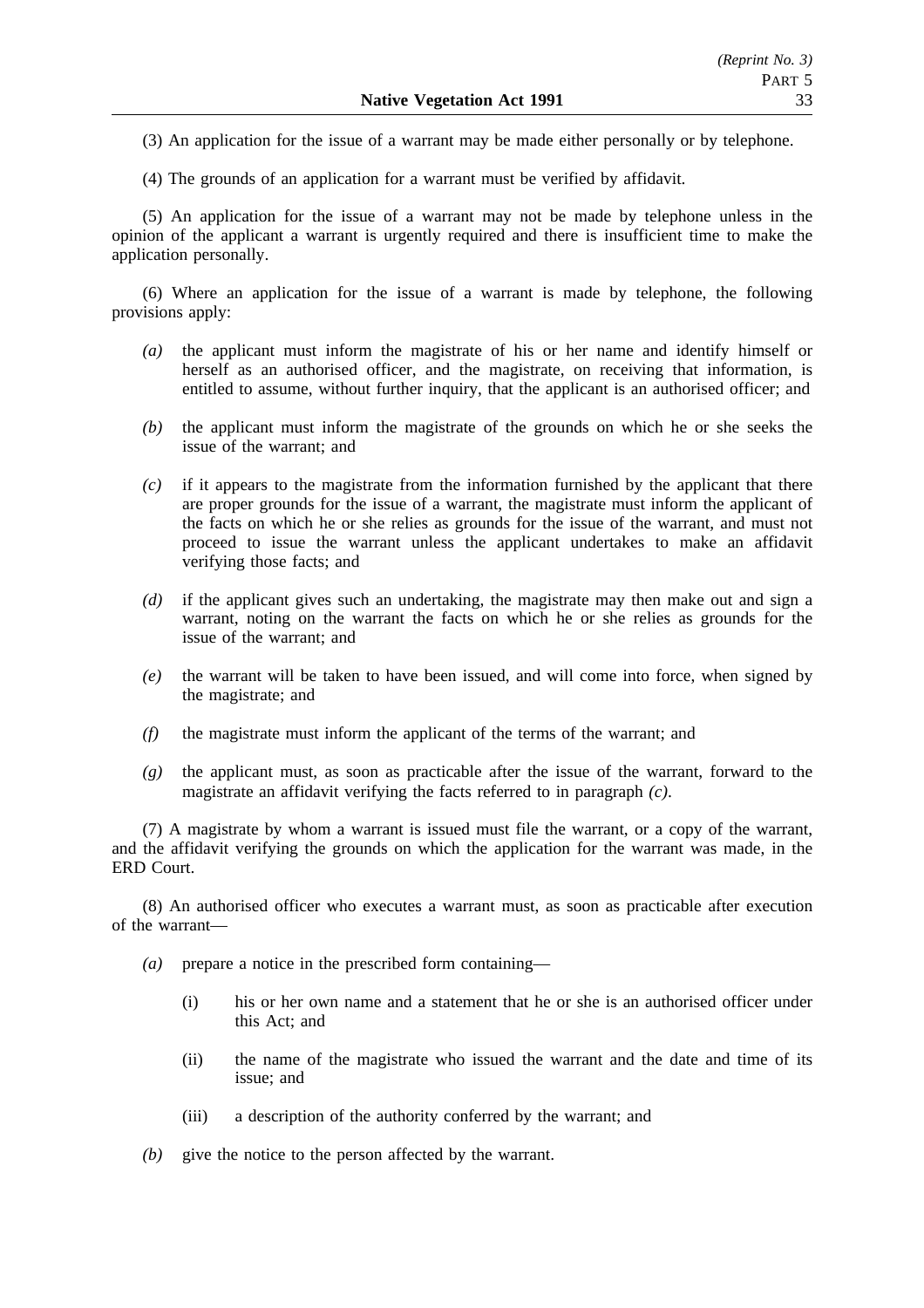(3) An application for the issue of a warrant may be made either personally or by telephone.

(4) The grounds of an application for a warrant must be verified by affidavit.

(5) An application for the issue of a warrant may not be made by telephone unless in the opinion of the applicant a warrant is urgently required and there is insufficient time to make the application personally.

(6) Where an application for the issue of a warrant is made by telephone, the following provisions apply:

- *(a)* the applicant must inform the magistrate of his or her name and identify himself or herself as an authorised officer, and the magistrate, on receiving that information, is entitled to assume, without further inquiry, that the applicant is an authorised officer; and
- *(b)* the applicant must inform the magistrate of the grounds on which he or she seeks the issue of the warrant; and
- *(c)* if it appears to the magistrate from the information furnished by the applicant that there are proper grounds for the issue of a warrant, the magistrate must inform the applicant of the facts on which he or she relies as grounds for the issue of the warrant, and must not proceed to issue the warrant unless the applicant undertakes to make an affidavit verifying those facts; and
- *(d)* if the applicant gives such an undertaking, the magistrate may then make out and sign a warrant, noting on the warrant the facts on which he or she relies as grounds for the issue of the warrant; and
- *(e)* the warrant will be taken to have been issued, and will come into force, when signed by the magistrate; and
- *(f)* the magistrate must inform the applicant of the terms of the warrant; and
- *(g)* the applicant must, as soon as practicable after the issue of the warrant, forward to the magistrate an affidavit verifying the facts referred to in paragraph *(c)*.

(7) A magistrate by whom a warrant is issued must file the warrant, or a copy of the warrant, and the affidavit verifying the grounds on which the application for the warrant was made, in the ERD Court.

(8) An authorised officer who executes a warrant must, as soon as practicable after execution of the warrant—

- *(a)* prepare a notice in the prescribed form containing—
	- (i) his or her own name and a statement that he or she is an authorised officer under this Act; and
	- (ii) the name of the magistrate who issued the warrant and the date and time of its issue; and
	- (iii) a description of the authority conferred by the warrant; and
- *(b)* give the notice to the person affected by the warrant.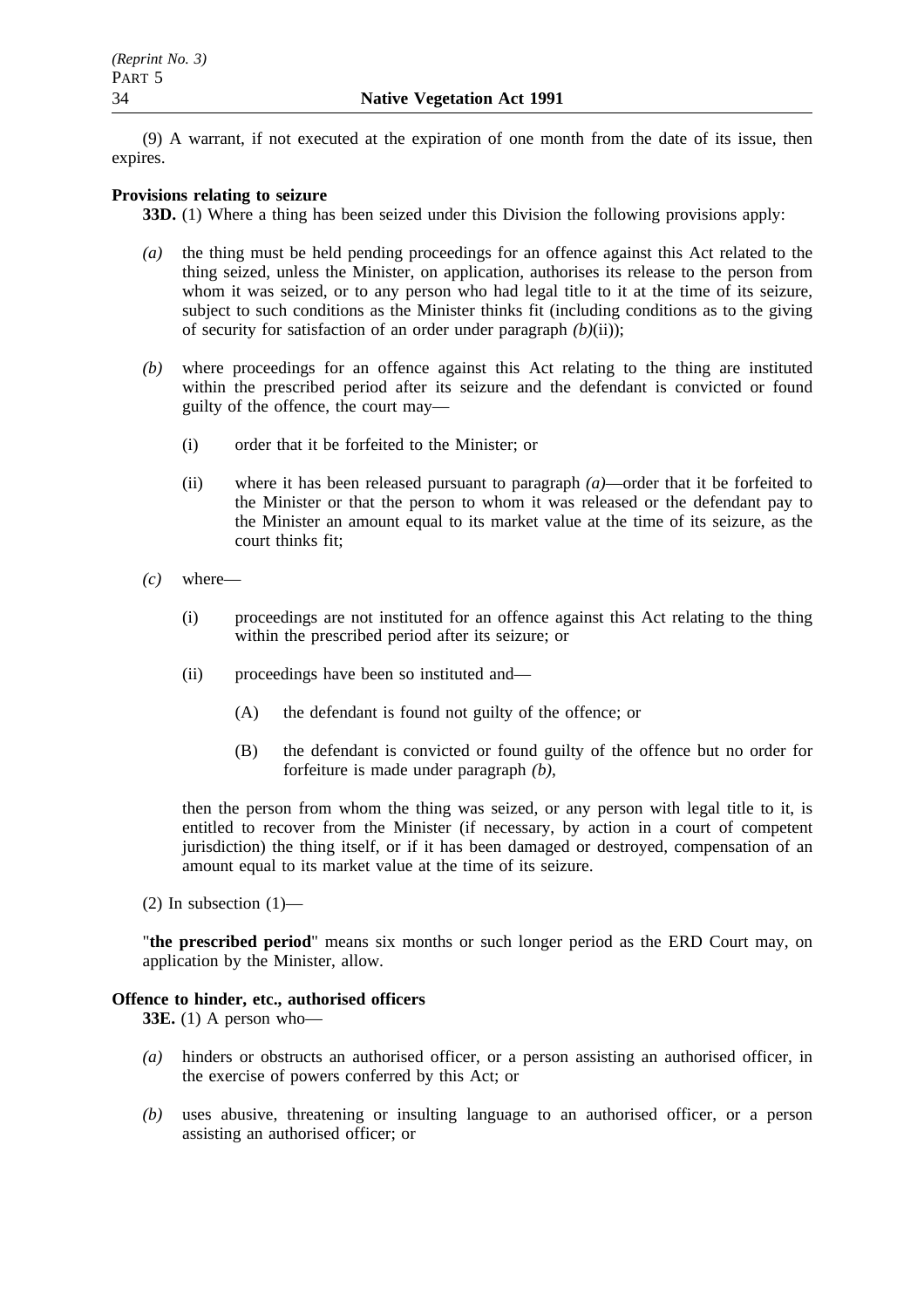(9) A warrant, if not executed at the expiration of one month from the date of its issue, then expires.

## **Provisions relating to seizure**

**33D.** (1) Where a thing has been seized under this Division the following provisions apply:

- *(a)* the thing must be held pending proceedings for an offence against this Act related to the thing seized, unless the Minister, on application, authorises its release to the person from whom it was seized, or to any person who had legal title to it at the time of its seizure, subject to such conditions as the Minister thinks fit (including conditions as to the giving of security for satisfaction of an order under paragraph *(b)*(ii));
- *(b)* where proceedings for an offence against this Act relating to the thing are instituted within the prescribed period after its seizure and the defendant is convicted or found guilty of the offence, the court may—
	- (i) order that it be forfeited to the Minister; or
	- (ii) where it has been released pursuant to paragraph *(a)*—order that it be forfeited to the Minister or that the person to whom it was released or the defendant pay to the Minister an amount equal to its market value at the time of its seizure, as the court thinks fit;
- *(c)* where—
	- (i) proceedings are not instituted for an offence against this Act relating to the thing within the prescribed period after its seizure; or
	- (ii) proceedings have been so instituted and—
		- (A) the defendant is found not guilty of the offence; or
		- (B) the defendant is convicted or found guilty of the offence but no order for forfeiture is made under paragraph *(b)*,

then the person from whom the thing was seized, or any person with legal title to it, is entitled to recover from the Minister (if necessary, by action in a court of competent jurisdiction) the thing itself, or if it has been damaged or destroyed, compensation of an amount equal to its market value at the time of its seizure.

(2) In subsection  $(1)$ —

"**the prescribed period**" means six months or such longer period as the ERD Court may, on application by the Minister, allow.

# **Offence to hinder, etc., authorised officers**

**33E.** (1) A person who—

- *(a)* hinders or obstructs an authorised officer, or a person assisting an authorised officer, in the exercise of powers conferred by this Act; or
- *(b)* uses abusive, threatening or insulting language to an authorised officer, or a person assisting an authorised officer; or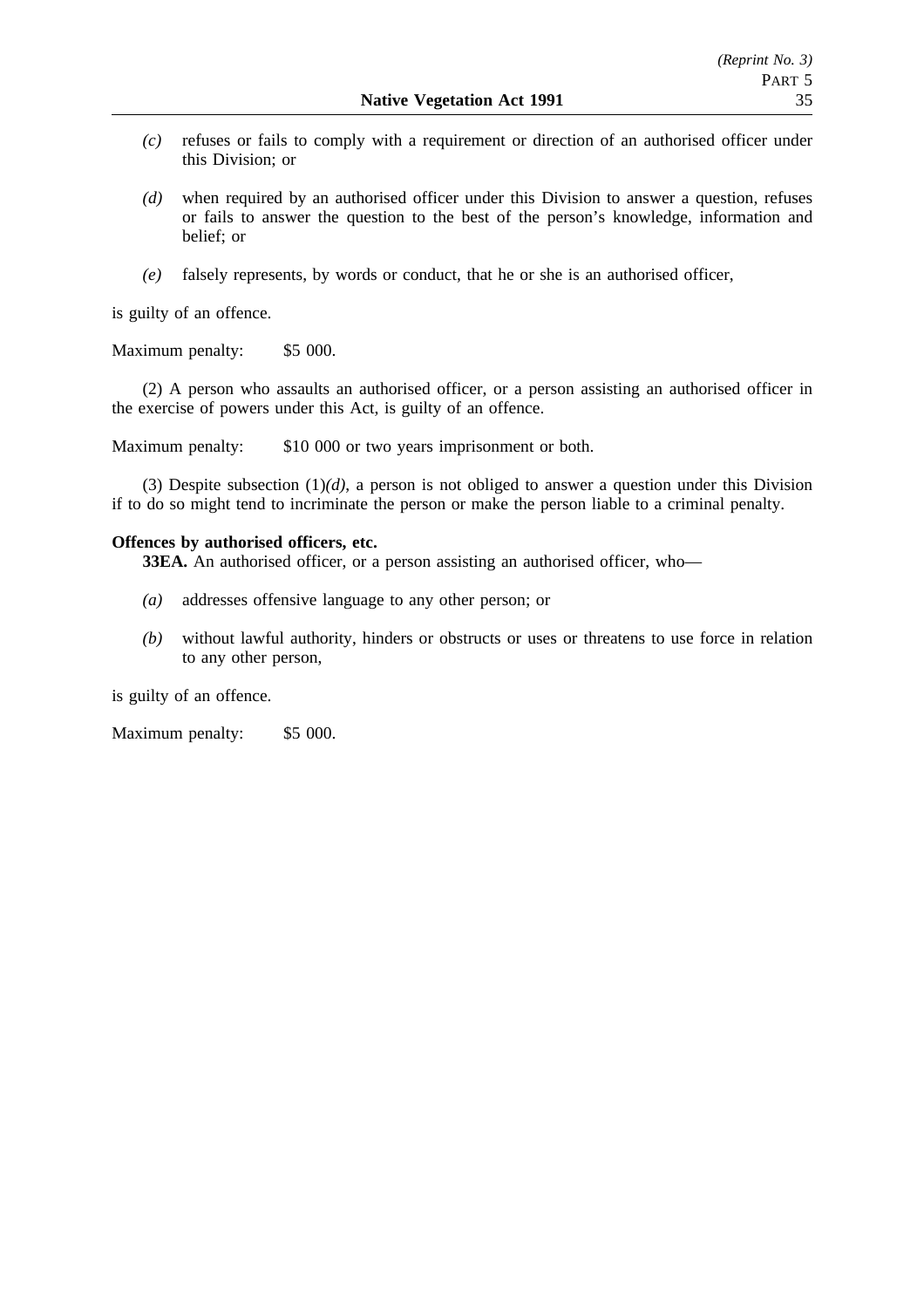- *(c)* refuses or fails to comply with a requirement or direction of an authorised officer under this Division; or
- *(d)* when required by an authorised officer under this Division to answer a question, refuses or fails to answer the question to the best of the person's knowledge, information and belief; or
- *(e)* falsely represents, by words or conduct, that he or she is an authorised officer,

is guilty of an offence.

Maximum penalty: \$5 000.

(2) A person who assaults an authorised officer, or a person assisting an authorised officer in the exercise of powers under this Act, is guilty of an offence.

Maximum penalty: \$10 000 or two years imprisonment or both.

(3) Despite subsection (1)*(d)*, a person is not obliged to answer a question under this Division if to do so might tend to incriminate the person or make the person liable to a criminal penalty.

## **Offences by authorised officers, etc.**

**33EA.** An authorised officer, or a person assisting an authorised officer, who—

- *(a)* addresses offensive language to any other person; or
- *(b)* without lawful authority, hinders or obstructs or uses or threatens to use force in relation to any other person,

is guilty of an offence.

Maximum penalty: \$5 000.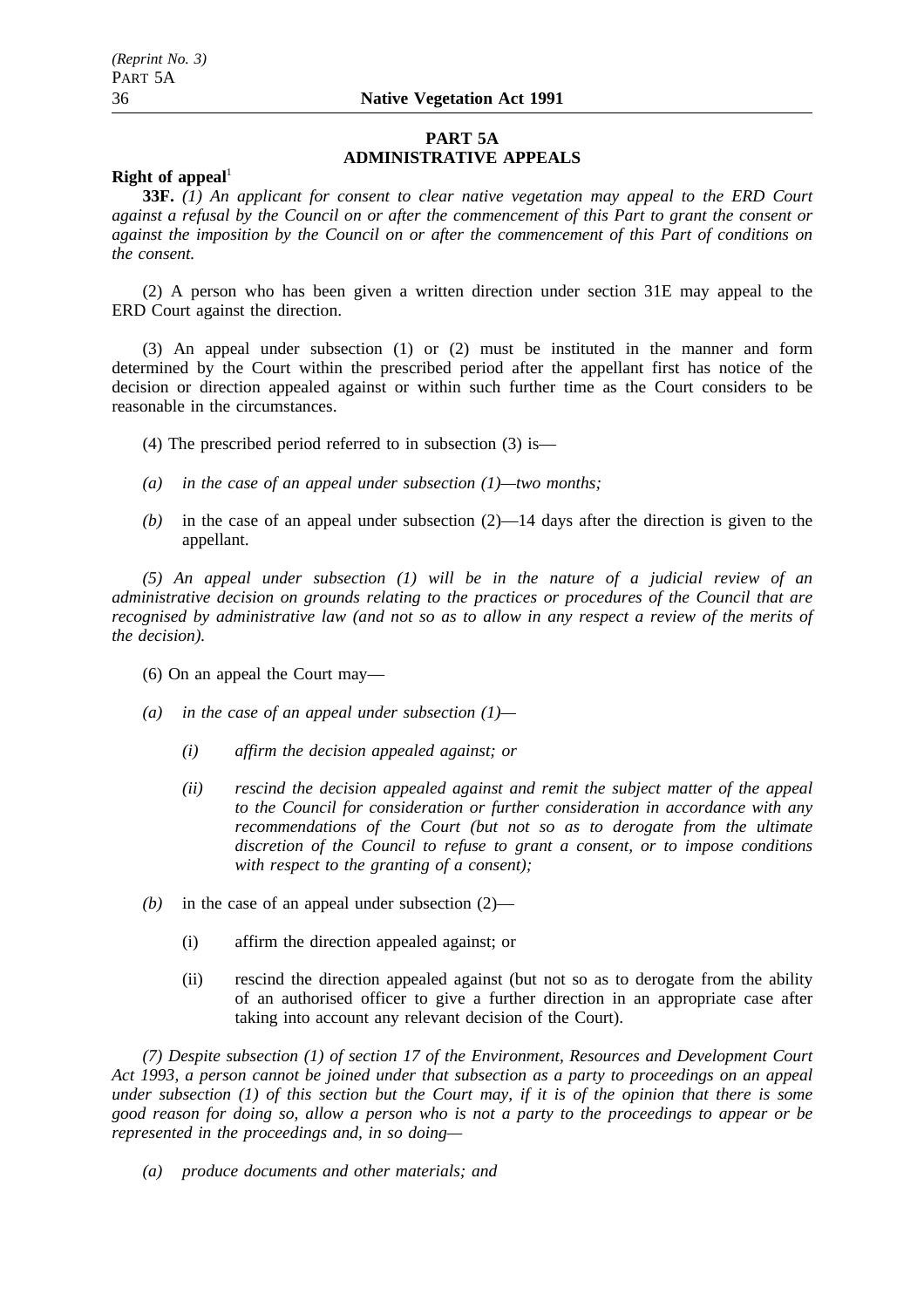## **PART 5A ADMINISTRATIVE APPEALS**

## **Right of appeal**<sup>1</sup>

**33F.** *(1) An applicant for consent to clear native vegetation may appeal to the ERD Court against a refusal by the Council on or after the commencement of this Part to grant the consent or against the imposition by the Council on or after the commencement of this Part of conditions on the consent.*

(2) A person who has been given a written direction under section 31E may appeal to the ERD Court against the direction.

(3) An appeal under subsection (1) or (2) must be instituted in the manner and form determined by the Court within the prescribed period after the appellant first has notice of the decision or direction appealed against or within such further time as the Court considers to be reasonable in the circumstances.

- (4) The prescribed period referred to in subsection (3) is—
- *(a) in the case of an appeal under subsection (1)—two months;*
- $(b)$  in the case of an appeal under subsection  $(2)$ —14 days after the direction is given to the appellant.

*(5) An appeal under subsection (1) will be in the nature of a judicial review of an administrative decision on grounds relating to the practices or procedures of the Council that are recognised by administrative law (and not so as to allow in any respect a review of the merits of the decision).*

(6) On an appeal the Court may—

- *(a) in the case of an appeal under subsection (1)—*
	- *(i) affirm the decision appealed against; or*
	- *(ii) rescind the decision appealed against and remit the subject matter of the appeal to the Council for consideration or further consideration in accordance with any recommendations of the Court (but not so as to derogate from the ultimate discretion of the Council to refuse to grant a consent, or to impose conditions with respect to the granting of a consent);*
- *(b)* in the case of an appeal under subsection (2)—
	- (i) affirm the direction appealed against; or
	- (ii) rescind the direction appealed against (but not so as to derogate from the ability of an authorised officer to give a further direction in an appropriate case after taking into account any relevant decision of the Court).

*(7) Despite subsection (1) of section 17 of the Environment, Resources and Development Court Act 1993, a person cannot be joined under that subsection as a party to proceedings on an appeal under subsection (1) of this section but the Court may, if it is of the opinion that there is some good reason for doing so, allow a person who is not a party to the proceedings to appear or be represented in the proceedings and, in so doing—*

*(a) produce documents and other materials; and*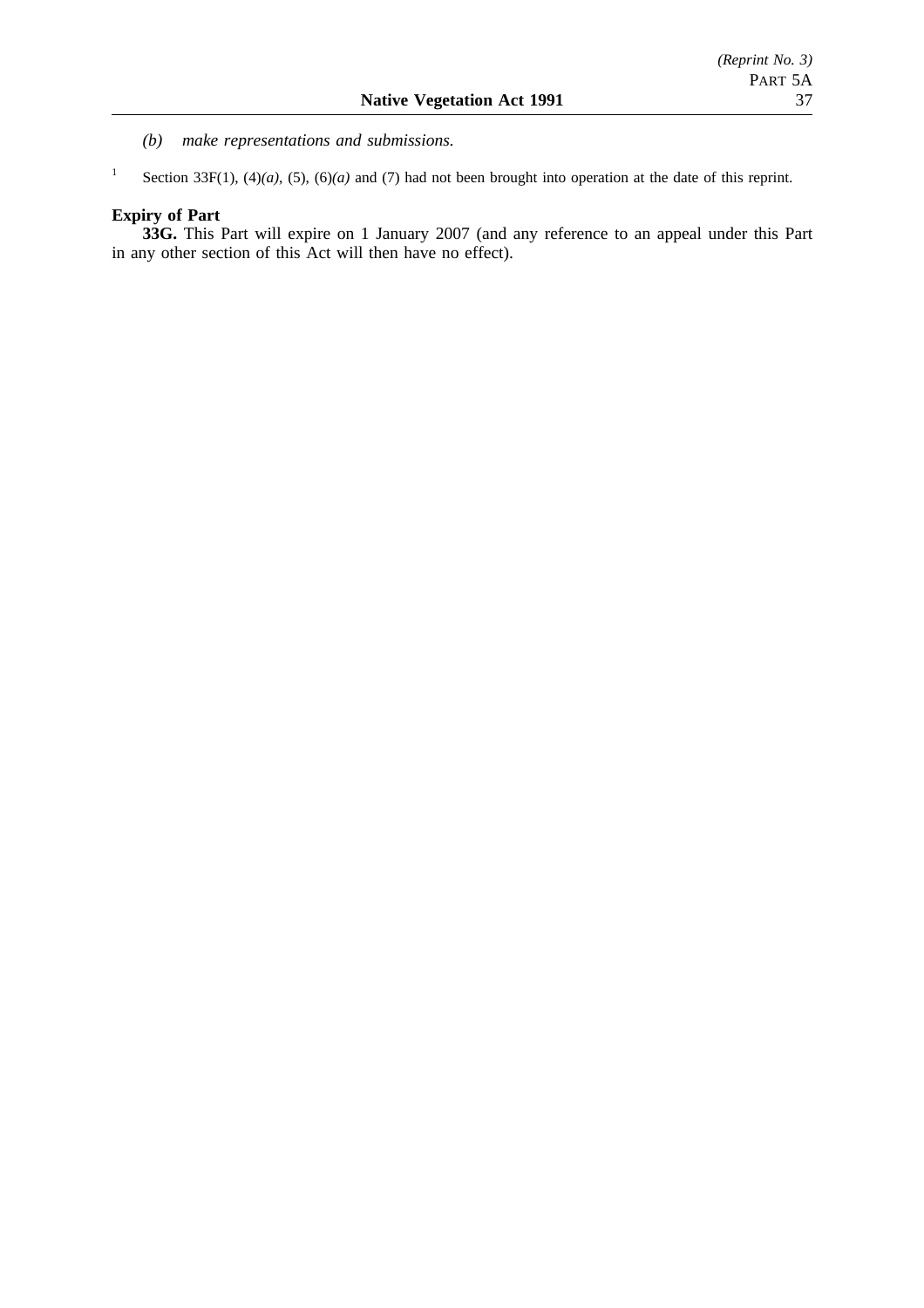- *(b) make representations and submissions.*
- <sup>1</sup> Section 33F(1), (4)(*a*), (5), (6)(*a*) and (7) had not been brought into operation at the date of this reprint.

## **Expiry of Part**

**33G.** This Part will expire on 1 January 2007 (and any reference to an appeal under this Part in any other section of this Act will then have no effect).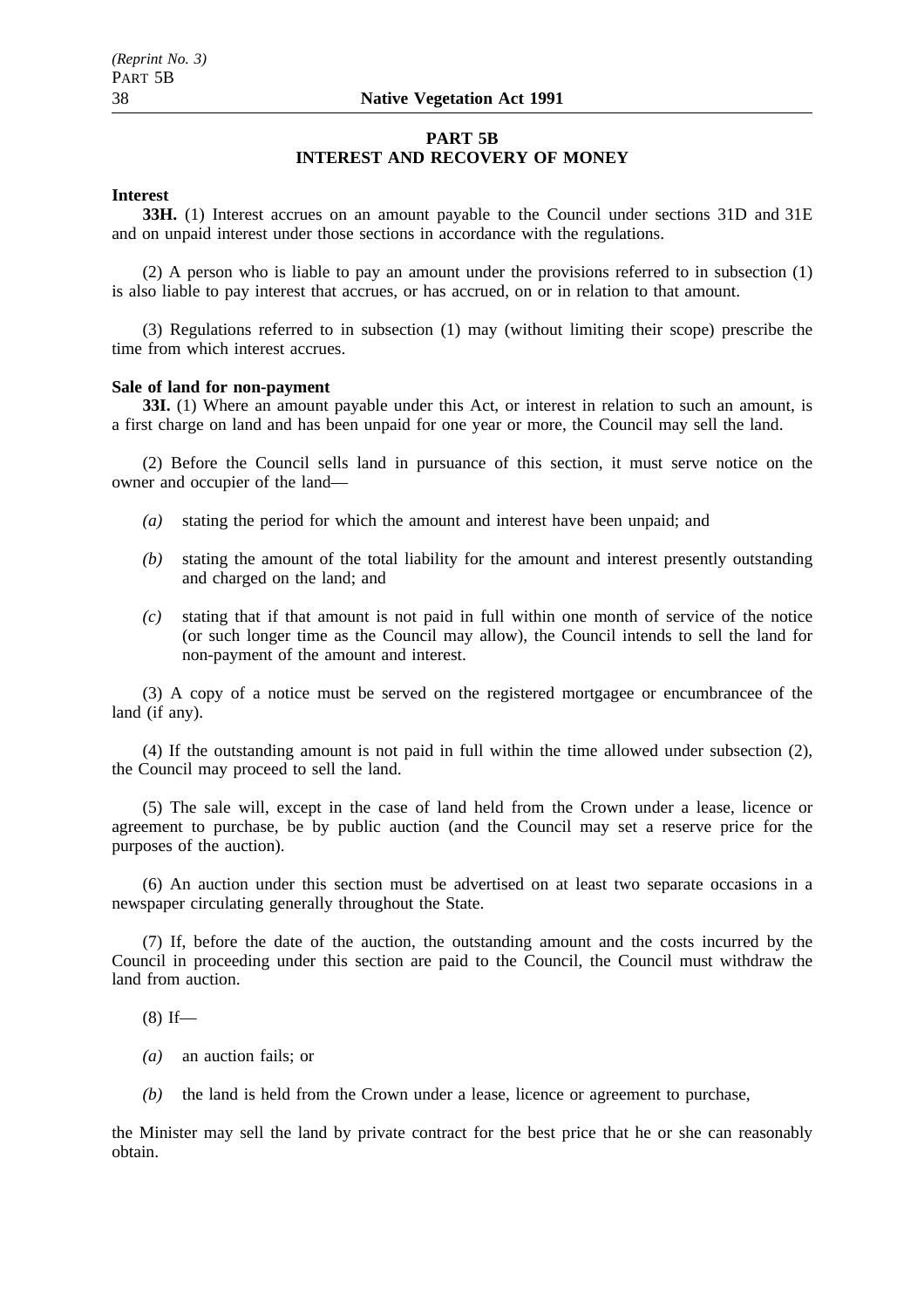## **PART 5B INTEREST AND RECOVERY OF MONEY**

## **Interest**

**33H.** (1) Interest accrues on an amount payable to the Council under sections 31D and 31E and on unpaid interest under those sections in accordance with the regulations.

(2) A person who is liable to pay an amount under the provisions referred to in subsection (1) is also liable to pay interest that accrues, or has accrued, on or in relation to that amount.

(3) Regulations referred to in subsection (1) may (without limiting their scope) prescribe the time from which interest accrues.

### **Sale of land for non-payment**

**33I.** (1) Where an amount payable under this Act, or interest in relation to such an amount, is a first charge on land and has been unpaid for one year or more, the Council may sell the land.

(2) Before the Council sells land in pursuance of this section, it must serve notice on the owner and occupier of the land—

- *(a)* stating the period for which the amount and interest have been unpaid; and
- *(b)* stating the amount of the total liability for the amount and interest presently outstanding and charged on the land; and
- *(c)* stating that if that amount is not paid in full within one month of service of the notice (or such longer time as the Council may allow), the Council intends to sell the land for non-payment of the amount and interest.

(3) A copy of a notice must be served on the registered mortgagee or encumbrancee of the land (if any).

(4) If the outstanding amount is not paid in full within the time allowed under subsection (2), the Council may proceed to sell the land.

(5) The sale will, except in the case of land held from the Crown under a lease, licence or agreement to purchase, be by public auction (and the Council may set a reserve price for the purposes of the auction).

(6) An auction under this section must be advertised on at least two separate occasions in a newspaper circulating generally throughout the State.

(7) If, before the date of the auction, the outstanding amount and the costs incurred by the Council in proceeding under this section are paid to the Council, the Council must withdraw the land from auction.

 $(8)$  If—

- *(a)* an auction fails; or
- *(b)* the land is held from the Crown under a lease, licence or agreement to purchase,

the Minister may sell the land by private contract for the best price that he or she can reasonably obtain.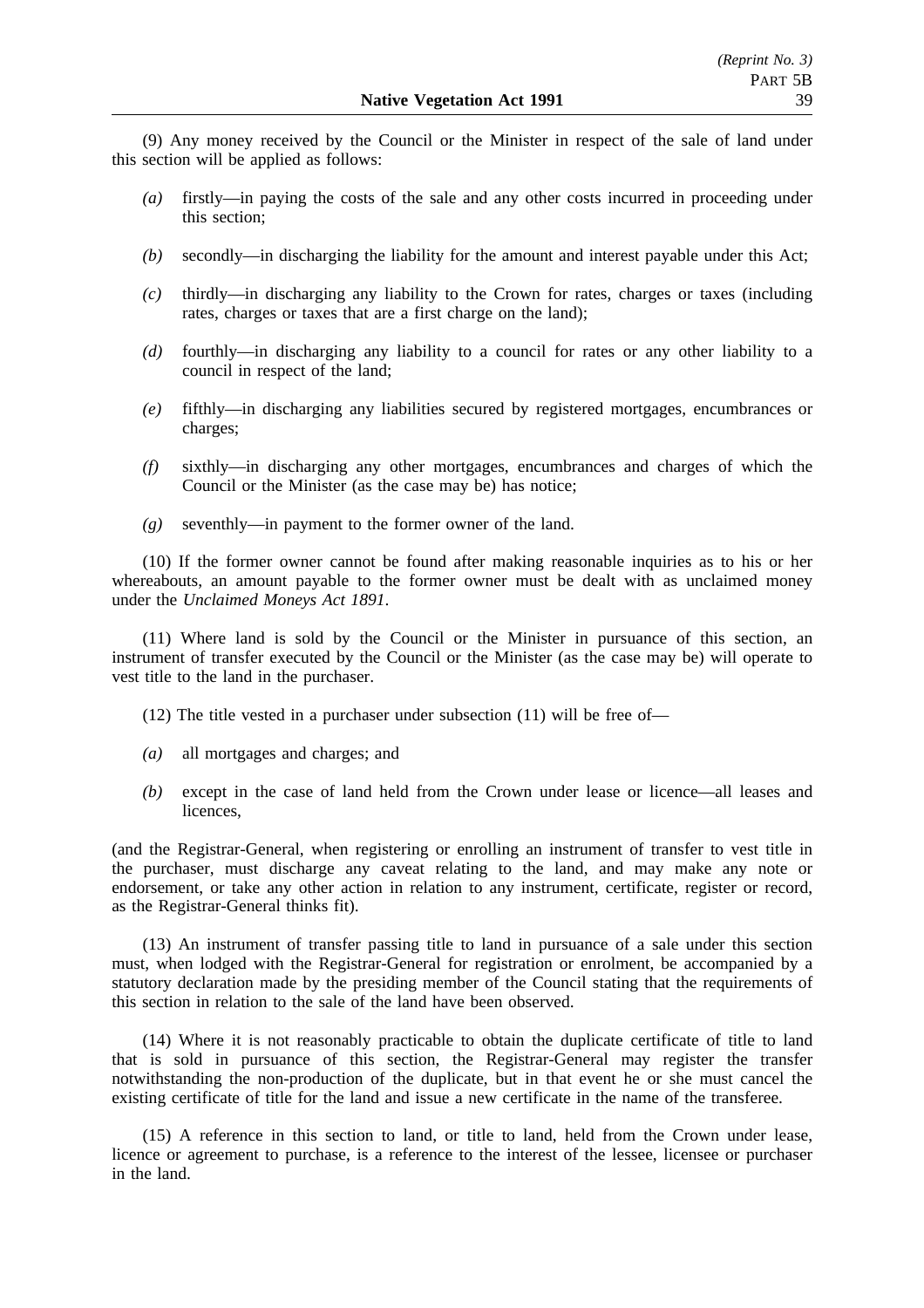(9) Any money received by the Council or the Minister in respect of the sale of land under this section will be applied as follows:

- *(a)* firstly—in paying the costs of the sale and any other costs incurred in proceeding under this section;
- *(b)* secondly—in discharging the liability for the amount and interest payable under this Act;
- *(c)* thirdly—in discharging any liability to the Crown for rates, charges or taxes (including rates, charges or taxes that are a first charge on the land);
- *(d)* fourthly—in discharging any liability to a council for rates or any other liability to a council in respect of the land;
- *(e)* fifthly—in discharging any liabilities secured by registered mortgages, encumbrances or charges;
- *(f)* sixthly—in discharging any other mortgages, encumbrances and charges of which the Council or the Minister (as the case may be) has notice;
- *(g)* seventhly—in payment to the former owner of the land.

(10) If the former owner cannot be found after making reasonable inquiries as to his or her whereabouts, an amount payable to the former owner must be dealt with as unclaimed money under the *Unclaimed Moneys Act 1891*.

(11) Where land is sold by the Council or the Minister in pursuance of this section, an instrument of transfer executed by the Council or the Minister (as the case may be) will operate to vest title to the land in the purchaser.

(12) The title vested in a purchaser under subsection (11) will be free of—

- *(a)* all mortgages and charges; and
- *(b)* except in the case of land held from the Crown under lease or licence—all leases and licences,

(and the Registrar-General, when registering or enrolling an instrument of transfer to vest title in the purchaser, must discharge any caveat relating to the land, and may make any note or endorsement, or take any other action in relation to any instrument, certificate, register or record, as the Registrar-General thinks fit).

(13) An instrument of transfer passing title to land in pursuance of a sale under this section must, when lodged with the Registrar-General for registration or enrolment, be accompanied by a statutory declaration made by the presiding member of the Council stating that the requirements of this section in relation to the sale of the land have been observed.

(14) Where it is not reasonably practicable to obtain the duplicate certificate of title to land that is sold in pursuance of this section, the Registrar-General may register the transfer notwithstanding the non-production of the duplicate, but in that event he or she must cancel the existing certificate of title for the land and issue a new certificate in the name of the transferee.

(15) A reference in this section to land, or title to land, held from the Crown under lease, licence or agreement to purchase, is a reference to the interest of the lessee, licensee or purchaser in the land.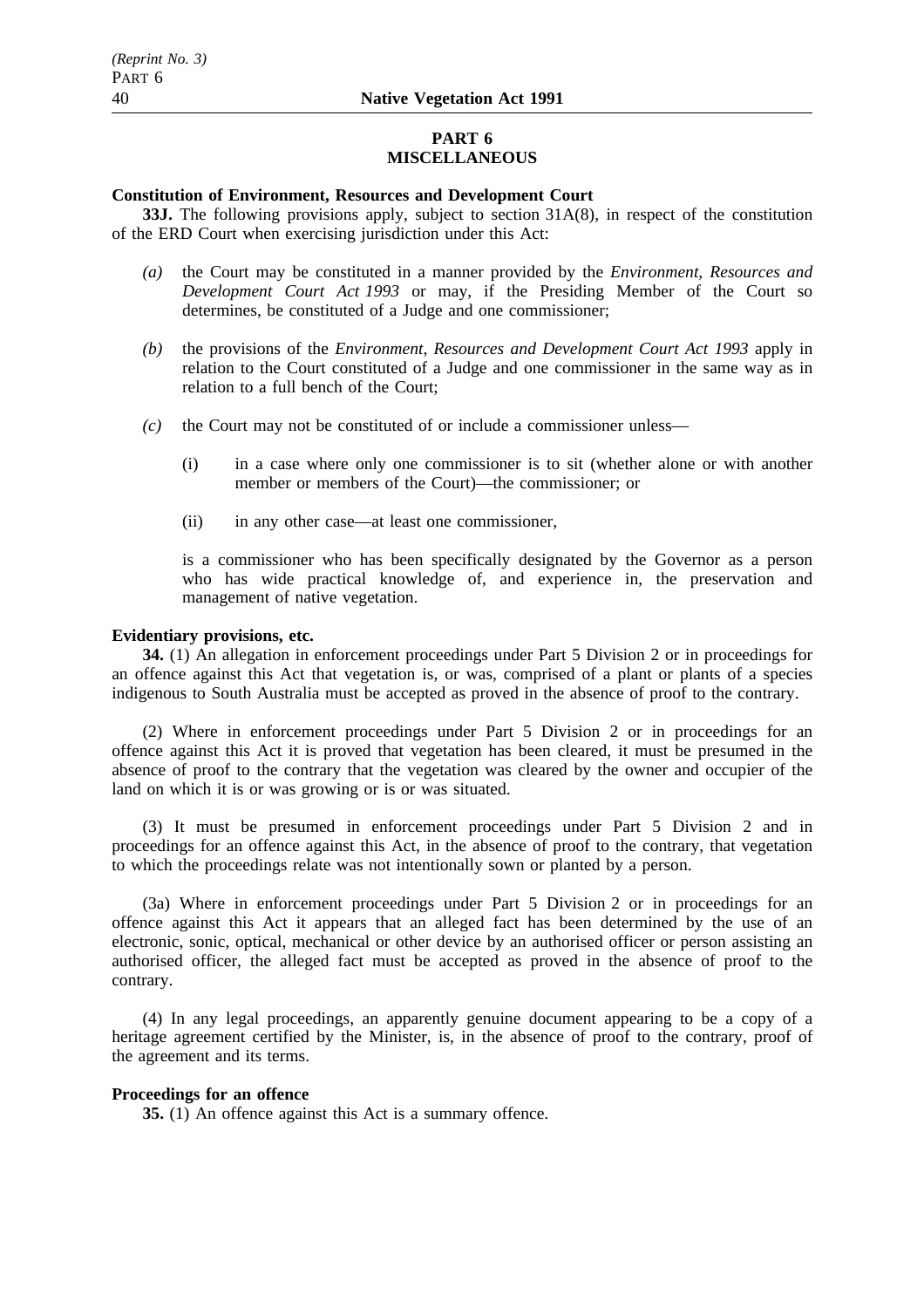## **PART 6 MISCELLANEOUS**

## **Constitution of Environment, Resources and Development Court**

**33J.** The following provisions apply, subject to section 31A(8), in respect of the constitution of the ERD Court when exercising jurisdiction under this Act:

- *(a)* the Court may be constituted in a manner provided by the *Environment, Resources and Development Court Act 1993* or may, if the Presiding Member of the Court so determines, be constituted of a Judge and one commissioner;
- *(b)* the provisions of the *Environment, Resources and Development Court Act 1993* apply in relation to the Court constituted of a Judge and one commissioner in the same way as in relation to a full bench of the Court;
- *(c)* the Court may not be constituted of or include a commissioner unless—
	- (i) in a case where only one commissioner is to sit (whether alone or with another member or members of the Court)—the commissioner; or
	- (ii) in any other case—at least one commissioner,

is a commissioner who has been specifically designated by the Governor as a person who has wide practical knowledge of, and experience in, the preservation and management of native vegetation.

## **Evidentiary provisions, etc.**

**34.** (1) An allegation in enforcement proceedings under Part 5 Division 2 or in proceedings for an offence against this Act that vegetation is, or was, comprised of a plant or plants of a species indigenous to South Australia must be accepted as proved in the absence of proof to the contrary.

(2) Where in enforcement proceedings under Part 5 Division 2 or in proceedings for an offence against this Act it is proved that vegetation has been cleared, it must be presumed in the absence of proof to the contrary that the vegetation was cleared by the owner and occupier of the land on which it is or was growing or is or was situated.

(3) It must be presumed in enforcement proceedings under Part 5 Division 2 and in proceedings for an offence against this Act, in the absence of proof to the contrary, that vegetation to which the proceedings relate was not intentionally sown or planted by a person.

(3a) Where in enforcement proceedings under Part 5 Division 2 or in proceedings for an offence against this Act it appears that an alleged fact has been determined by the use of an electronic, sonic, optical, mechanical or other device by an authorised officer or person assisting an authorised officer, the alleged fact must be accepted as proved in the absence of proof to the contrary.

(4) In any legal proceedings, an apparently genuine document appearing to be a copy of a heritage agreement certified by the Minister, is, in the absence of proof to the contrary, proof of the agreement and its terms.

## **Proceedings for an offence**

**35.** (1) An offence against this Act is a summary offence.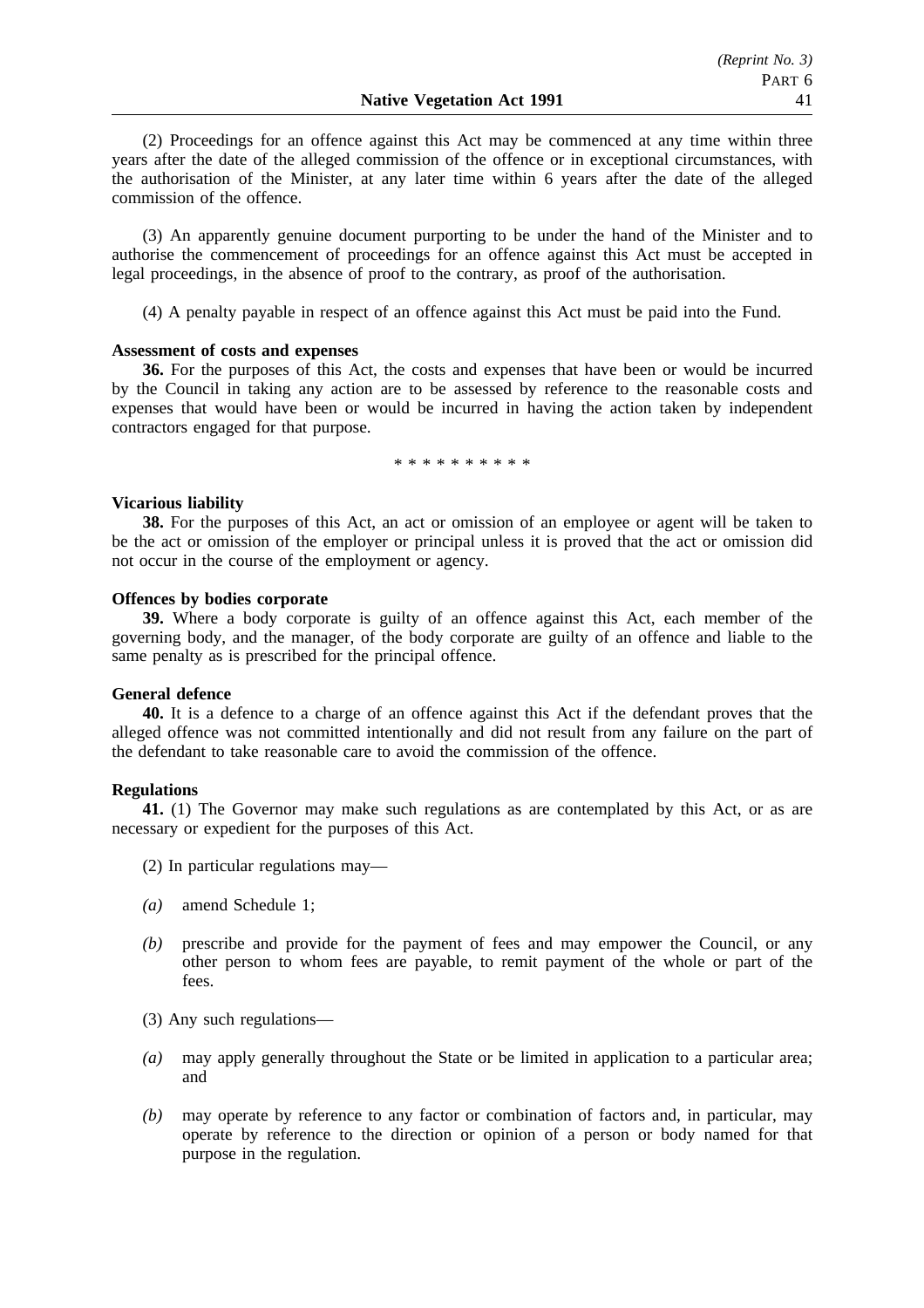(2) Proceedings for an offence against this Act may be commenced at any time within three years after the date of the alleged commission of the offence or in exceptional circumstances, with the authorisation of the Minister, at any later time within 6 years after the date of the alleged commission of the offence.

(3) An apparently genuine document purporting to be under the hand of the Minister and to authorise the commencement of proceedings for an offence against this Act must be accepted in legal proceedings, in the absence of proof to the contrary, as proof of the authorisation.

(4) A penalty payable in respect of an offence against this Act must be paid into the Fund.

## **Assessment of costs and expenses**

**36.** For the purposes of this Act, the costs and expenses that have been or would be incurred by the Council in taking any action are to be assessed by reference to the reasonable costs and expenses that would have been or would be incurred in having the action taken by independent contractors engaged for that purpose.

\*\*\*\*\*\*\*\*\*\*

## **Vicarious liability**

**38.** For the purposes of this Act, an act or omission of an employee or agent will be taken to be the act or omission of the employer or principal unless it is proved that the act or omission did not occur in the course of the employment or agency.

## **Offences by bodies corporate**

**39.** Where a body corporate is guilty of an offence against this Act, each member of the governing body, and the manager, of the body corporate are guilty of an offence and liable to the same penalty as is prescribed for the principal offence.

## **General defence**

**40.** It is a defence to a charge of an offence against this Act if the defendant proves that the alleged offence was not committed intentionally and did not result from any failure on the part of the defendant to take reasonable care to avoid the commission of the offence.

## **Regulations**

**41.** (1) The Governor may make such regulations as are contemplated by this Act, or as are necessary or expedient for the purposes of this Act.

- (2) In particular regulations may—
- *(a)* amend Schedule 1;
- *(b)* prescribe and provide for the payment of fees and may empower the Council, or any other person to whom fees are payable, to remit payment of the whole or part of the fees.
- (3) Any such regulations—
- *(a)* may apply generally throughout the State or be limited in application to a particular area; and
- *(b)* may operate by reference to any factor or combination of factors and, in particular, may operate by reference to the direction or opinion of a person or body named for that purpose in the regulation.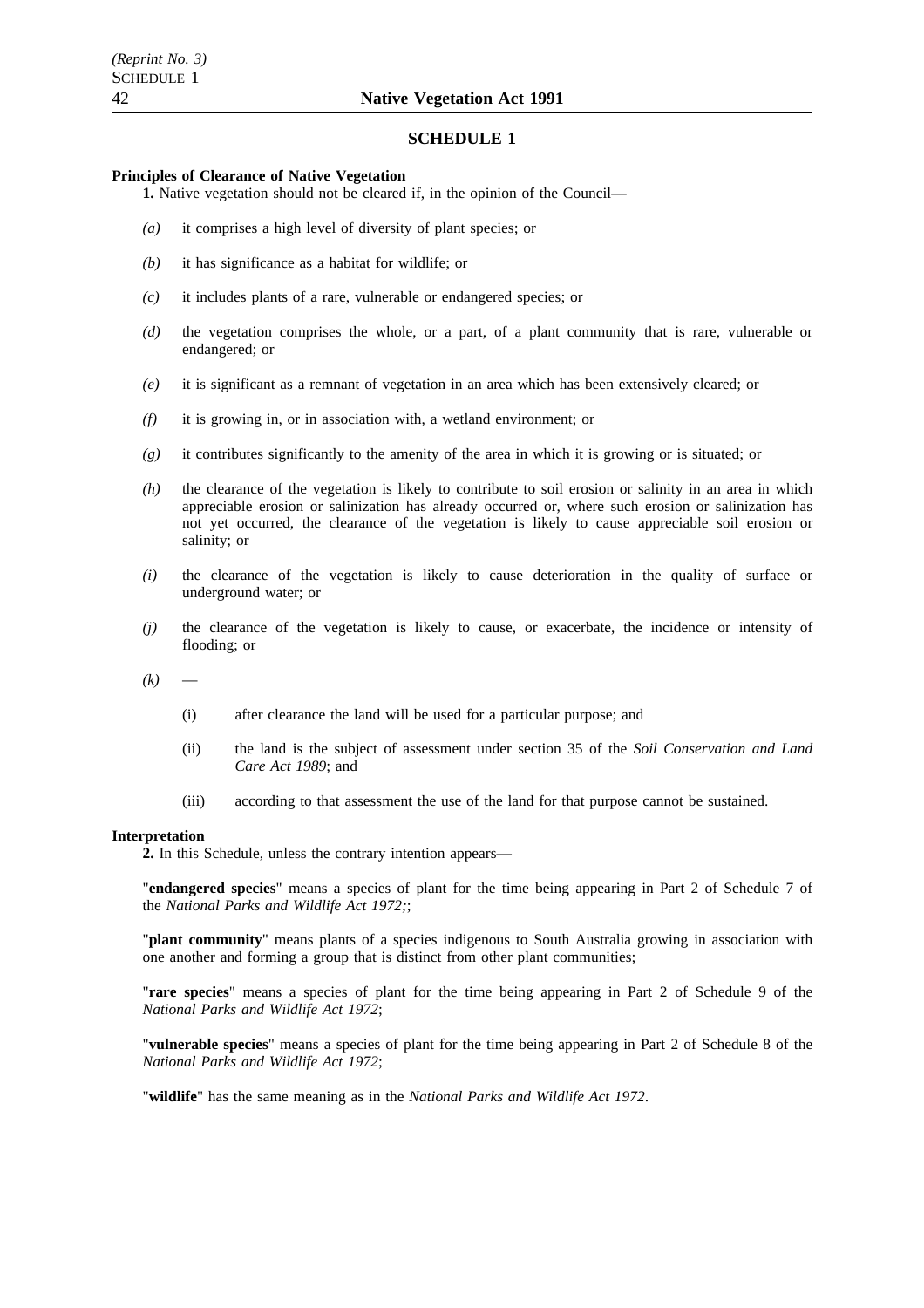### **SCHEDULE 1**

### **Principles of Clearance of Native Vegetation**

- **1.** Native vegetation should not be cleared if, in the opinion of the Council—
- *(a)* it comprises a high level of diversity of plant species; or
- *(b)* it has significance as a habitat for wildlife; or
- *(c)* it includes plants of a rare, vulnerable or endangered species; or
- *(d)* the vegetation comprises the whole, or a part, of a plant community that is rare, vulnerable or endangered; or
- *(e)* it is significant as a remnant of vegetation in an area which has been extensively cleared; or
- *(f)* it is growing in, or in association with, a wetland environment; or
- *(g)* it contributes significantly to the amenity of the area in which it is growing or is situated; or
- *(h)* the clearance of the vegetation is likely to contribute to soil erosion or salinity in an area in which appreciable erosion or salinization has already occurred or, where such erosion or salinization has not yet occurred, the clearance of the vegetation is likely to cause appreciable soil erosion or salinity; or
- *(i)* the clearance of the vegetation is likely to cause deterioration in the quality of surface or underground water; or
- *(j)* the clearance of the vegetation is likely to cause, or exacerbate, the incidence or intensity of flooding; or
- $(k)$ 
	- (i) after clearance the land will be used for a particular purpose; and
	- (ii) the land is the subject of assessment under section 35 of the *Soil Conservation and Land Care Act 1989*; and
	- (iii) according to that assessment the use of the land for that purpose cannot be sustained.

#### **Interpretation**

**2.** In this Schedule, unless the contrary intention appears—

"**endangered species**" means a species of plant for the time being appearing in Part 2 of Schedule 7 of the *National Parks and Wildlife Act 1972;*;

"**plant community**" means plants of a species indigenous to South Australia growing in association with one another and forming a group that is distinct from other plant communities;

"**rare species**" means a species of plant for the time being appearing in Part 2 of Schedule 9 of the *National Parks and Wildlife Act 1972*;

"**vulnerable species**" means a species of plant for the time being appearing in Part 2 of Schedule 8 of the *National Parks and Wildlife Act 1972*;

"**wildlife**" has the same meaning as in the *National Parks and Wildlife Act 1972*.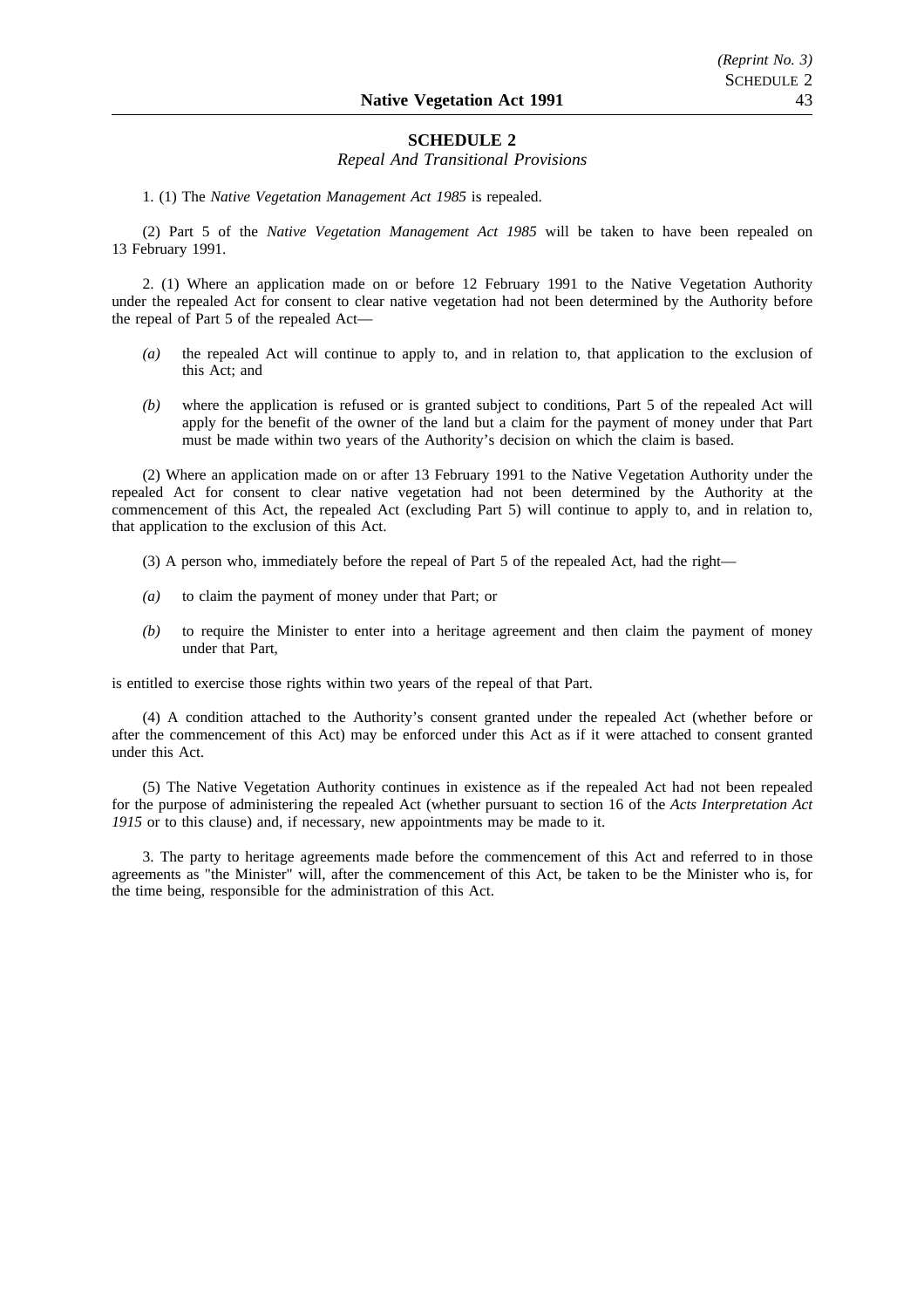## **SCHEDULE 2**

### *Repeal And Transitional Provisions*

1. (1) The *Native Vegetation Management Act 1985* is repealed.

(2) Part 5 of the *Native Vegetation Management Act 1985* will be taken to have been repealed on 13 February 1991.

2. (1) Where an application made on or before 12 February 1991 to the Native Vegetation Authority under the repealed Act for consent to clear native vegetation had not been determined by the Authority before the repeal of Part 5 of the repealed Act—

- *(a)* the repealed Act will continue to apply to, and in relation to, that application to the exclusion of this Act; and
- *(b)* where the application is refused or is granted subject to conditions, Part 5 of the repealed Act will apply for the benefit of the owner of the land but a claim for the payment of money under that Part must be made within two years of the Authority's decision on which the claim is based.

(2) Where an application made on or after 13 February 1991 to the Native Vegetation Authority under the repealed Act for consent to clear native vegetation had not been determined by the Authority at the commencement of this Act, the repealed Act (excluding Part 5) will continue to apply to, and in relation to, that application to the exclusion of this Act.

- (3) A person who, immediately before the repeal of Part 5 of the repealed Act, had the right—
- *(a)* to claim the payment of money under that Part; or
- *(b)* to require the Minister to enter into a heritage agreement and then claim the payment of money under that Part,

is entitled to exercise those rights within two years of the repeal of that Part.

(4) A condition attached to the Authority's consent granted under the repealed Act (whether before or after the commencement of this Act) may be enforced under this Act as if it were attached to consent granted under this Act.

(5) The Native Vegetation Authority continues in existence as if the repealed Act had not been repealed for the purpose of administering the repealed Act (whether pursuant to section 16 of the *Acts Interpretation Act* 1915 or to this clause) and, if necessary, new appointments may be made to it.

3. The party to heritage agreements made before the commencement of this Act and referred to in those agreements as "the Minister" will, after the commencement of this Act, be taken to be the Minister who is, for the time being, responsible for the administration of this Act.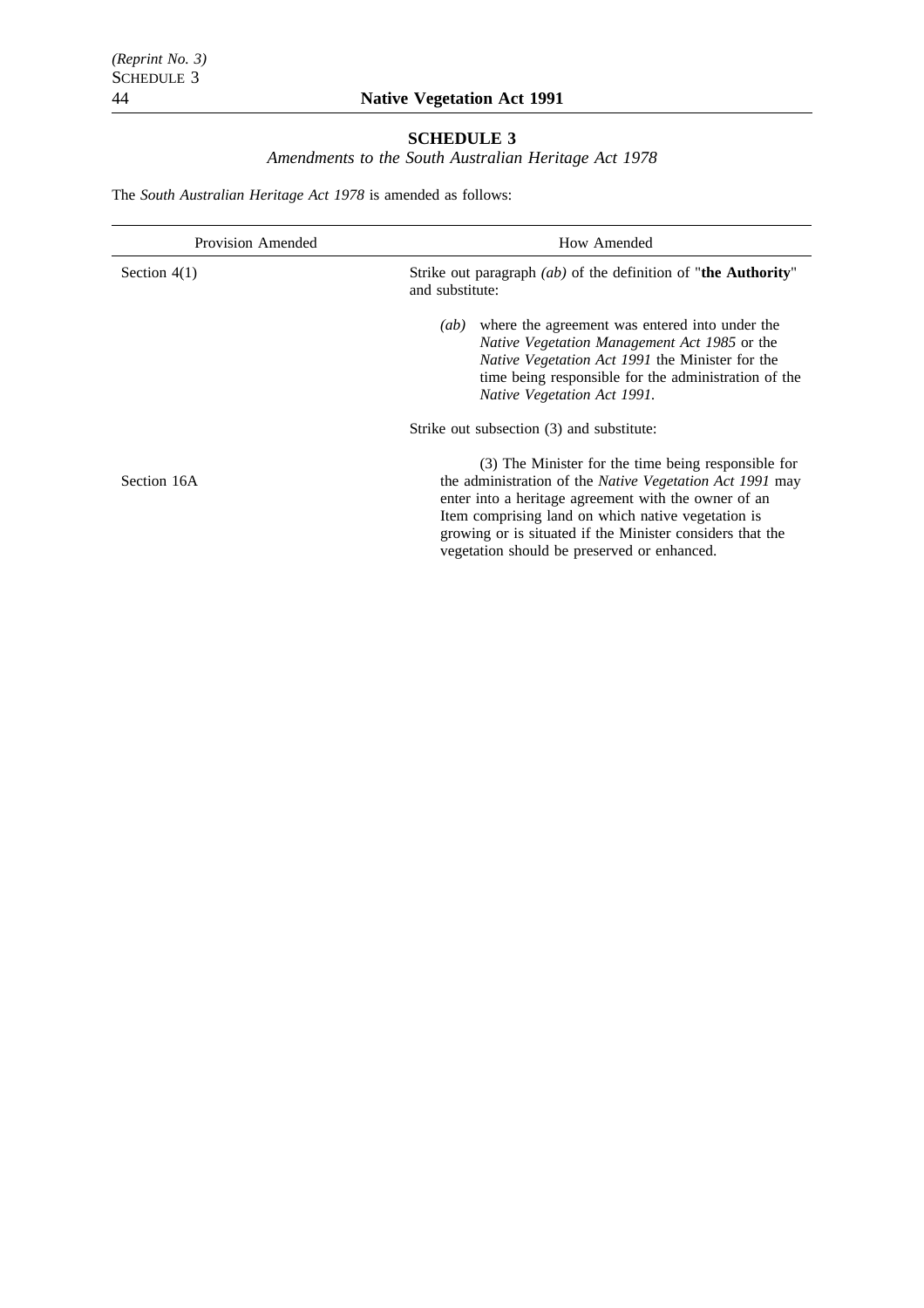# **SCHEDULE 3**

*Amendments to the South Australian Heritage Act 1978*

The *South Australian Heritage Act 1978* is amended as follows:

| <b>Provision Amended</b> | How Amended                                                                                                                                                                                                                                                                                                                               |  |  |
|--------------------------|-------------------------------------------------------------------------------------------------------------------------------------------------------------------------------------------------------------------------------------------------------------------------------------------------------------------------------------------|--|--|
| Section $4(1)$           | Strike out paragraph $(ab)$ of the definition of "the Authority"<br>and substitute:                                                                                                                                                                                                                                                       |  |  |
|                          | where the agreement was entered into under the<br>(ab)<br><i>Native Vegetation Management Act 1985</i> or the<br><i>Native Vegetation Act 1991</i> the Minister for the<br>time being responsible for the administration of the<br>Native Vegetation Act 1991.                                                                            |  |  |
|                          | Strike out subsection (3) and substitute:                                                                                                                                                                                                                                                                                                 |  |  |
| Section 16A              | (3) The Minister for the time being responsible for<br>the administration of the Native Vegetation Act 1991 may<br>enter into a heritage agreement with the owner of an<br>Item comprising land on which native vegetation is<br>growing or is situated if the Minister considers that the<br>vegetation should be preserved or enhanced. |  |  |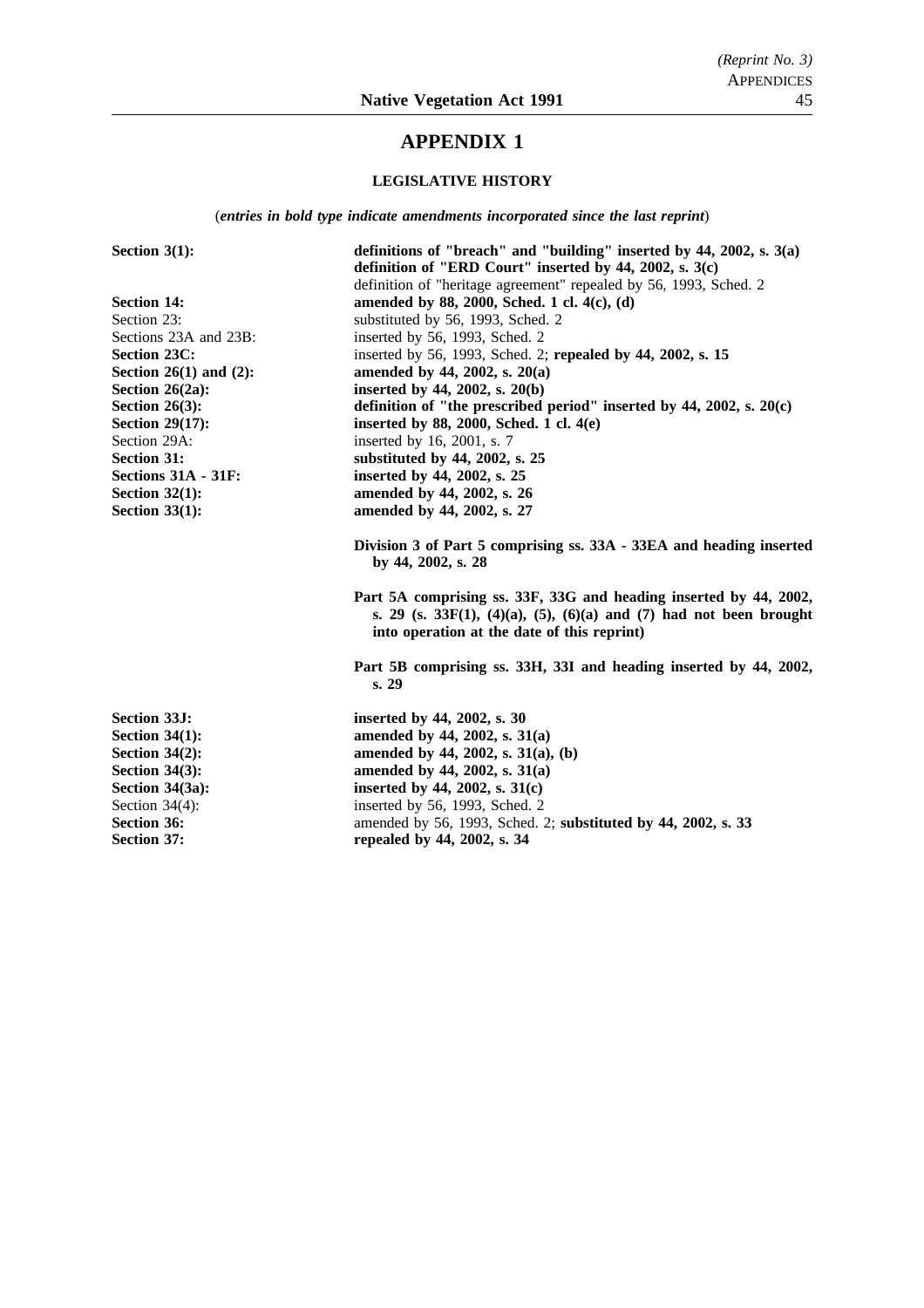# **APPENDIX 1**

## **LEGISLATIVE HISTORY**

(*entries in bold type indicate amendments incorporated since the last reprint*)

| Section $3(1)$ :            | definitions of "breach" and "building" inserted by $44$ , $2002$ , s. $3(a)$                                                                                                               |  |  |
|-----------------------------|--------------------------------------------------------------------------------------------------------------------------------------------------------------------------------------------|--|--|
|                             | definition of "ERD Court" inserted by 44, 2002, s. 3(c)                                                                                                                                    |  |  |
|                             | definition of "heritage agreement" repealed by 56, 1993, Sched. 2                                                                                                                          |  |  |
| <b>Section 14:</b>          | amended by 88, 2000, Sched. 1 cl. 4(c), (d)                                                                                                                                                |  |  |
| Section 23:                 | substituted by 56, 1993, Sched. 2                                                                                                                                                          |  |  |
| Sections 23A and 23B:       | inserted by 56, 1993, Sched. 2                                                                                                                                                             |  |  |
| <b>Section 23C:</b>         | inserted by 56, 1993, Sched. 2; repealed by 44, 2002, s. 15                                                                                                                                |  |  |
| Section $26(1)$ and $(2)$ : | amended by 44, 2002, s. $20(a)$                                                                                                                                                            |  |  |
| Section $26(2a)$ :          | inserted by 44, 2002, s. $20(b)$                                                                                                                                                           |  |  |
| Section $26(3)$ :           | definition of "the prescribed period" inserted by $44$ , $2002$ , s. $20(c)$                                                                                                               |  |  |
| Section $29(17)$ :          | inserted by 88, 2000, Sched. 1 cl. $4(e)$                                                                                                                                                  |  |  |
| Section 29A:                | inserted by 16, 2001, s. 7                                                                                                                                                                 |  |  |
| <b>Section 31:</b>          | substituted by 44, 2002, s. 25                                                                                                                                                             |  |  |
| Sections 31A - 31F:         | inserted by 44, 2002, s. 25                                                                                                                                                                |  |  |
| Section $32(1)$ :           | amended by 44, 2002, s. 26                                                                                                                                                                 |  |  |
| Section $33(1)$ :           | amended by 44, 2002, s. 27                                                                                                                                                                 |  |  |
|                             | Division 3 of Part 5 comprising ss. 33A - 33EA and heading inserted<br>by 44, 2002, s. 28                                                                                                  |  |  |
|                             | Part 5A comprising ss. 33F, 33G and heading inserted by 44, 2002,<br>s. 29 (s. 33 $F(1)$ , (4)(a), (5), (6)(a) and (7) had not been brought<br>into operation at the date of this reprint) |  |  |
|                             | Part 5B comprising ss. 33H, 33I and heading inserted by 44, 2002,<br>s. 29                                                                                                                 |  |  |
| <b>Section 33J:</b>         | inserted by 44, 2002, s. 30                                                                                                                                                                |  |  |
| Section $34(1)$ :           | amended by 44, 2002, s. 31(a)                                                                                                                                                              |  |  |
| Section $34(2)$ :           | amended by 44, 2002, s. $31(a)$ , (b)                                                                                                                                                      |  |  |
| Section $34(3)$ :           | amended by 44, 2002, s. 31(a)                                                                                                                                                              |  |  |
| Section $34(3a)$ :          | inserted by 44, 2002, s. $31(c)$                                                                                                                                                           |  |  |
| Section $34(4)$ :           | inserted by 56, 1993, Sched. 2                                                                                                                                                             |  |  |
| <b>Section 36:</b>          | amended by 56, 1993, Sched. 2; substituted by 44, 2002, s. 33                                                                                                                              |  |  |
| <b>Section 37:</b>          | repealed by 44, 2002, s. 34                                                                                                                                                                |  |  |